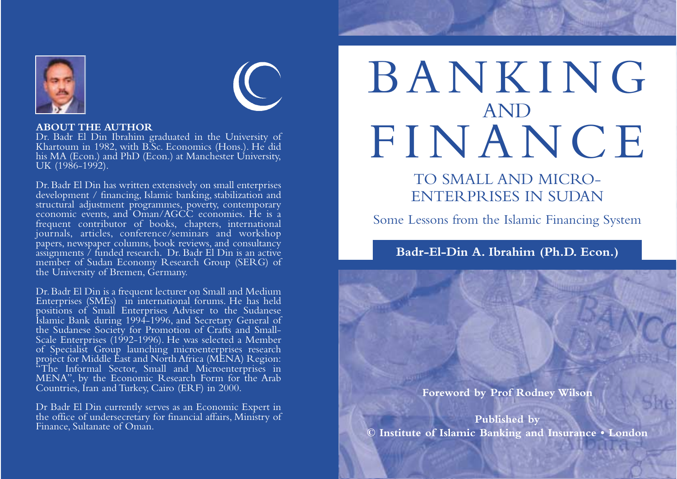

#### **ABOUT THE AUTHOR**

Dr. Badr El Din Ibrahim graduated in the University of Khartoum in 1982, with B.Sc. Economics (Hons.). He did his MA (Econ.) and PhD (Econ.) at Manchester University. UK (1986-1992).

Dr. Badr El Din has written extensively on small enterprises development / financing, Islamic banking, stabilization and structural adjustment programmes, poverty, contemporary economic events, and Oman/AGCC economies. He is a frequent contributor of books, chapters, international journals, articles, conference/seminars and workshop papers, newspaper columns, book reviews, and consultancy assignments / funded research. Dr. Badr El Din is an active member of Sudan Economy Research Group (SERG) of the University of Bremen, Germany.

Dr. Badr El Din is a frequent lecturer on Small and Medium Enterprises (SMEs) in international forums. He has held positions of Small Enterprises Adviser to the Sudanese Islamic Bank during 1994-1996, and Secretary General of the Sudanese Society for Promotion of Crafts and Small-Scale Enterprises (1992-1996). He was selected a Member of Specialist Group launching microenterprises research project for Middle East and North Africa (MENA) Region: <sup>\*</sup>The Informal Sector, Small and Microenterprises in MENA", by the Economic Research Form for the Arab Countries, Iran and Turkey, Cairo (ERF) in 2000.

Dr Badr El Din currently serves as an Economic Expert in the office of undersecretary for financial affairs, Ministry of Finance, Sultanate of Oman.

# BANKING AND FINANCE

TO SMALL AND MICRO-ENTERPRISES IN SUDAN

Some Lessons from the Islamic Financing System

**Badr-El-Din A. Ibrahim (Ph.D. Econ.)**

**Foreword by Prof Rodney Wilson** 

**Published by © Institute of Islamic Banking and Insurance • London**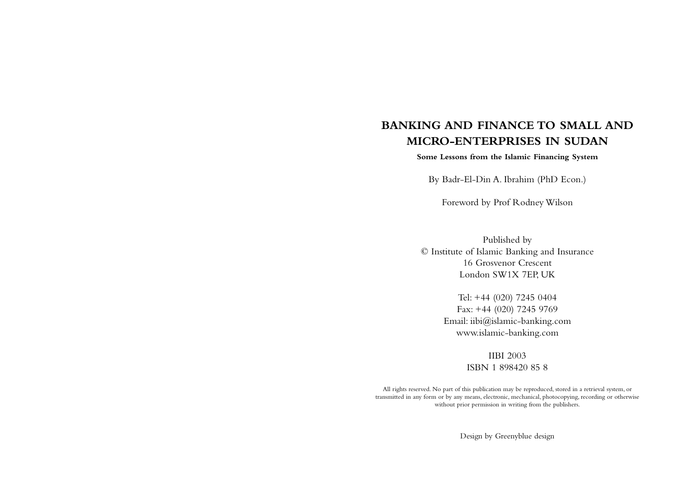## **BANKING AND FINANCE TO SMALL AND MICRO-ENTERPRISES IN SUDAN**

#### **Some Lessons from the Islamic Financing System**

By Badr-El-Din A. Ibrahim (PhD Econ.)

Foreword by Prof Rodney Wilson

Published by © Institute of Islamic Banking and Insurance 16 Grosvenor Crescent London SW1X 7EP, UK

> Tel: +44 (020) 7245 0404 Fax: +44 (020) 7245 9769 Email: iibi@islamic-banking.com www.islamic-banking.com

> > IIBI 2003 ISBN 1 898420 85 8

All rights reserved. No part of this publication may be reproduced, stored in a retrieval system, or transmitted in any form or by any means, electronic, mechanical, photocopying, recording or otherwise without prior permission in writing from the publishers.

Design by Greenyblue design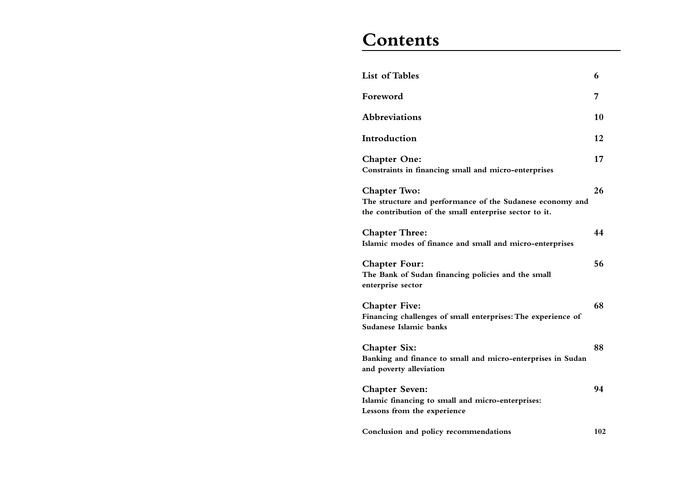# **Contents**

| <b>List of Tables</b>                                                                                                                      | 6   |
|--------------------------------------------------------------------------------------------------------------------------------------------|-----|
| Foreword                                                                                                                                   | 7   |
| Abbreviations                                                                                                                              | 10  |
| Introduction                                                                                                                               | 12  |
| <b>Chapter One:</b><br>Constraints in financing small and micro-enterprises                                                                | 17  |
| <b>Chapter Two:</b><br>The structure and performance of the Sudanese economy and<br>the contribution of the small enterprise sector to it. | 26  |
| <b>Chapter Three:</b><br>Islamic modes of finance and small and micro-enterprises                                                          | 44  |
| <b>Chapter Four:</b><br>The Bank of Sudan financing policies and the small<br>enterprise sector                                            | 56  |
| <b>Chapter Five:</b><br>Financing challenges of small enterprises: The experience of<br><b>Sudanese Islamic banks</b>                      | 68  |
| <b>Chapter Six:</b><br>Banking and finance to small and micro-enterprises in Sudan<br>and poverty alleviation                              | 88  |
| <b>Chapter Seven:</b><br>Islamic financing to small and micro-enterprises:<br>Lessons from the experience                                  | 94  |
| Conclusion and policy recommendations                                                                                                      | 102 |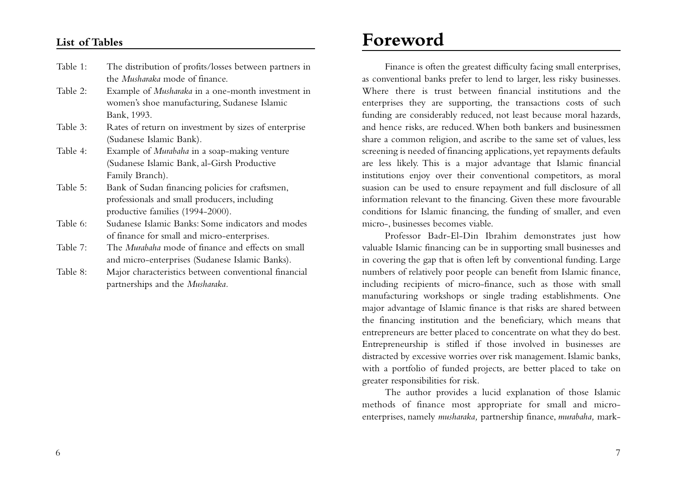#### **List of Tables**

- Table 1: The distribution of profits/losses between partners in the *Musharaka* mode of finance.
- Table 2: Example of *Musharaka* in a one-month investment in women's shoe manufacturing, Sudanese Islamic Bank, 1993.
- Table 3: Rates of return on investment by sizes of enterprise (Sudanese Islamic Bank).
- Table 4: Example of *Murabaha* in a soap-making venture (Sudanese Islamic Bank, al-Girsh Productive Family Branch).
- Table 5: Bank of Sudan financing policies for craftsmen, professionals and small producers, including productive families (1994-2000).
- Table 6: Sudanese Islamic Banks: Some indicators and modes of finance for small and micro-enterprises.
- Table 7: The *Murabaha* mode of finance and effects on small and micro-enterprises (Sudanese Islamic Banks).
- Table 8: Major characteristics between conventional financial partnerships and the *Musharaka.*

# **Foreword**

Finance is often the greatest difficulty facing small enterprises, as conventional banks prefer to lend to larger, less risky businesses. Where there is trust between financial institutions and the enterprises they are supporting, the transactions costs of such funding are considerably reduced, not least because moral hazards, and hence risks, are reduced.When both bankers and businessmen share a common religion, and ascribe to the same set of values, less screening is needed of financing applications, yet repayments defaults are less likely. This is a major advantage that Islamic financial institutions enjoy over their conventional competitors, as moral suasion can be used to ensure repayment and full disclosure of all information relevant to the financing. Given these more favourable conditions for Islamic financing, the funding of smaller, and even micro-, businesses becomes viable.

Professor Badr-El-Din Ibrahim demonstrates just how valuable Islamic financing can be in supporting small businesses and in covering the gap that is often left by conventional funding. Large numbers of relatively poor people can benefit from Islamic finance, including recipients of micro-finance, such as those with small manufacturing workshops or single trading establishments. One major advantage of Islamic finance is that risks are shared between the financing institution and the beneficiary, which means that entrepreneurs are better placed to concentrate on what they do best. Entrepreneurship is stifled if those involved in businesses are distracted by excessive worries over risk management. Islamic banks, with a portfolio of funded projects, are better placed to take on greater responsibilities for risk.

The author provides a lucid explanation of those Islamic methods of finance most appropriate for small and microenterprises, namely *musharaka,* partnership finance, *murabaha,* mark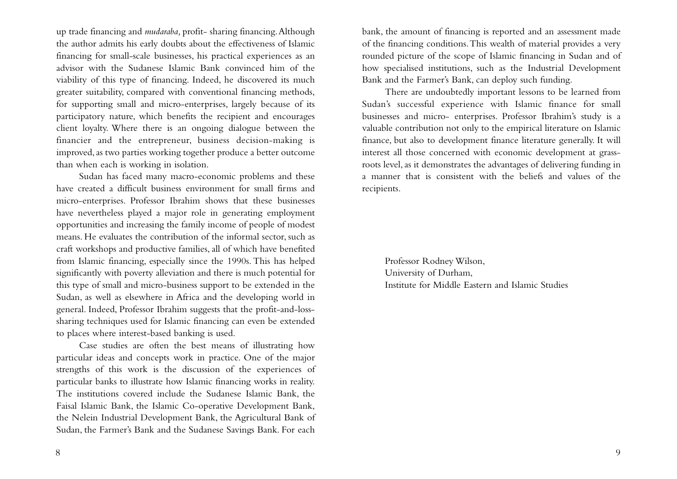up trade financing and *mudaraba,* profit- sharing financing.Although the author admits his early doubts about the effectiveness of Islamic financing for small-scale businesses, his practical experiences as an advisor with the Sudanese Islamic Bank convinced him of the viability of this type of financing. Indeed, he discovered its much greater suitability, compared with conventional financing methods, for supporting small and micro-enterprises, largely because of its participatory nature, which benefits the recipient and encourages client loyalty. Where there is an ongoing dialogue between the financier and the entrepreneur, business decision-making is improved,as two parties working together produce a better outcome than when each is working in isolation.

Sudan has faced many macro-economic problems and these have created a difficult business environment for small firms and micro-enterprises. Professor Ibrahim shows that these businesses have nevertheless played a major role in generating employment opportunities and increasing the family income of people of modest means. He evaluates the contribution of the informal sector, such as craft workshops and productive families, all of which have benefited from Islamic financing, especially since the 1990s. This has helped significantly with poverty alleviation and there is much potential for this type of small and micro-business support to be extended in the Sudan, as well as elsewhere in Africa and the developing world in general. Indeed, Professor Ibrahim suggests that the profit-and-losssharing techniques used for Islamic financing can even be extended to places where interest-based banking is used.

Case studies are often the best means of illustrating how particular ideas and concepts work in practice. One of the major strengths of this work is the discussion of the experiences of particular banks to illustrate how Islamic financing works in reality. The institutions covered include the Sudanese Islamic Bank, the Faisal Islamic Bank, the Islamic Co-operative Development Bank, the Nelein Industrial Development Bank, the Agricultural Bank of Sudan, the Farmer's Bank and the Sudanese Savings Bank. For each

bank, the amount of financing is reported and an assessment made of the financing conditions.This wealth of material provides a very rounded picture of the scope of Islamic financing in Sudan and of how specialised institutions, such as the Industrial Development Bank and the Farmer's Bank, can deploy such funding.

There are undoubtedly important lessons to be learned from Sudan's successful experience with Islamic finance for small businesses and micro- enterprises. Professor Ibrahim's study is a valuable contribution not only to the empirical literature on Islamic finance, but also to development finance literature generally. It will interest all those concerned with economic development at grassroots level, as it demonstrates the advantages of delivering funding in a manner that is consistent with the beliefs and values of the recipients.

Professor Rodney Wilson, University of Durham, Institute for Middle Eastern and Islamic Studies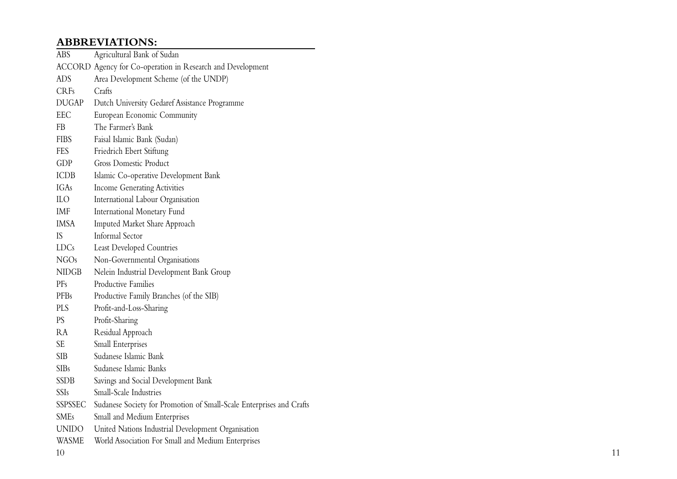## **ABBREVIATIONS:**

| ABS          | Agricultural Bank of Sudan                                           |
|--------------|----------------------------------------------------------------------|
|              | ACCORD Agency for Co-operation in Research and Development           |
| <b>ADS</b>   | Area Development Scheme (of the UNDP)                                |
| <b>CRFs</b>  | Crafts                                                               |
| <b>DUGAP</b> | Dutch University Gedaref Assistance Programme                        |
| EEC          | European Economic Community                                          |
| FB           | The Farmer's Bank                                                    |
| <b>FIBS</b>  | Faisal Islamic Bank (Sudan)                                          |
| FES          | Friedrich Ebert Stiftung                                             |
| <b>GDP</b>   | <b>Gross Domestic Product</b>                                        |
| <b>ICDB</b>  | Islamic Co-operative Development Bank                                |
| IGAs         | <b>Income Generating Activities</b>                                  |
| ILО          | International Labour Organisation                                    |
| IMF          | International Monetary Fund                                          |
| IMSA         | Imputed Market Share Approach                                        |
| IS           | <b>Informal Sector</b>                                               |
| LDCs         | Least Developed Countries                                            |
| NGOs         | Non-Governmental Organisations                                       |
| NIDGB        | Nelein Industrial Development Bank Group                             |
| PFs          | Productive Families                                                  |
| PFBs         | Productive Family Branches (of the SIB)                              |
| PLS          | Profit-and-Loss-Sharing                                              |
| PS           | Profit-Sharing                                                       |
| RA           | Residual Approach                                                    |
| SE           | Small Enterprises                                                    |
| SIB          | Sudanese Islamic Bank                                                |
| <b>SIBs</b>  | Sudanese Islamic Banks                                               |
| SSDB         | Savings and Social Development Bank                                  |
| SSIs         | Small-Scale Industries                                               |
| SSPSSEC      | Sudanese Society for Promotion of Small-Scale Enterprises and Crafts |
| SMEs         | Small and Medium Enterprises                                         |
| UNIDO        | United Nations Industrial Development Organisation                   |
| WASME        | World Association For Small and Medium Enterprises                   |
|              |                                                                      |

10 11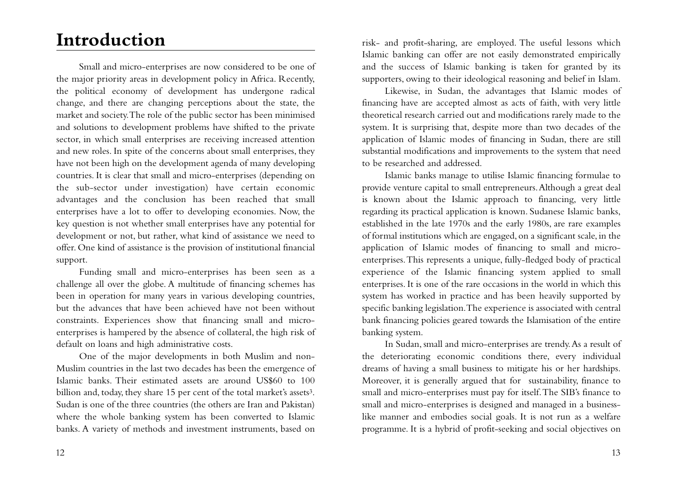# **Introduction**

Small and micro-enterprises are now considered to be one of the major priority areas in development policy in Africa. Recently, the political economy of development has undergone radical change, and there are changing perceptions about the state, the market and society.The role of the public sector has been minimised and solutions to development problems have shifted to the private sector, in which small enterprises are receiving increased attention and new roles. In spite of the concerns about small enterprises, they have not been high on the development agenda of many developing countries. It is clear that small and micro-enterprises (depending on the sub-sector under investigation) have certain economic advantages and the conclusion has been reached that small enterprises have a lot to offer to developing economies. Now, the key question is not whether small enterprises have any potential for development or not, but rather, what kind of assistance we need to offer. One kind of assistance is the provision of institutional financial support.

Funding small and micro-enterprises has been seen as a challenge all over the globe. A multitude of financing schemes has been in operation for many years in various developing countries, but the advances that have been achieved have not been without constraints. Experiences show that financing small and microenterprises is hampered by the absence of collateral, the high risk of default on loans and high administrative costs.

One of the major developments in both Muslim and non-Muslim countries in the last two decades has been the emergence of Islamic banks. Their estimated assets are around US\$60 to 100 billion and, today, they share 15 per cent of the total market's assets<sup>3</sup>. Sudan is one of the three countries (the others are Iran and Pakistan) where the whole banking system has been converted to Islamic banks. A variety of methods and investment instruments, based on

risk- and profit-sharing, are employed. The useful lessons which Islamic banking can offer are not easily demonstrated empirically and the success of Islamic banking is taken for granted by its supporters, owing to their ideological reasoning and belief in Islam.

Likewise, in Sudan, the advantages that Islamic modes of financing have are accepted almost as acts of faith, with very little theoretical research carried out and modifications rarely made to the system. It is surprising that, despite more than two decades of the application of Islamic modes of financing in Sudan, there are still substantial modifications and improvements to the system that need to be researched and addressed.

Islamic banks manage to utilise Islamic financing formulae to provide venture capital to small entrepreneurs.Although a great deal is known about the Islamic approach to financing, very little regarding its practical application is known. Sudanese Islamic banks, established in the late 1970s and the early 1980s, are rare examples of formal institutions which are engaged, on a significant scale, in the application of Islamic modes of financing to small and microenterprises.This represents a unique, fully-fledged body of practical experience of the Islamic financing system applied to small enterprises. It is one of the rare occasions in the world in which this system has worked in practice and has been heavily supported by specific banking legislation.The experience is associated with central bank financing policies geared towards the Islamisation of the entire banking system.

In Sudan, small and micro-enterprises are trendy.As a result of the deteriorating economic conditions there, every individual dreams of having a small business to mitigate his or her hardships. Moreover, it is generally argued that for sustainability, finance to small and micro-enterprises must pay for itself.The SIB's finance to small and micro-enterprises is designed and managed in a businesslike manner and embodies social goals. It is not run as a welfare programme. It is a hybrid of profit-seeking and social objectives on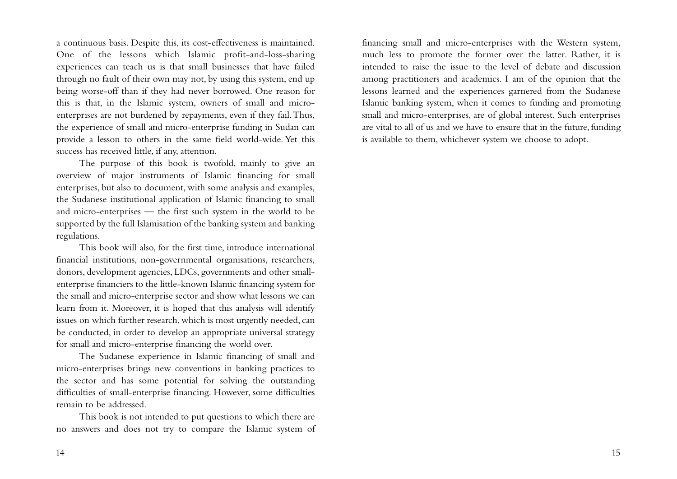a continuous basis. Despite this, its cost-effectiveness is maintained. One of the lessons which Islamic profit-and-loss-sharing experiences can teach us is that small businesses that have failed through no fault of their own may not, by using this system, end up being worse-off than if they had never borrowed. One reason for this is that, in the Islamic system, owners of small and microenterprises are not burdened by repayments, even if they fail.Thus, the experience of small and micro-enterprise funding in Sudan can provide a lesson to others in the same field world-wide. Yet this success has received little, if any, attention.

The purpose of this book is twofold, mainly to give an overview of major instruments of Islamic financing for small enterprises, but also to document, with some analysis and examples, the Sudanese institutional application of Islamic financing to small and micro-enterprises — the first such system in the world to be supported by the full Islamisation of the banking system and banking regulations.

This book will also, for the first time, introduce international financial institutions, non-governmental organisations, researchers, donors, development agencies, LDCs, governments and other smallenterprise financiers to the little-known Islamic financing system for the small and micro-enterprise sector and show what lessons we can learn from it. Moreover, it is hoped that this analysis will identify issues on which further research, which is most urgently needed, can be conducted, in order to develop an appropriate universal strategy for small and micro-enterprise financing the world over.

The Sudanese experience in Islamic financing of small and micro-enterprises brings new conventions in banking practices to the sector and has some potential for solving the outstanding difficulties of small-enterprise financing. However, some difficulties remain to be addressed.

This book is not intended to put questions to which there are no answers and does not try to compare the Islamic system of

financing small and micro-enterprises with the Western system, much less to promote the former over the latter. Rather, it is intended to raise the issue to the level of debate and discussion among practitioners and academics. I am of the opinion that the lessons learned and the experiences garnered from the Sudanese Islamic banking system, when it comes to funding and promoting small and micro-enterprises, are of global interest. Such enterprises are vital to all of us and we have to ensure that in the future, funding is available to them, whichever system we choose to adopt.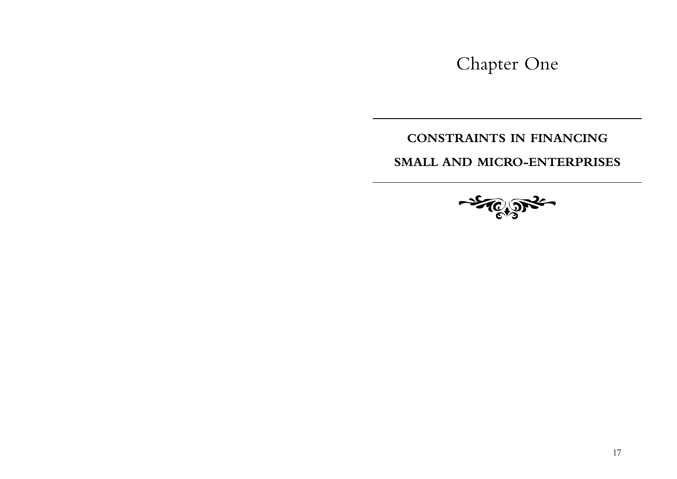Chapter One

## **CONSTRAINTS IN FINANCING**

**SMALL AND MICRO-ENTERPRISES**

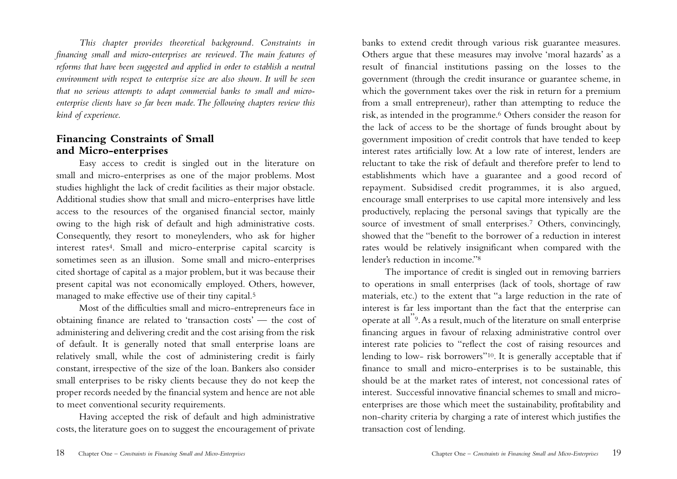*This chapter provides theoretical background. Constraints in financing small and micro-enterprises are reviewed. The main features of reforms that have been suggested and applied in order to establish a neutral environment with respect to enterprise size are also shown. It will be seen that no serious attempts to adapt commercial banks to small and microenterprise clients have so far been made.The following chapters review this kind of experience.*

## **Financing Constraints of Small and Micro-enterprises**

Easy access to credit is singled out in the literature on small and micro-enterprises as one of the major problems. Most studies highlight the lack of credit facilities as their major obstacle. Additional studies show that small and micro-enterprises have little access to the resources of the organised financial sector, mainly owing to the high risk of default and high administrative costs. Consequently, they resort to moneylenders, who ask for higher interest rates4. Small and micro-enterprise capital scarcity is sometimes seen as an illusion. Some small and micro-enterprises cited shortage of capital as a major problem, but it was because their present capital was not economically employed. Others, however, managed to make effective use of their tiny capital.5

Most of the difficulties small and micro-entrepreneurs face in obtaining finance are related to 'transaction costs' — the cost of administering and delivering credit and the cost arising from the risk of default. It is generally noted that small enterprise loans are relatively small, while the cost of administering credit is fairly constant, irrespective of the size of the loan. Bankers also consider small enterprises to be risky clients because they do not keep the proper records needed by the financial system and hence are not able to meet conventional security requirements.

Having accepted the risk of default and high administrative costs, the literature goes on to suggest the encouragement of private

banks to extend credit through various risk guarantee measures. Others argue that these measures may involve 'moral hazards' as a result of financial institutions passing on the losses to the government (through the credit insurance or guarantee scheme, in which the government takes over the risk in return for a premium from a small entrepreneur), rather than attempting to reduce the risk, as intended in the programme.6 Others consider the reason for the lack of access to be the shortage of funds brought about by government imposition of credit controls that have tended to keep interest rates artificially low. At a low rate of interest, lenders are reluctant to take the risk of default and therefore prefer to lend to establishments which have a guarantee and a good record of repayment. Subsidised credit programmes, it is also argued, encourage small enterprises to use capital more intensively and less productively, replacing the personal savings that typically are the source of investment of small enterprises.7 Others, convincingly, showed that the "benefit to the borrower of a reduction in interest rates would be relatively insignificant when compared with the lender's reduction in income."8

The importance of credit is singled out in removing barriers to operations in small enterprises (lack of tools, shortage of raw materials, etc.) to the extent that "a large reduction in the rate of interest is far less important than the fact that the enterprise can operate at all"9.As a result, much of the literature on small enterprise financing argues in favour of relaxing administrative control over interest rate policies to "reflect the cost of raising resources and lending to low- risk borrowers"10. It is generally acceptable that if finance to small and micro-enterprises is to be sustainable, this should be at the market rates of interest, not concessional rates of interest. Successful innovative financial schemes to small and microenterprises are those which meet the sustainability, profitability and non-charity criteria by charging a rate of interest which justifies the transaction cost of lending.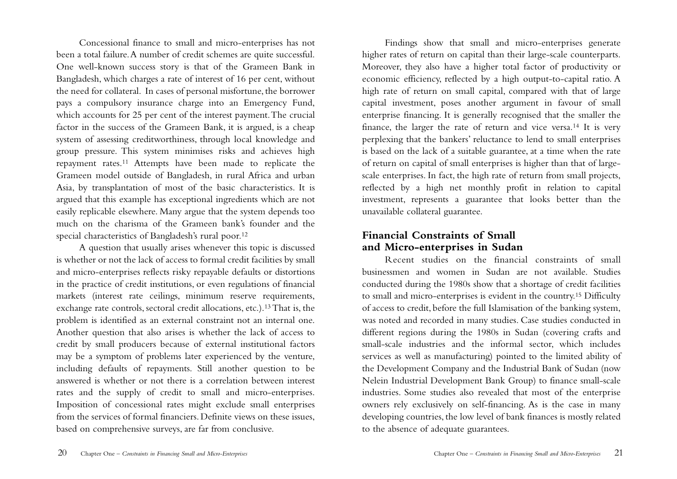Concessional finance to small and micro-enterprises has not been a total failure.A number of credit schemes are quite successful. One well-known success story is that of the Grameen Bank in Bangladesh, which charges a rate of interest of 16 per cent, without the need for collateral. In cases of personal misfortune, the borrower pays a compulsory insurance charge into an Emergency Fund, which accounts for 25 per cent of the interest payment.The crucial factor in the success of the Grameen Bank, it is argued, is a cheap system of assessing creditworthiness, through local knowledge and group pressure. This system minimises risks and achieves high repayment rates.11 Attempts have been made to replicate the Grameen model outside of Bangladesh, in rural Africa and urban Asia, by transplantation of most of the basic characteristics. It is argued that this example has exceptional ingredients which are not easily replicable elsewhere. Many argue that the system depends too much on the charisma of the Grameen bank's founder and the special characteristics of Bangladesh's rural poor.12

A question that usually arises whenever this topic is discussed is whether or not the lack of access to formal credit facilities by small and micro-enterprises reflects risky repayable defaults or distortions in the practice of credit institutions, or even regulations of financial markets (interest rate ceilings, minimum reserve requirements, exchange rate controls, sectoral credit allocations, etc.).13That is, the problem is identified as an external constraint not an internal one. Another question that also arises is whether the lack of access to credit by small producers because of external institutional factors may be a symptom of problems later experienced by the venture, including defaults of repayments. Still another question to be answered is whether or not there is a correlation between interest rates and the supply of credit to small and micro-enterprises. Imposition of concessional rates might exclude small enterprises from the services of formal financiers. Definite views on these issues, based on comprehensive surveys, are far from conclusive.

Findings show that small and micro-enterprises generate higher rates of return on capital than their large-scale counterparts. Moreover, they also have a higher total factor of productivity or economic efficiency, reflected by a high output-to-capital ratio. A high rate of return on small capital, compared with that of large capital investment, poses another argument in favour of small enterprise financing. It is generally recognised that the smaller the finance, the larger the rate of return and vice versa.14 It is very perplexing that the bankers' reluctance to lend to small enterprises is based on the lack of a suitable guarantee, at a time when the rate of return on capital of small enterprises is higher than that of largescale enterprises. In fact, the high rate of return from small projects, reflected by a high net monthly profit in relation to capital investment, represents a guarantee that looks better than the unavailable collateral guarantee.

## **Financial Constraints of Small and Micro-enterprises in Sudan**

Recent studies on the financial constraints of small businessmen and women in Sudan are not available. Studies conducted during the 1980s show that a shortage of credit facilities to small and micro-enterprises is evident in the country.15 Difficulty of access to credit, before the full Islamisation of the banking system, was noted and recorded in many studies. Case studies conducted in different regions during the 1980s in Sudan (covering crafts and small-scale industries and the informal sector, which includes services as well as manufacturing) pointed to the limited ability of the Development Company and the Industrial Bank of Sudan (now Nelein Industrial Development Bank Group) to finance small-scale industries. Some studies also revealed that most of the enterprise owners rely exclusively on self-financing. As is the case in many developing countries, the low level of bank finances is mostly related to the absence of adequate guarantees.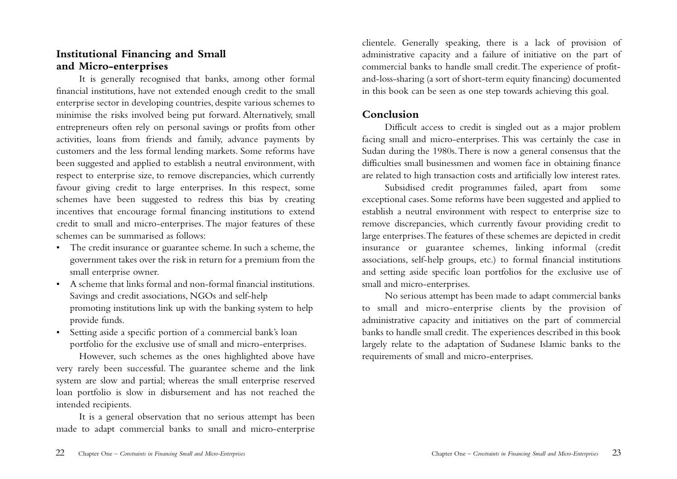## **Institutional Financing and Small and Micro-enterprises**

It is generally recognised that banks, among other formal financial institutions, have not extended enough credit to the small enterprise sector in developing countries, despite various schemes to minimise the risks involved being put forward. Alternatively, small entrepreneurs often rely on personal savings or profits from other activities, loans from friends and family, advance payments by customers and the less formal lending markets. Some reforms have been suggested and applied to establish a neutral environment, with respect to enterprise size, to remove discrepancies, which currently favour giving credit to large enterprises. In this respect, some schemes have been suggested to redress this bias by creating incentives that encourage formal financing institutions to extend credit to small and micro-enterprises. The major features of these schemes can be summarised as follows:

- The credit insurance or guarantee scheme. In such a scheme, the government takes over the risk in return for a premium from the small enterprise owner.
- A scheme that links formal and non-formal financial institutions. Savings and credit associations, NGOs and self-help promoting institutions link up with the banking system to help provide funds.
- Setting aside a specific portion of a commercial bank's loan portfolio for the exclusive use of small and micro-enterprises.

However, such schemes as the ones highlighted above have very rarely been successful. The guarantee scheme and the link system are slow and partial; whereas the small enterprise reserved loan portfolio is slow in disbursement and has not reached the intended recipients.

It is a general observation that no serious attempt has been made to adapt commercial banks to small and micro-enterprise

clientele. Generally speaking, there is a lack of provision of administrative capacity and a failure of initiative on the part of commercial banks to handle small credit.The experience of profitand-loss-sharing (a sort of short-term equity financing) documented in this book can be seen as one step towards achieving this goal.

## **Conclusion**

Difficult access to credit is singled out as a major problem facing small and micro-enterprises. This was certainly the case in Sudan during the 1980s.There is now a general consensus that the difficulties small businessmen and women face in obtaining finance are related to high transaction costs and artificially low interest rates.

Subsidised credit programmes failed, apart from some exceptional cases. Some reforms have been suggested and applied to establish a neutral environment with respect to enterprise size to remove discrepancies, which currently favour providing credit to large enterprises.The features of these schemes are depicted in credit insurance or guarantee schemes, linking informal (credit associations, self-help groups, etc.) to formal financial institutions and setting aside specific loan portfolios for the exclusive use of small and micro-enterprises.

No serious attempt has been made to adapt commercial banks to small and micro-enterprise clients by the provision of administrative capacity and initiatives on the part of commercial banks to handle small credit. The experiences described in this book largely relate to the adaptation of Sudanese Islamic banks to the requirements of small and micro-enterprises.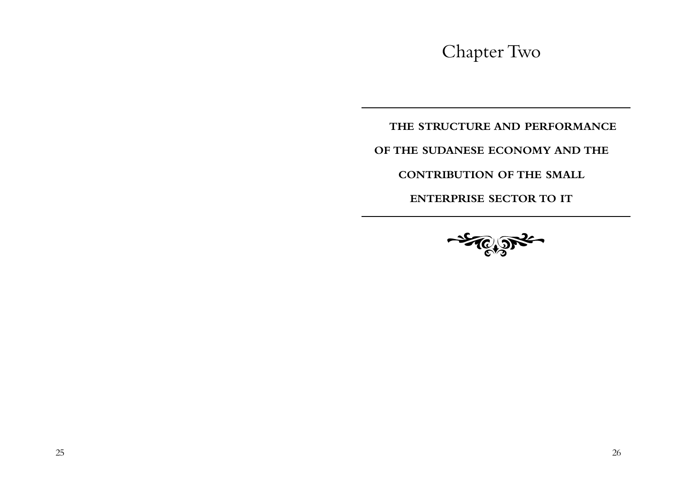Chapter Two

**THE STRUCTURE AND PERFORMANCE**

**OF THE SUDANESE ECONOMY AND THE**

**CONTRIBUTION OF THE SMALL**

**ENTERPRISE SECTOR TO IT**

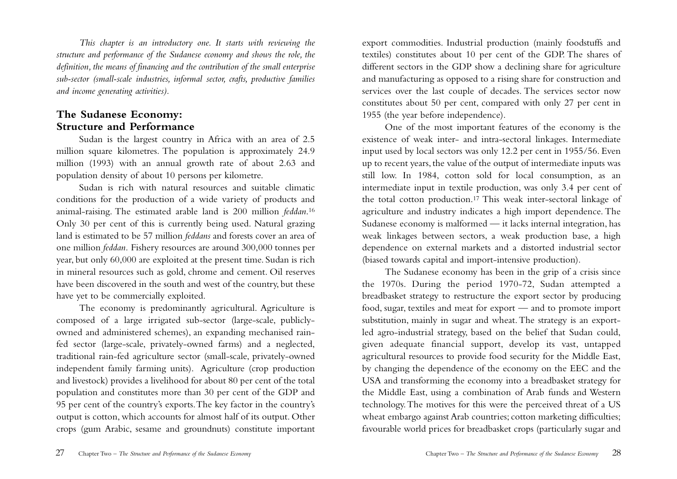*This chapter is an introductory one. It starts with reviewing the structure and performance of the Sudanese economy and shows the role, the definition, the means of financing and the contribution of the small enterprise sub-sector (small-scale industries, informal sector, crafts, productive families and income generating activities).*

## **The Sudanese Economy: Structure and Performance**

Sudan is the largest country in Africa with an area of 2.5 million square kilometres. The population is approximately 24.9 million (1993) with an annual growth rate of about 2.63 and population density of about 10 persons per kilometre.

Sudan is rich with natural resources and suitable climatic conditions for the production of a wide variety of products and animal-raising. The estimated arable land is 200 million *feddan*.16 Only 30 per cent of this is currently being used. Natural grazing land is estimated to be 57 million *feddans* and forests cover an area of one million *feddan.* Fishery resources are around 300,000 tonnes per year, but only 60,000 are exploited at the present time. Sudan is rich in mineral resources such as gold, chrome and cement. Oil reserves have been discovered in the south and west of the country, but these have yet to be commercially exploited.

The economy is predominantly agricultural. Agriculture is composed of a large irrigated sub-sector (large-scale, publiclyowned and administered schemes), an expanding mechanised rainfed sector (large-scale, privately-owned farms) and a neglected, traditional rain-fed agriculture sector (small-scale, privately-owned independent family farming units). Agriculture (crop production and livestock) provides a livelihood for about 80 per cent of the total population and constitutes more than 30 per cent of the GDP and 95 per cent of the country's exports.The key factor in the country's output is cotton, which accounts for almost half of its output. Other crops (gum Arabic, sesame and groundnuts) constitute important

export commodities. Industrial production (mainly foodstuffs and textiles) constitutes about 10 per cent of the GDP. The shares of different sectors in the GDP show a declining share for agriculture and manufacturing as opposed to a rising share for construction and services over the last couple of decades. The services sector now constitutes about 50 per cent, compared with only 27 per cent in 1955 (the year before independence).

One of the most important features of the economy is the existence of weak inter- and intra-sectoral linkages. Intermediate input used by local sectors was only 12.2 per cent in 1955/56. Even up to recent years, the value of the output of intermediate inputs was still low. In 1984, cotton sold for local consumption, as an intermediate input in textile production, was only 3.4 per cent of the total cotton production.17 This weak inter-sectoral linkage of agriculture and industry indicates a high import dependence. The Sudanese economy is malformed — it lacks internal integration, has weak linkages between sectors, a weak production base, a high dependence on external markets and a distorted industrial sector (biased towards capital and import-intensive production).

The Sudanese economy has been in the grip of a crisis since the 1970s. During the period 1970-72, Sudan attempted a breadbasket strategy to restructure the export sector by producing food, sugar, textiles and meat for export — and to promote import substitution, mainly in sugar and wheat.The strategy is an exportled agro-industrial strategy, based on the belief that Sudan could, given adequate financial support, develop its vast, untapped agricultural resources to provide food security for the Middle East, by changing the dependence of the economy on the EEC and the USA and transforming the economy into a breadbasket strategy for the Middle East, using a combination of Arab funds and Western technology.The motives for this were the perceived threat of a US wheat embargo against Arab countries; cotton marketing difficulties; favourable world prices for breadbasket crops (particularly sugar and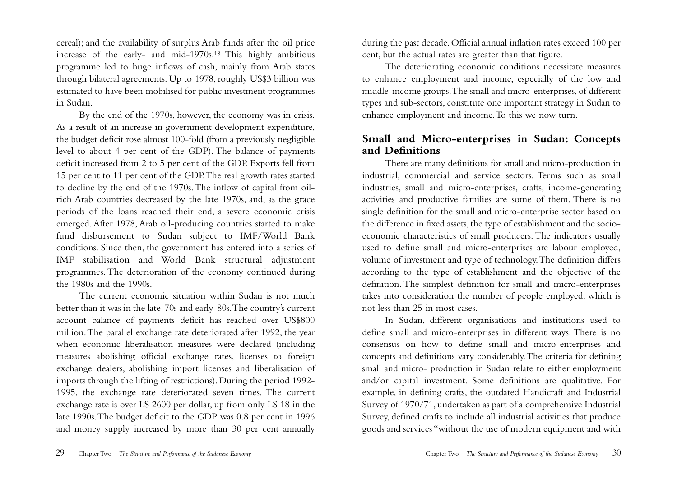cereal); and the availability of surplus Arab funds after the oil price increase of the early- and mid-1970s.18 This highly ambitious programme led to huge inflows of cash, mainly from Arab states through bilateral agreements. Up to 1978, roughly US\$3 billion was estimated to have been mobilised for public investment programmes in Sudan.

By the end of the 1970s, however, the economy was in crisis. As a result of an increase in government development expenditure, the budget deficit rose almost 100-fold (from a previously negligible level to about 4 per cent of the GDP). The balance of payments deficit increased from 2 to 5 per cent of the GDP. Exports fell from 15 per cent to 11 per cent of the GDP.The real growth rates started to decline by the end of the 1970s.The inflow of capital from oilrich Arab countries decreased by the late 1970s, and, as the grace periods of the loans reached their end, a severe economic crisis emerged. After 1978, Arab oil-producing countries started to make fund disbursement to Sudan subject to IMF/World Bank conditions. Since then, the government has entered into a series of IMF stabilisation and World Bank structural adjustment programmes. The deterioration of the economy continued during the 1980s and the 1990s.

The current economic situation within Sudan is not much better than it was in the late-70s and early-80s.The country's current account balance of payments deficit has reached over US\$800 million.The parallel exchange rate deteriorated after 1992, the year when economic liberalisation measures were declared (including measures abolishing official exchange rates, licenses to foreign exchange dealers, abolishing import licenses and liberalisation of imports through the lifting of restrictions). During the period 1992- 1995, the exchange rate deteriorated seven times. The current exchange rate is over LS 2600 per dollar, up from only LS 18 in the late 1990s.The budget deficit to the GDP was 0.8 per cent in 1996 and money supply increased by more than 30 per cent annually

during the past decade. Official annual inflation rates exceed 100 per cent, but the actual rates are greater than that figure.

The deteriorating economic conditions necessitate measures to enhance employment and income, especially of the low and middle-income groups.The small and micro-enterprises, of different types and sub-sectors, constitute one important strategy in Sudan to enhance employment and income.To this we now turn.

## **Small and Micro-enterprises in Sudan: Concepts and Definitions**

There are many definitions for small and micro-production in industrial, commercial and service sectors. Terms such as small industries, small and micro-enterprises, crafts, income-generating activities and productive families are some of them. There is no single definition for the small and micro-enterprise sector based on the difference in fixed assets, the type of establishment and the socioeconomic characteristics of small producers. The indicators usually used to define small and micro-enterprises are labour employed, volume of investment and type of technology.The definition differs according to the type of establishment and the objective of the definition. The simplest definition for small and micro-enterprises takes into consideration the number of people employed, which is not less than 25 in most cases.

In Sudan, different organisations and institutions used to define small and micro-enterprises in different ways. There is no consensus on how to define small and micro-enterprises and concepts and definitions vary considerably.The criteria for defining small and micro- production in Sudan relate to either employment and/or capital investment. Some definitions are qualitative. For example, in defining crafts, the outdated Handicraft and Industrial Survey of 1970/71, undertaken as part of a comprehensive Industrial Survey, defined crafts to include all industrial activities that produce goods and services "without the use of modern equipment and with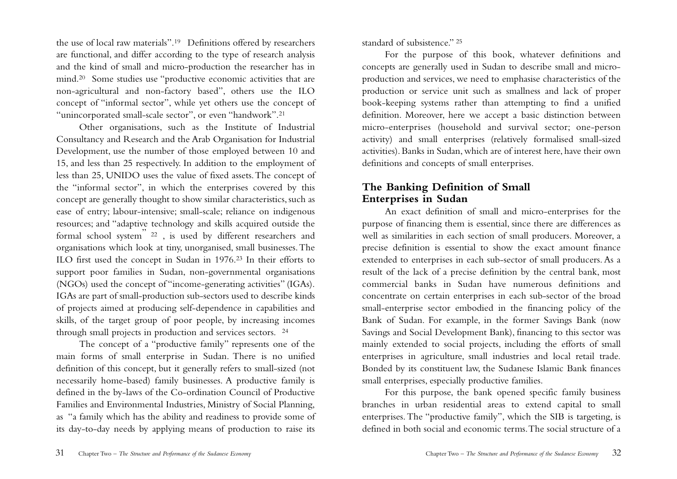the use of local raw materials".19 Definitions offered by researchers are functional, and differ according to the type of research analysis and the kind of small and micro-production the researcher has in mind.20 Some studies use "productive economic activities that are non-agricultural and non-factory based", others use the ILO concept of "informal sector", while yet others use the concept of "unincorporated small-scale sector", or even "handwork".21

Other organisations, such as the Institute of Industrial Consultancy and Research and the Arab Organisation for Industrial Development, use the number of those employed between 10 and 15, and less than 25 respectively. In addition to the employment of less than 25, UNIDO uses the value of fixed assets.The concept of the "informal sector", in which the enterprises covered by this concept are generally thought to show similar characteristics, such as ease of entry; labour-intensive; small-scale; reliance on indigenous resources; and "adaptive technology and skills acquired outside the formal school system" <sup>22</sup> , is used by different researchers and organisations which look at tiny, unorganised, small businesses.The ILO first used the concept in Sudan in 1976.23 In their efforts to support poor families in Sudan, non-governmental organisations (NGOs) used the concept of "income-generating activities" (IGAs). IGAs are part of small-production sub-sectors used to describe kinds of projects aimed at producing self-dependence in capabilities and skills, of the target group of poor people, by increasing incomes through small projects in production and services sectors. <sup>24</sup>

The concept of a "productive family" represents one of the main forms of small enterprise in Sudan. There is no unified definition of this concept, but it generally refers to small-sized (not necessarily home-based) family businesses. A productive family is defined in the by-laws of the Co-ordination Council of Productive Families and Environmental Industries, Ministry of Social Planning, as "a family which has the ability and readiness to provide some of its day-to-day needs by applying means of production to raise its

standard of subsistence." <sup>25</sup>

For the purpose of this book, whatever definitions and concepts are generally used in Sudan to describe small and microproduction and services, we need to emphasise characteristics of the production or service unit such as smallness and lack of proper book-keeping systems rather than attempting to find a unified definition. Moreover, here we accept a basic distinction between micro-enterprises (household and survival sector; one-person activity) and small enterprises (relatively formalised small-sized activities). Banks in Sudan, which are of interest here, have their own definitions and concepts of small enterprises.

## **The Banking Definition of Small Enterprises in Sudan**

An exact definition of small and micro-enterprises for the purpose of financing them is essential, since there are differences as well as similarities in each section of small producers. Moreover, a precise definition is essential to show the exact amount finance extended to enterprises in each sub-sector of small producers. As a result of the lack of a precise definition by the central bank, most commercial banks in Sudan have numerous definitions and concentrate on certain enterprises in each sub-sector of the broad small-enterprise sector embodied in the financing policy of the Bank of Sudan. For example, in the former Savings Bank (now Savings and Social Development Bank), financing to this sector was mainly extended to social projects, including the efforts of small enterprises in agriculture, small industries and local retail trade. Bonded by its constituent law, the Sudanese Islamic Bank finances small enterprises, especially productive families.

For this purpose, the bank opened specific family business branches in urban residential areas to extend capital to small enterprises.The "productive family", which the SIB is targeting, is defined in both social and economic terms.The social structure of a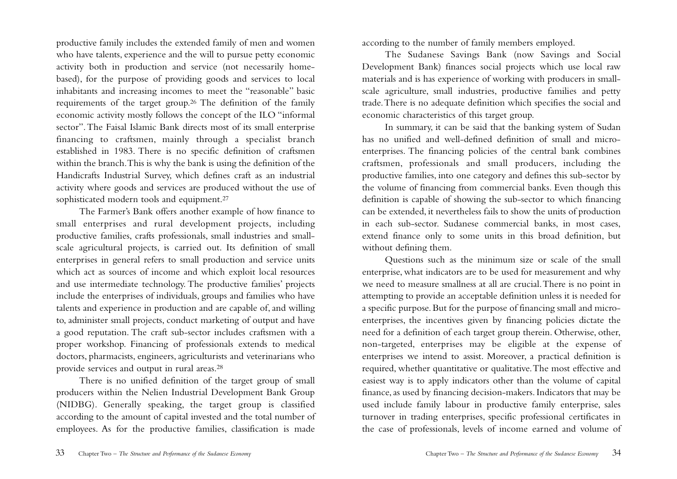productive family includes the extended family of men and women who have talents, experience and the will to pursue petty economic activity both in production and service (not necessarily homebased), for the purpose of providing goods and services to local inhabitants and increasing incomes to meet the "reasonable" basic requirements of the target group.26 The definition of the family economic activity mostly follows the concept of the ILO "informal sector".The Faisal Islamic Bank directs most of its small enterprise financing to craftsmen, mainly through a specialist branch established in 1983. There is no specific definition of craftsmen within the branch.This is why the bank is using the definition of the Handicrafts Industrial Survey, which defines craft as an industrial activity where goods and services are produced without the use of sophisticated modern tools and equipment.27

The Farmer's Bank offers another example of how finance to small enterprises and rural development projects, including productive families, crafts professionals, small industries and smallscale agricultural projects, is carried out. Its definition of small enterprises in general refers to small production and service units which act as sources of income and which exploit local resources and use intermediate technology. The productive families' projects include the enterprises of individuals, groups and families who have talents and experience in production and are capable of, and willing to, administer small projects, conduct marketing of output and have a good reputation. The craft sub-sector includes craftsmen with a proper workshop. Financing of professionals extends to medical doctors, pharmacists, engineers, agriculturists and veterinarians who provide services and output in rural areas.28

There is no unified definition of the target group of small producers within the Nelien Industrial Development Bank Group (NIDBG). Generally speaking, the target group is classified according to the amount of capital invested and the total number of employees. As for the productive families, classification is made

according to the number of family members employed.

The Sudanese Savings Bank (now Savings and Social Development Bank) finances social projects which use local raw materials and is has experience of working with producers in smallscale agriculture, small industries, productive families and petty trade.There is no adequate definition which specifies the social and economic characteristics of this target group.

In summary, it can be said that the banking system of Sudan has no unified and well-defined definition of small and microenterprises. The financing policies of the central bank combines craftsmen, professionals and small producers, including the productive families, into one category and defines this sub-sector by the volume of financing from commercial banks. Even though this definition is capable of showing the sub-sector to which financing can be extended, it nevertheless fails to show the units of production in each sub-sector. Sudanese commercial banks, in most cases, extend finance only to some units in this broad definition, but without defining them.

Questions such as the minimum size or scale of the small enterprise, what indicators are to be used for measurement and why we need to measure smallness at all are crucial.There is no point in attempting to provide an acceptable definition unless it is needed for a specific purpose. But for the purpose of financing small and microenterprises, the incentives given by financing policies dictate the need for a definition of each target group therein. Otherwise, other, non-targeted, enterprises may be eligible at the expense of enterprises we intend to assist. Moreover, a practical definition is required, whether quantitative or qualitative.The most effective and easiest way is to apply indicators other than the volume of capital finance, as used by financing decision-makers. Indicators that may be used include family labour in productive family enterprise, sales turnover in trading enterprises, specific professional certificates in the case of professionals, levels of income earned and volume of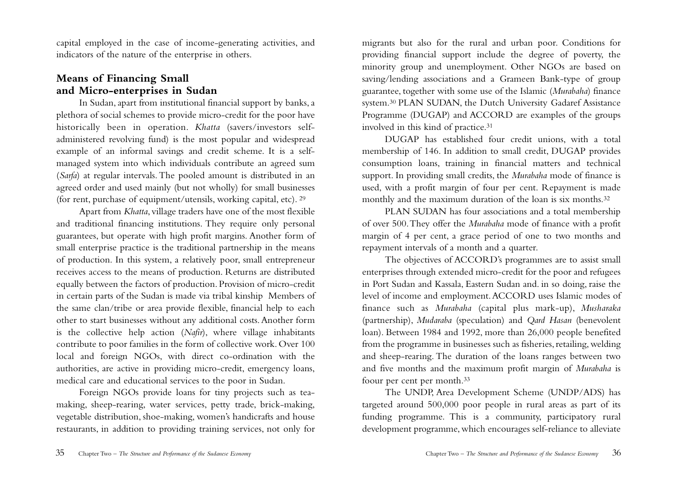capital employed in the case of income-generating activities, and indicators of the nature of the enterprise in others.

## **Means of Financing Small and Micro-enterprises in Sudan**

In Sudan, apart from institutional financial support by banks, a plethora of social schemes to provide micro-credit for the poor have historically been in operation. *Khatta* (savers/investors selfadministered revolving fund) is the most popular and widespread example of an informal savings and credit scheme. It is a selfmanaged system into which individuals contribute an agreed sum (*Sarfa*) at regular intervals. The pooled amount is distributed in an agreed order and used mainly (but not wholly) for small businesses (for rent, purchase of equipment/utensils, working capital, etc). <sup>29</sup>

Apart from *Khatta*, village traders have one of the most flexible and traditional financing institutions. They require only personal guarantees, but operate with high profit margins. Another form of small enterprise practice is the traditional partnership in the means of production. In this system, a relatively poor, small entrepreneur receives access to the means of production. Returns are distributed equally between the factors of production. Provision of micro-credit in certain parts of the Sudan is made via tribal kinship Members of the same clan/tribe or area provide flexible, financial help to each other to start businesses without any additional costs.Another form is the collective help action (*Nafir*), where village inhabitants contribute to poor families in the form of collective work. Over 100 local and foreign NGOs, with direct co-ordination with the authorities, are active in providing micro-credit, emergency loans, medical care and educational services to the poor in Sudan.

Foreign NGOs provide loans for tiny projects such as teamaking, sheep-rearing, water services, petty trade, brick-making, vegetable distribution, shoe-making, women's handicrafts and house restaurants, in addition to providing training services, not only for

migrants but also for the rural and urban poor. Conditions for providing financial support include the degree of poverty, the minority group and unemployment. Other NGOs are based on saving/lending associations and a Grameen Bank-type of group guarantee, together with some use of the Islamic (*Murabaha*) finance system.30 PLAN SUDAN, the Dutch University Gadaref Assistance Programme (DUGAP) and ACCORD are examples of the groups involved in this kind of practice.31

DUGAP has established four credit unions, with a total membership of 146. In addition to small credit, DUGAP provides consumption loans, training in financial matters and technical support. In providing small credits, the *Murabaha* mode of finance is used, with a profit margin of four per cent. Repayment is made monthly and the maximum duration of the loan is six months.32

PLAN SUDAN has four associations and a total membership of over 500.They offer the *Murabaha* mode of finance with a profit margin of 4 per cent, a grace period of one to two months and repayment intervals of a month and a quarter.

The objectives of ACCORD's programmes are to assist small enterprises through extended micro-credit for the poor and refugees in Port Sudan and Kassala, Eastern Sudan and. in so doing, raise the level of income and employment.ACCORD uses Islamic modes of finance such as *Murabaha* (capital plus mark-up), *Musharaka* (partnership), *Mudaraba* (speculation) and *Qard Hasan* (benevolent loan). Between 1984 and 1992, more than 26,000 people benefited from the programme in businesses such as fisheries, retailing, welding and sheep-rearing. The duration of the loans ranges between two and five months and the maximum profit margin of *Murabaha* is foour per cent per month.33

The UNDP, Area Development Scheme (UNDP/ADS) has targeted around 500,000 poor people in rural areas as part of its funding programme. This is a community, participatory rural development programme, which encourages self-reliance to alleviate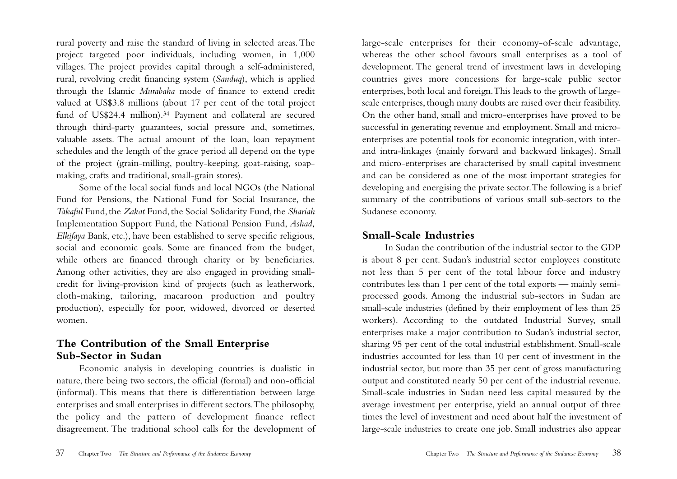rural poverty and raise the standard of living in selected areas.The project targeted poor individuals, including women, in 1,000 villages. The project provides capital through a self-administered, rural, revolving credit financing system (*Sanduq*), which is applied through the Islamic *Murabaha* mode of finance to extend credit valued at US\$3.8 millions (about 17 per cent of the total project fund of US\$24.4 million).<sup>34</sup> Payment and collateral are secured through third-party guarantees, social pressure and, sometimes, valuable assets. The actual amount of the loan, loan repayment schedules and the length of the grace period all depend on the type of the project (grain-milling, poultry-keeping, goat-raising, soapmaking, crafts and traditional, small-grain stores).

Some of the local social funds and local NGOs (the National Fund for Pensions, the National Fund for Social Insurance, the *Takaful* Fund, the *Zakat* Fund, the Social Solidarity Fund, the *Shariah* Implementation Support Fund, the National Pension Fund, *Ashad, Elkifaya* Bank, etc.), have been established to serve specific religious, social and economic goals. Some are financed from the budget, while others are financed through charity or by beneficiaries. Among other activities, they are also engaged in providing smallcredit for living-provision kind of projects (such as leatherwork, cloth-making, tailoring, macaroon production and poultry production), especially for poor, widowed, divorced or deserted women.

## **The Contribution of the Small Enterprise Sub-Sector in Sudan**

Economic analysis in developing countries is dualistic in nature, there being two sectors, the official (formal) and non-official (informal). This means that there is differentiation between large enterprises and small enterprises in different sectors.The philosophy, the policy and the pattern of development finance reflect disagreement. The traditional school calls for the development of

large-scale enterprises for their economy-of-scale advantage, whereas the other school favours small enterprises as a tool of development. The general trend of investment laws in developing countries gives more concessions for large-scale public sector enterprises, both local and foreign.This leads to the growth of largescale enterprises, though many doubts are raised over their feasibility. On the other hand, small and micro-enterprises have proved to be successful in generating revenue and employment. Small and microenterprises are potential tools for economic integration, with interand intra-linkages (mainly forward and backward linkages). Small and micro-enterprises are characterised by small capital investment and can be considered as one of the most important strategies for developing and energising the private sector.The following is a brief summary of the contributions of various small sub-sectors to the Sudanese economy.

## **Small-Scale Industries**

In Sudan the contribution of the industrial sector to the GDP is about 8 per cent. Sudan's industrial sector employees constitute not less than 5 per cent of the total labour force and industry contributes less than 1 per cent of the total exports — mainly semiprocessed goods. Among the industrial sub-sectors in Sudan are small-scale industries (defined by their employment of less than 25 workers). According to the outdated Industrial Survey, small enterprises make a major contribution to Sudan's industrial sector, sharing 95 per cent of the total industrial establishment. Small-scale industries accounted for less than 10 per cent of investment in the industrial sector, but more than 35 per cent of gross manufacturing output and constituted nearly 50 per cent of the industrial revenue. Small-scale industries in Sudan need less capital measured by the average investment per enterprise, yield an annual output of three times the level of investment and need about half the investment of large-scale industries to create one job. Small industries also appear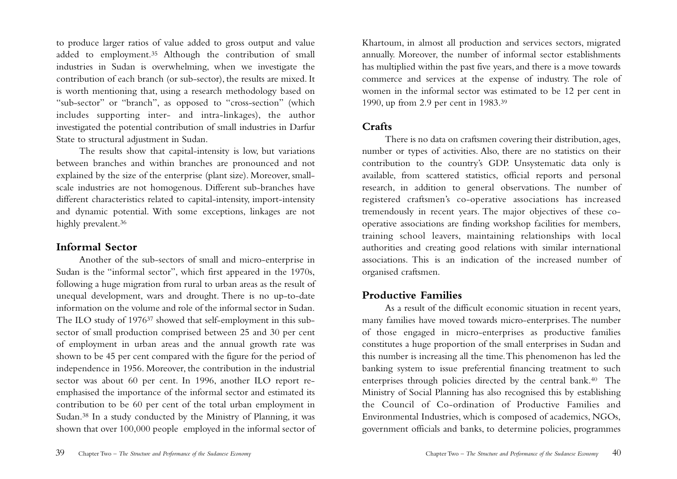to produce larger ratios of value added to gross output and value added to employment.35 Although the contribution of small industries in Sudan is overwhelming, when we investigate the contribution of each branch (or sub-sector), the results are mixed. It is worth mentioning that, using a research methodology based on "sub-sector" or "branch", as opposed to "cross-section" (which includes supporting inter- and intra-linkages), the author investigated the potential contribution of small industries in Darfur State to structural adjustment in Sudan.

The results show that capital-intensity is low, but variations between branches and within branches are pronounced and not explained by the size of the enterprise (plant size). Moreover, smallscale industries are not homogenous. Different sub-branches have different characteristics related to capital-intensity, import-intensity and dynamic potential. With some exceptions, linkages are not highly prevalent.<sup>36</sup>

## **Informal Sector**

Another of the sub-sectors of small and micro-enterprise in Sudan is the "informal sector", which first appeared in the 1970s, following a huge migration from rural to urban areas as the result of unequal development, wars and drought. There is no up-to-date information on the volume and role of the informal sector in Sudan. The ILO study of 197637 showed that self-employment in this subsector of small production comprised between 25 and 30 per cent of employment in urban areas and the annual growth rate was shown to be 45 per cent compared with the figure for the period of independence in 1956. Moreover, the contribution in the industrial sector was about 60 per cent. In 1996, another ILO report reemphasised the importance of the informal sector and estimated its contribution to be 60 per cent of the total urban employment in Sudan.38 In a study conducted by the Ministry of Planning, it was shown that over 100,000 people employed in the informal sector of

Khartoum, in almost all production and services sectors, migrated annually. Moreover, the number of informal sector establishments has multiplied within the past five years, and there is a move towards commerce and services at the expense of industry. The role of women in the informal sector was estimated to be 12 per cent in 1990, up from 2.9 per cent in 1983.39

## **Crafts**

There is no data on craftsmen covering their distribution, ages, number or types of activities. Also, there are no statistics on their contribution to the country's GDP. Unsystematic data only is available, from scattered statistics, official reports and personal research, in addition to general observations. The number of registered craftsmen's co-operative associations has increased tremendously in recent years. The major objectives of these cooperative associations are finding workshop facilities for members, training school leavers, maintaining relationships with local authorities and creating good relations with similar international associations. This is an indication of the increased number of organised craftsmen.

## **Productive Families**

As a result of the difficult economic situation in recent years, many families have moved towards micro-enterprises.The number of those engaged in micro-enterprises as productive families constitutes a huge proportion of the small enterprises in Sudan and this number is increasing all the time.This phenomenon has led the banking system to issue preferential financing treatment to such enterprises through policies directed by the central bank.40 The Ministry of Social Planning has also recognised this by establishing the Council of Co-ordination of Productive Families and Environmental Industries, which is composed of academics, NGOs, government officials and banks, to determine policies, programmes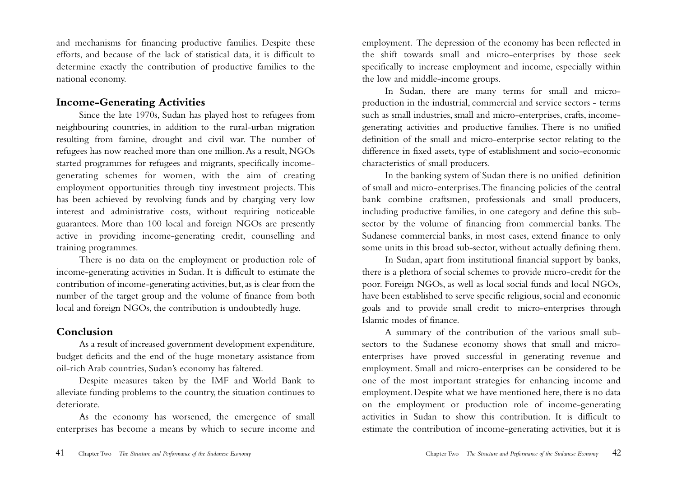and mechanisms for financing productive families. Despite these efforts, and because of the lack of statistical data, it is difficult to determine exactly the contribution of productive families to the national economy.

## **Income-Generating Activities**

Since the late 1970s, Sudan has played host to refugees from neighbouring countries, in addition to the rural-urban migration resulting from famine, drought and civil war. The number of refugees has now reached more than one million.As a result, NGOs started programmes for refugees and migrants, specifically incomegenerating schemes for women, with the aim of creating employment opportunities through tiny investment projects. This has been achieved by revolving funds and by charging very low interest and administrative costs, without requiring noticeable guarantees. More than 100 local and foreign NGOs are presently active in providing income-generating credit, counselling and training programmes.

There is no data on the employment or production role of income-generating activities in Sudan. It is difficult to estimate the contribution of income-generating activities, but, as is clear from the number of the target group and the volume of finance from both local and foreign NGOs, the contribution is undoubtedly huge.

## **Conclusion**

As a result of increased government development expenditure, budget deficits and the end of the huge monetary assistance from oil-rich Arab countries, Sudan's economy has faltered.

Despite measures taken by the IMF and World Bank to alleviate funding problems to the country, the situation continues to deteriorate.

As the economy has worsened, the emergence of small enterprises has become a means by which to secure income and

employment. The depression of the economy has been reflected in the shift towards small and micro-enterprises by those seek specifically to increase employment and income, especially within the low and middle-income groups.

In Sudan, there are many terms for small and microproduction in the industrial, commercial and service sectors - terms such as small industries, small and micro-enterprises, crafts, incomegenerating activities and productive families. There is no unified definition of the small and micro-enterprise sector relating to the difference in fixed assets, type of establishment and socio-economic characteristics of small producers.

In the banking system of Sudan there is no unified definition of small and micro-enterprises.The financing policies of the central bank combine craftsmen, professionals and small producers, including productive families, in one category and define this subsector by the volume of financing from commercial banks. The Sudanese commercial banks, in most cases, extend finance to only some units in this broad sub-sector, without actually defining them.

In Sudan, apart from institutional financial support by banks, there is a plethora of social schemes to provide micro-credit for the poor. Foreign NGOs, as well as local social funds and local NGOs, have been established to serve specific religious, social and economic goals and to provide small credit to micro-enterprises through Islamic modes of finance.

A summary of the contribution of the various small subsectors to the Sudanese economy shows that small and microenterprises have proved successful in generating revenue and employment. Small and micro-enterprises can be considered to be one of the most important strategies for enhancing income and employment. Despite what we have mentioned here, there is no data on the employment or production role of income-generating activities in Sudan to show this contribution. It is difficult to estimate the contribution of income-generating activities, but it is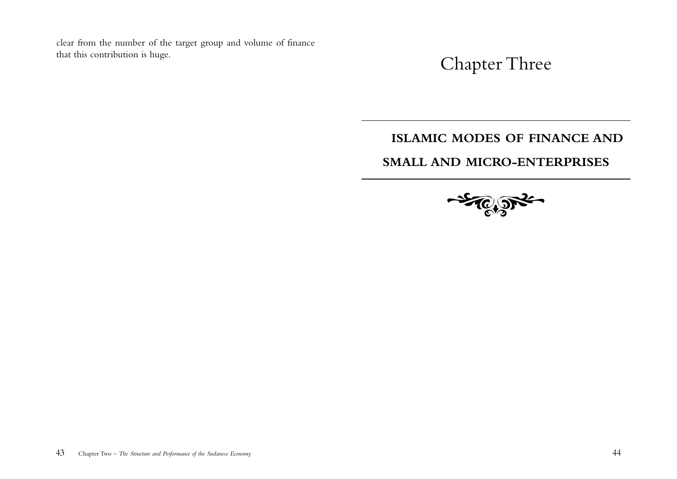clear from the number of the target group and volume of finance that this contribution is huge.

Chapter Three

## **ISLAMIC MODES OF FINANCE AND**

## **SMALL AND MICRO-ENTERPRISES**

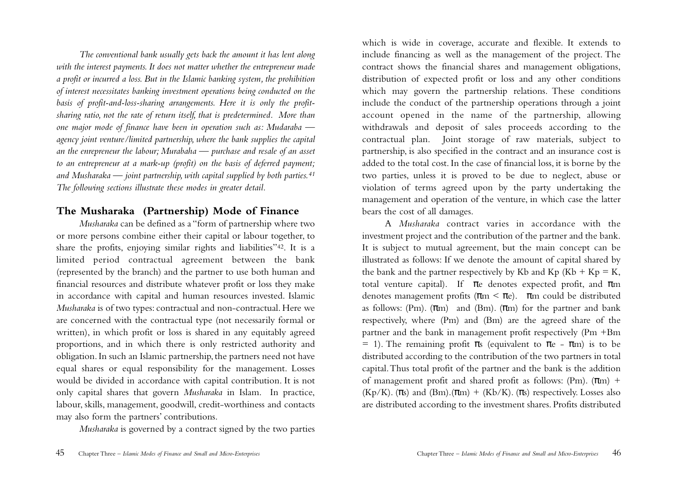*The conventional bank usually gets back the amount it has lent along with the interest payments. It does not matter whether the entrepreneur made a profit or incurred a loss. But in the Islamic banking system, the prohibition of interest necessitates banking investment operations being conducted on the basis of profit-and-loss-sharing arrangements. Here it is only the profitsharing ratio, not the rate of return itself, that is predetermined. More than one major mode of finance have been in operation such as: Mudaraba agency joint venture/limited partnership, where the bank supplies the capital an the enrepreneur the labour; Murabaha — purchase and resale of an asset to an entrepreneur at a mark-up (profit) on the basis of deferred payment; and Musharaka — joint partnership, with capital supplied by both parties.41 The following sections illustrate these modes in greater detail.*

## **The Musharaka (Partnership) Mode of Finance**

*Musharaka* can be defined as a "form of partnership where two or more persons combine either their capital or labour together, to share the profits, enjoying similar rights and liabilities"42. It is a limited period contractual agreement between the bank (represented by the branch) and the partner to use both human and financial resources and distribute whatever profit or loss they make in accordance with capital and human resources invested. Islamic *Musharaka* is of two types: contractual and non-contractual. Here we are concerned with the contractual type (not necessarily formal or written), in which profit or loss is shared in any equitably agreed proportions, and in which there is only restricted authority and obligation. In such an Islamic partnership, the partners need not have equal shares or equal responsibility for the management. Losses would be divided in accordance with capital contribution. It is not only capital shares that govern *Musharaka* in Islam. In practice, labour, skills, management, goodwill, credit-worthiness and contacts may also form the partners' contributions.

*Musharaka* is governed by a contract signed by the two parties

which is wide in coverage, accurate and flexible. It extends to include financing as well as the management of the project. The contract shows the financial shares and management obligations, distribution of expected profit or loss and any other conditions which may govern the partnership relations. These conditions include the conduct of the partnership operations through a joint account opened in the name of the partnership, allowing withdrawals and deposit of sales proceeds according to the contractual plan. Joint storage of raw materials, subject to partnership, is also specified in the contract and an insurance cost is added to the total cost. In the case of financial loss, it is borne by the two parties, unless it is proved to be due to neglect, abuse or violation of terms agreed upon by the party undertaking the management and operation of the venture, in which case the latter bears the cost of all damages.

A *Musharaka* contract varies in accordance with the investment project and the contribution of the partner and the bank. It is subject to mutual agreement, but the main concept can be illustrated as follows: If we denote the amount of capital shared by the bank and the partner respectively by Kb and Kp (Kb + Kp = K, total venture capital). If  $\pi$ e denotes expected profit, and  $\pi$ m denotes management profits ( $\pi$ m <  $\pi$ e).  $\pi$ m could be distributed as follows: (Pm).  $(\pi m)$  and (Bm).  $(\pi m)$  for the partner and bank respectively, where (Pm) and (Bm) are the agreed share of the partner and the bank in management profit respectively (Pm +Bm = 1). The remaining profit  $\pi s$  (equivalent to  $\pi e$  -  $\pi m$ ) is to be distributed according to the contribution of the two partners in total capital.Thus total profit of the partner and the bank is the addition of management profit and shared profit as follows:  $(Pm)$ .  $(\pi m)$  +  $(Kp/K)$ . ( $\pi s$ ) and  $(Bm)$ . ( $\pi m$ ) + ( $Kb/K$ ). ( $\pi s$ ) respectively. Losses also are distributed according to the investment shares. Profits distributed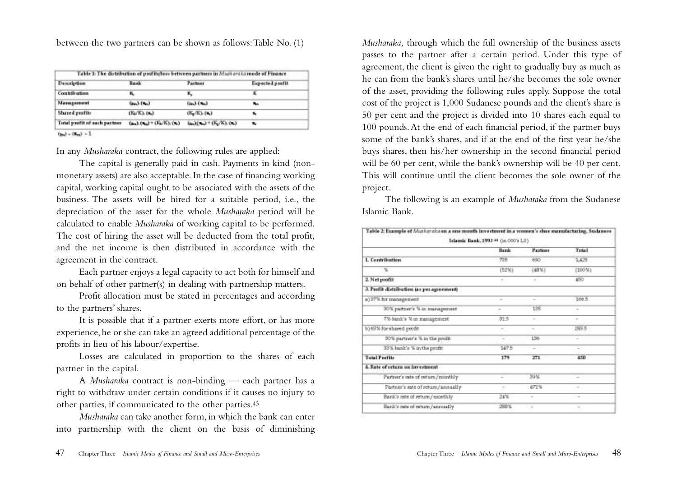between the two partners can be shown as follows:Table No. (1)

| <b>Description</b>            | Bank                          | <b>Parlmer</b>                     | Expected postit |
|-------------------------------|-------------------------------|------------------------------------|-----------------|
| Contribution                  |                               |                                    |                 |
| Management                    | $(m_1)$ $(m_2)$               | $(m_1)$ $(m_2)$                    |                 |
| Shared profits                | $(K_0/K_1, (K_2)$             | $(K_2/K)$ , $(K_2)$                |                 |
| Total profit of each partner. | $(n_0, n_1) + (N_0/K), (n_0)$ | $(n_0)(x_0)$ + $(K_0/K)$ , $(x_0)$ | ×               |
|                               |                               |                                    |                 |

 $(x_0) + (x_0) + 1$ 

In any *Musharaka* contract, the following rules are applied:

The capital is generally paid in cash. Payments in kind (nonmonetary assets) are also acceptable. In the case of financing working capital, working capital ought to be associated with the assets of the business. The assets will be hired for a suitable period, i.e., the depreciation of the asset for the whole *Musharaka* period will be calculated to enable *Musharaka* of working capital to be performed. The cost of hiring the asset will be deducted from the total profit, and the net income is then distributed in accordance with the agreement in the contract.

Each partner enjoys a legal capacity to act both for himself and on behalf of other partner(s) in dealing with partnership matters.

Profit allocation must be stated in percentages and according to the partners' shares.

It is possible that if a partner exerts more effort, or has more experience, he or she can take an agreed additional percentage of the profits in lieu of his labour/expertise.

Losses are calculated in proportion to the shares of each partner in the capital.

A *Musharaka* contract is non-binding — each partner has a right to withdraw under certain conditions if it causes no injury to other parties, if communicated to the other parties.43

*Musharaka* can take another form, in which the bank can enter into partnership with the client on the basis of diminishing *Musharaka,* through which the full ownership of the business assets passes to the partner after a certain period. Under this type of agreement, the client is given the right to gradually buy as much as he can from the bank's shares until he/she becomes the sole owner of the asset, providing the following rules apply. Suppose the total cost of the project is 1,000 Sudanese pounds and the client's share is 50 per cent and the project is divided into 10 shares each equal to 100 pounds.At the end of each financial period, if the partner buys some of the bank's shares, and if at the end of the first year he/she buys shares, then his/her ownership in the second financial period will be 60 per cent, while the bank's ownership will be 40 per cent. This will continue until the client becomes the sole owner of the project.

The following is an example of *Musharaka* from the Sudanese Islamic Bank.

| Table 2: Example of Markerskoon a one month investment in a vromen's shoe manufacturing, Sudanese | Islamic Bank, 1993 ** (in 000's LS) |                |        |
|---------------------------------------------------------------------------------------------------|-------------------------------------|----------------|--------|
|                                                                                                   | Bank                                | <b>Partner</b> | Total  |
| 1. Contribution                                                                                   | 735                                 | 690            | 1,425  |
| - 41                                                                                              | (52%)                               | (48%)          | (100%) |
| 2. Net profit                                                                                     | s)                                  | $\sim$         | 450    |
| 3. Profit distribution (as per agreement)                                                         |                                     |                |        |
| a) 37% for management                                                                             | $\sim$                              | $\sim$         | 166.5  |
| 30% pattner's % in management.                                                                    | C.T.                                | 135            |        |
| 7% hank's % in management                                                                         | 31.5                                | $\sim$         | ٠      |
| b) 63% for shared profit                                                                          | $\tau_{\perp}$                      | 1.10           | FR3.5  |
| 30% partner's % in the profit.                                                                    | ÷                                   | 156            |        |
| 33% bank's % in the profit                                                                        | 1475                                | ÷              |        |
| <b>Total Profits</b>                                                                              | 179                                 | 271            | 450    |
| 4. Rate of return on investment                                                                   |                                     |                |        |
| Partner's rate of return/monthly                                                                  | ÷                                   | 39%            | $\sim$ |
| Partner's rate of return/annually                                                                 | $\sim$                              | 471%           | $\sim$ |
| Bank's rate of return,/ monthly                                                                   | 24%                                 |                |        |
| Bank's rate of return/annually                                                                    | 288 K                               | $\sim$         | $\sim$ |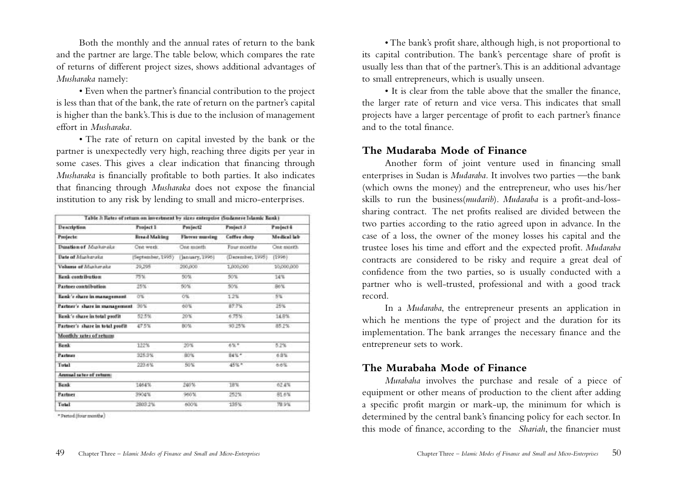Both the monthly and the annual rates of return to the bank and the partner are large.The table below, which compares the rate of returns of different project sizes, shows additional advantages of *Musharaka* namely:

• Even when the partner's financial contribution to the project is less than that of the bank, the rate of return on the partner's capital is higher than the bank's.This is due to the inclusion of management effort in *Musharaka.*

• The rate of return on capital invested by the bank or the partner is unexpectedly very high, reaching three digits per year in some cases. This gives a clear indication that financing through *Musharaka* is financially profitable to both parties. It also indicates that financing through *Musharaka* does not expose the financial institution to any risk by lending to small and micro-enterprises.

| Description                     | <b>Fraject 1</b>  | Project2       | Project 3         | Project 4   |
|---------------------------------|-------------------|----------------|-------------------|-------------|
| Projects:                       | Bread Making      | Florest number | Coffee shop       | Medical lab |
| Dusation of Masharake           | One week.         | One month      | Four months       | Ose month   |
| Dete of Muskaraka               | [September, 1995] | January, 1996) | (December, 1995). | [1996]      |
| Volume of Markerake             | 29,295            | 200,000        | 1,000,000         | 10,000,000  |
| <b>Bank contribution</b>        | 75%               | 50%            | 50%               | 14%         |
| <b>Pastner contribution</b>     | 25%               | 50%            | 50%               | 86%         |
| Eenk's shere in management.     | O'S               | O%             | 1.2%              | $-5\%$      |
| Partner's share in management   | 20%               | 60%            | 87.7%             | 25%         |
| Bank's share in total profit    | 52.5%             | 20年            | 6.75%             | 14.8%       |
| Partner's share in total profit | 47.5%             | B0%            | 93.25%            | 85.2%       |
| Montly's rates of returns       |                   |                |                   |             |
| <b>Bank</b>                     | 122%              | 20%            | 6%*               | 5.2%        |
| <b>Partmer</b>                  | 925.9%            | 80%            | 84%*              | 6.9%        |
| Total                           | 223.6%            | 50%            | 45%*              | 石水な         |
| Annual tabes of return:         |                   |                |                   |             |
| Bank                            | 1464%             | 240%           | 18%               | 62.4%       |
| <b>Partner</b>                  | 3904%             | 960%           | 252%              | 81.6%       |
| Total                           | 2803.2%           | 600%           | 195%              | 78.9%       |

\* Pertod (four months)

• The bank's profit share, although high, is not proportional to its capital contribution. The bank's percentage share of profit is usually less than that of the partner's.This is an additional advantage to small entrepreneurs, which is usually unseen.

• It is clear from the table above that the smaller the finance, the larger rate of return and vice versa. This indicates that small projects have a larger percentage of profit to each partner's finance and to the total finance.

## **The Mudaraba Mode of Finance**

Another form of joint venture used in financing small enterprises in Sudan is *Mudaraba.* It involves two parties —the bank (which owns the money) and the entrepreneur, who uses his/her skills to run the business(*mudarib*). *Mudaraba* is a profit-and-losssharing contract. The net profits realised are divided between the two parties according to the ratio agreed upon in advance. In the case of a loss, the owner of the money losses his capital and the trustee loses his time and effort and the expected profit. *Mudaraba* contracts are considered to be risky and require a great deal of confidence from the two parties, so is usually conducted with a partner who is well-trusted, professional and with a good track record.

In a *Mudaraba*, the entrepreneur presents an application in which he mentions the type of project and the duration for its implementation. The bank arranges the necessary finance and the entrepreneur sets to work.

## **The Murabaha Mode of Finance**

*Murabaha* involves the purchase and resale of a piece of equipment or other means of production to the client after adding a specific profit margin or mark-up, the minimum for which is determined by the central bank's financing policy for each sector. In this mode of finance, according to the *Shariah*, the financier must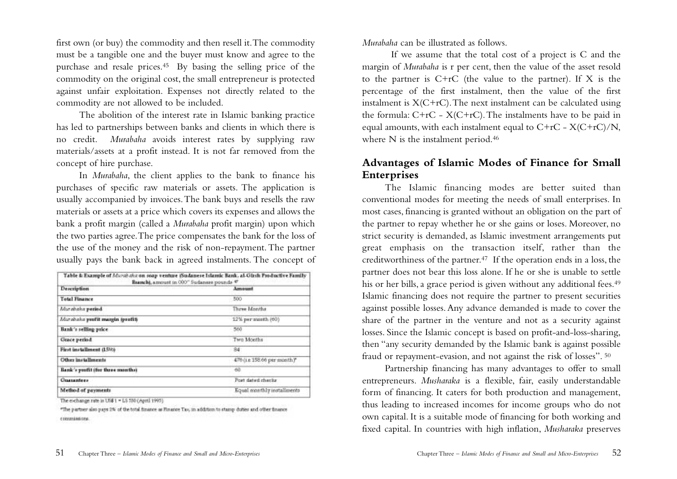first own (or buy) the commodity and then resell it.The commodity must be a tangible one and the buyer must know and agree to the purchase and resale prices.45 By basing the selling price of the commodity on the original cost, the small entrepreneur is protected against unfair exploitation. Expenses not directly related to the commodity are not allowed to be included.

The abolition of the interest rate in Islamic banking practice has led to partnerships between banks and clients in which there is no credit. *Murabaha* avoids interest rates by supplying raw materials/assets at a profit instead. It is not far removed from the concept of hire purchase.

In *Murabaha*, the client applies to the bank to finance his purchases of specific raw materials or assets. The application is usually accompanied by invoices.The bank buys and resells the raw materials or assets at a price which covers its expenses and allows the bank a profit margin (called a *Murabaha* profit margin) upon which the two parties agree.The price compensates the bank for the loss of the use of the money and the risk of non-repayment.The partner usually pays the bank back in agreed instalments. The concept of

| Table & Example of Mozab alor on soap venture (Sudanese Islamic Bank, al-Girsh Pro-Inctive Family<br>Reanchi, amount in 000" Sudanese pounds @ |                              |  |  |  |
|------------------------------------------------------------------------------------------------------------------------------------------------|------------------------------|--|--|--|
| <b>Description</b>                                                                                                                             | Armount                      |  |  |  |
| <b>Total Finance</b>                                                                                                                           | ROO                          |  |  |  |
| Marshaka pedad.                                                                                                                                | Three Months                 |  |  |  |
| Marabaka postit margin (profit)                                                                                                                | 12% per month (60)           |  |  |  |
| Bank's selling price                                                                                                                           | 560                          |  |  |  |
| Grace period                                                                                                                                   | Two Months                   |  |  |  |
| First installment (15%)                                                                                                                        | 84                           |  |  |  |
| Other installments                                                                                                                             | 476 (i.e. 158.66 per month)* |  |  |  |
| Bank's profit (for three months)                                                                                                               | 60                           |  |  |  |
| <b>Guarantees</b>                                                                                                                              | Fort dated checks            |  |  |  |
| Method of payments                                                                                                                             | Equal monthly installments   |  |  |  |
|                                                                                                                                                |                              |  |  |  |

The exchange rate in US\$1 = LS 530 (April 1995).

"The partner also pays 2% of the total finance as Rinance Tax, in addition to stamp duties and other finance commissions

*Murabaha* can be illustrated as follows.

If we assume that the total cost of a project is C and the margin of *Murabaha* is r per cent, then the value of the asset resold to the partner is C+rC (the value to the partner). If X is the percentage of the first instalment, then the value of the first instalment is  $X(C+rC)$ . The next instalment can be calculated using the formula:  $C+rC - X(C+rC)$ . The instalments have to be paid in equal amounts, with each instalment equal to  $C+rC - X(C+rC)/N$ , where N is the instalment period.<sup>46</sup>

## **Advantages of Islamic Modes of Finance for Small Enterprises**

The Islamic financing modes are better suited than conventional modes for meeting the needs of small enterprises. In most cases, financing is granted without an obligation on the part of the partner to repay whether he or she gains or loses. Moreover, no strict security is demanded, as Islamic investment arrangements put great emphasis on the transaction itself, rather than the creditworthiness of the partner.47 If the operation ends in a loss, the partner does not bear this loss alone. If he or she is unable to settle his or her bills, a grace period is given without any additional fees.<sup>49</sup> Islamic financing does not require the partner to present securities against possible losses.Any advance demanded is made to cover the share of the partner in the venture and not as a security against losses. Since the Islamic concept is based on profit-and-loss-sharing, then "any security demanded by the Islamic bank is against possible fraud or repayment-evasion, and not against the risk of losses". <sup>50</sup>

Partnership financing has many advantages to offer to small entrepreneurs. *Musharaka* is a flexible, fair, easily understandable form of financing. It caters for both production and management, thus leading to increased incomes for income groups who do not own capital. It is a suitable mode of financing for both working and fixed capital. In countries with high inflation, *Musharaka* preserves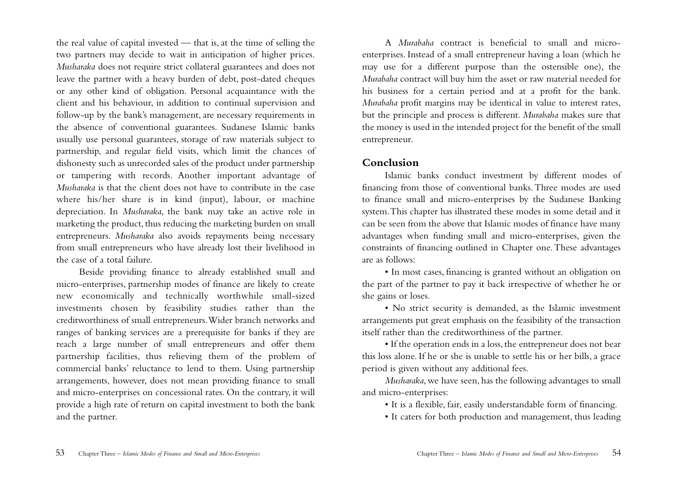the real value of capital invested — that is, at the time of selling the two partners may decide to wait in anticipation of higher prices. *Musharaka* does not require strict collateral guarantees and does not leave the partner with a heavy burden of debt, post-dated cheques or any other kind of obligation. Personal acquaintance with the client and his behaviour, in addition to continual supervision and follow-up by the bank's management, are necessary requirements in the absence of conventional guarantees. Sudanese Islamic banks usually use personal guarantees, storage of raw materials subject to partnership, and regular field visits, which limit the chances of dishonesty such as unrecorded sales of the product under partnership or tampering with records. Another important advantage of *Musharaka* is that the client does not have to contribute in the case where his/her share is in kind (input), labour, or machine depreciation. In *Musharaka*, the bank may take an active role in marketing the product, thus reducing the marketing burden on small entrepreneurs. *Musharaka* also avoids repayments being necessary from small entrepreneurs who have already lost their livelihood in the case of a total failure.

Beside providing finance to already established small and micro-enterprises, partnership modes of finance are likely to create new economically and technically worthwhile small-sized investments chosen by feasibility studies rather than the creditworthiness of small entrepreneurs.Wider branch networks and ranges of banking services are a prerequisite for banks if they are reach a large number of small entrepreneurs and offer them partnership facilities, thus relieving them of the problem of commercial banks' reluctance to lend to them. Using partnership arrangements, however, does not mean providing finance to small and micro-enterprises on concessional rates. On the contrary, it will provide a high rate of return on capital investment to both the bank and the partner.

A *Murabaha* contract is beneficial to small and microenterprises. Instead of a small entrepreneur having a loan (which he may use for a different purpose than the ostensible one), the *Murabaha* contract will buy him the asset or raw material needed for his business for a certain period and at a profit for the bank. *Murabaha* profit margins may be identical in value to interest rates, but the principle and process is different. *Murabaha* makes sure that the money is used in the intended project for the benefit of the small entrepreneur.

#### **Conclusion**

Islamic banks conduct investment by different modes of financing from those of conventional banks.Three modes are used to finance small and micro-enterprises by the Sudanese Banking system.This chapter has illustrated these modes in some detail and it can be seen from the above that Islamic modes of finance have many advantages when funding small and micro-enterprises, given the constraints of financing outlined in Chapter one.These advantages are as follows:

• In most cases, financing is granted without an obligation on the part of the partner to pay it back irrespective of whether he or she gains or loses.

• No strict security is demanded, as the Islamic investment arrangements put great emphasis on the feasibility of the transaction itself rather than the creditworthiness of the partner.

• If the operation ends in a loss, the entrepreneur does not bear this loss alone. If he or she is unable to settle his or her bills, a grace period is given without any additional fees.

*Musharaka*, we have seen, has the following advantages to small and micro-enterprises:

• It is a flexible, fair, easily understandable form of financing.

• It caters for both production and management, thus leading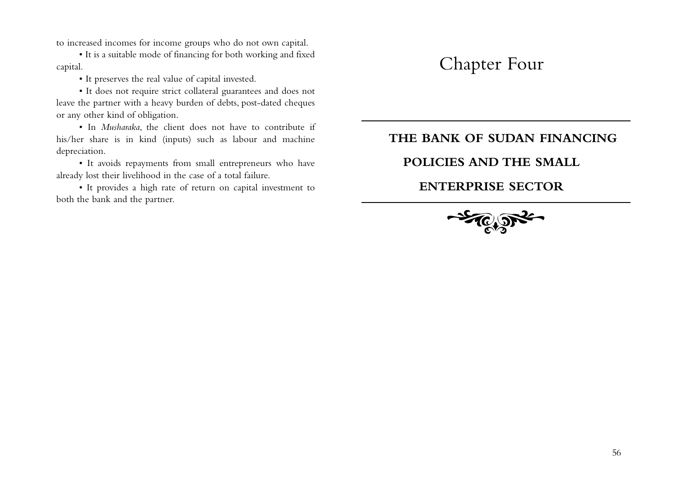to increased incomes for income groups who do not own capital.

• It is a suitable mode of financing for both working and fixed capital.

• It preserves the real value of capital invested.

• It does not require strict collateral guarantees and does not leave the partner with a heavy burden of debts, post-dated cheques or any other kind of obligation.

• In *Musharaka*, the client does not have to contribute if his/her share is in kind (inputs) such as labour and machine depreciation.

• It avoids repayments from small entrepreneurs who have already lost their livelihood in the case of a total failure.

• It provides a high rate of return on capital investment to both the bank and the partner.

# Chapter Four

## **THE BANK OF SUDAN FINANCING**

## **POLICIES AND THE SMALL**

## **ENTERPRISE SECTOR**

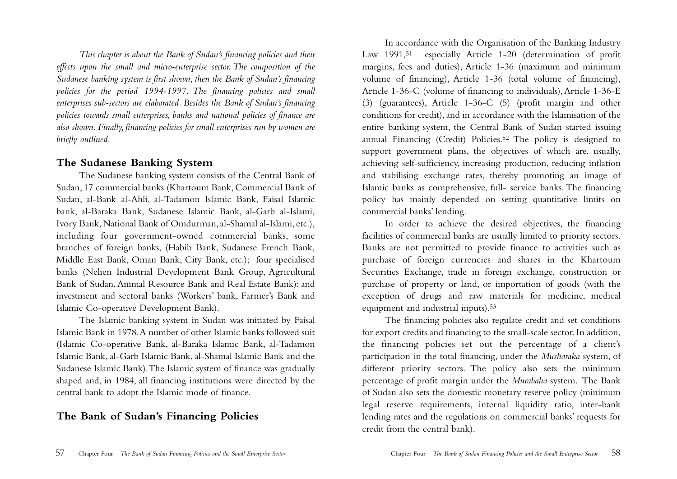*This chapter is about the Bank of Sudan's financing policies and their effects upon the small and micro-enterprise sector. The composition of the Sudanese banking system is first shown, then the Bank of Sudan's financing policies for the period 1994-1997. The financing policies and small enterprises sub-sectors are elaborated. Besides the Bank of Sudan's financing policies towards small enterprises, banks and national policies of finance are also shown. Finally, financing policies for small enterprises run by women are briefly outlined.*

#### **The Sudanese Banking System**

The Sudanese banking system consists of the Central Bank of Sudan, 17 commercial banks (Khartoum Bank, Commercial Bank of Sudan, al-Bank al-Ahli, al-Tadamon Islamic Bank, Faisal Islamic bank, al-Baraka Bank, Sudanese Islamic Bank, al-Garb al-Islami, Ivory Bank, National Bank of Omdurman, al-Shamal al-Islami, etc.), including four government-owned commercial banks, some branches of foreign banks, (Habib Bank, Sudanese French Bank, Middle East Bank, Oman Bank, City Bank, etc.); four specialised banks (Nelien Industrial Development Bank Group, Agricultural Bank of Sudan,Animal Resource Bank and Real Estate Bank); and investment and sectoral banks (Workers' bank, Farmer's Bank and Islamic Co-operative Development Bank).

The Islamic banking system in Sudan was initiated by Faisal Islamic Bank in 1978.A number of other Islamic banks followed suit (Islamic Co-operative Bank, al-Baraka Islamic Bank, al-Tadamon Islamic Bank, al-Garb Islamic Bank, al-Shamal Islamic Bank and the Sudanese Islamic Bank).The Islamic system of finance was gradually shaped and, in 1984, all financing institutions were directed by the central bank to adopt the Islamic mode of finance.

## **The Bank of Sudan's Financing Policies**

In accordance with the Organisation of the Banking Industry Law 1991,51 especially Article 1-20 (determination of profit margins, fees and duties), Article 1-36 (maximum and minimum volume of financing), Article 1-36 (total volume of financing), Article 1-36-C (volume of financing to individuals), Article 1-36-E (3) (guarantees), Article 1-36-C (5) (profit margin and other conditions for credit), and in accordance with the Islamisation of the entire banking system, the Central Bank of Sudan started issuing annual Financing (Credit) Policies.52 The policy is designed to support government plans, the objectives of which are, usually, achieving self-sufficiency, increasing production, reducing inflation and stabilising exchange rates, thereby promoting an image of Islamic banks as comprehensive, full- service banks. The financing policy has mainly depended on setting quantitative limits on commercial banks' lending.

In order to achieve the desired objectives, the financing facilities of commercial banks are usually limited to priority sectors. Banks are not permitted to provide finance to activities such as purchase of foreign currencies and shares in the Khartoum Securities Exchange, trade in foreign exchange, construction or purchase of property or land, or importation of goods (with the exception of drugs and raw materials for medicine, medical equipment and industrial inputs).53

The financing policies also regulate credit and set conditions for export credits and financing to the small-scale sector. In addition, the financing policies set out the percentage of a client's participation in the total financing, under the *Musharaka* system, of different priority sectors. The policy also sets the minimum percentage of profit margin under the *Murabaha* system. The Bank of Sudan also sets the domestic monetary reserve policy (minimum legal reserve requirements, internal liquidity ratio, inter-bank lending rates and the regulations on commercial banks' requests for credit from the central bank).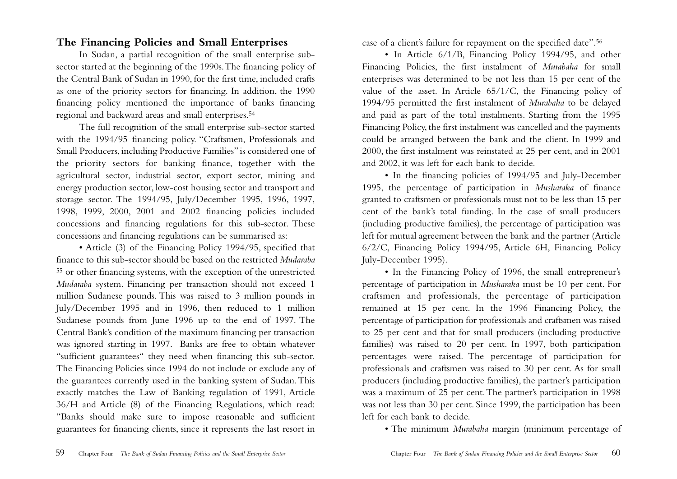## **The Financing Policies and Small Enterprises**

In Sudan, a partial recognition of the small enterprise subsector started at the beginning of the 1990s.The financing policy of the Central Bank of Sudan in 1990, for the first time, included crafts as one of the priority sectors for financing. In addition, the 1990 financing policy mentioned the importance of banks financing regional and backward areas and small enterprises.54

The full recognition of the small enterprise sub-sector started with the 1994/95 financing policy. "Craftsmen, Professionals and Small Producers, including Productive Families" is considered one of the priority sectors for banking finance, together with the agricultural sector, industrial sector, export sector, mining and energy production sector, low-cost housing sector and transport and storage sector. The 1994/95, July/December 1995, 1996, 1997, 1998, 1999, 2000, 2001 and 2002 financing policies included concessions and financing regulations for this sub-sector. These concessions and financing regulations can be summarised as:

• Article (3) of the Financing Policy 1994/95, specified that finance to this sub-sector should be based on the restricted *Mudaraba* <sup>55</sup> or other financing systems, with the exception of the unrestricted *Mudaraba* system. Financing per transaction should not exceed 1 million Sudanese pounds. This was raised to 3 million pounds in July/December 1995 and in 1996, then reduced to 1 million Sudanese pounds from June 1996 up to the end of 1997. The Central Bank's condition of the maximum financing per transaction was ignored starting in 1997. Banks are free to obtain whatever "sufficient guarantees" they need when financing this sub-sector. The Financing Policies since 1994 do not include or exclude any of the guarantees currently used in the banking system of Sudan.This exactly matches the Law of Banking regulation of 1991, Article 36/H and Article (8) of the Financing Regulations, which read: "Banks should make sure to impose reasonable and sufficient guarantees for financing clients, since it represents the last resort in

case of a client's failure for repayment on the specified date".56

• In Article 6/1/B, Financing Policy 1994/95, and other Financing Policies, the first instalment of *Murabaha* for small enterprises was determined to be not less than 15 per cent of the value of the asset. In Article 65/1/C, the Financing policy of 1994/95 permitted the first instalment of *Murabaha* to be delayed and paid as part of the total instalments. Starting from the 1995 Financing Policy, the first instalment was cancelled and the payments could be arranged between the bank and the client. In 1999 and 2000, the first instalment was reinstated at 25 per cent, and in 2001 and 2002, it was left for each bank to decide.

• In the financing policies of 1994/95 and July-December 1995, the percentage of participation in *Musharaka* of finance granted to craftsmen or professionals must not to be less than 15 per cent of the bank's total funding. In the case of small producers (including productive families), the percentage of participation was left for mutual agreement between the bank and the partner (Article 6/2/C, Financing Policy 1994/95, Article 6H, Financing Policy July-December 1995).

• In the Financing Policy of 1996, the small entrepreneur's percentage of participation in *Musharaka* must be 10 per cent. For craftsmen and professionals, the percentage of participation remained at 15 per cent. In the 1996 Financing Policy, the percentage of participation for professionals and craftsmen was raised to 25 per cent and that for small producers (including productive families) was raised to 20 per cent. In 1997, both participation percentages were raised. The percentage of participation for professionals and craftsmen was raised to 30 per cent. As for small producers (including productive families), the partner's participation was a maximum of 25 per cent.The partner's participation in 1998 was not less than 30 per cent. Since 1999, the participation has been left for each bank to decide.

• The minimum *Murabaha* margin (minimum percentage of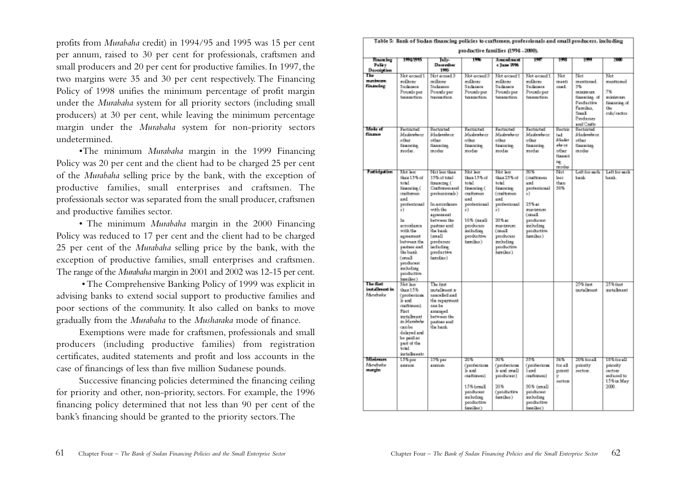profits from *Murabaha* credit) in 1994/95 and 1995 was 15 per cent per annum, raised to 30 per cent for professionals, craftsmen and small producers and 20 per cent for productive families. In 1997, the two margins were 35 and 30 per cent respectively. The Financing Policy of 1998 unifies the minimum percentage of profit margin under the *Murabaha* system for all priority sectors (including small producers) at 30 per cent, while leaving the minimum percentage margin under the *Murabaha* system for non-priority sectors undetermined.

•The minimum *Murabaha* margin in the 1999 Financing Policy was 20 per cent and the client had to be charged 25 per cent of the *Murabaha* selling price by the bank, with the exception of productive families, small enterprises and craftsmen. The professionals sector was separated from the small producer, craftsmen and productive families sector.

• The minimum *Murabaha* margin in the 2000 Financing Policy was reduced to 17 per cent and the client had to be charged 25 per cent of the *Murabaha* selling price by the bank, with the exception of productive families, small enterprises and craftsmen. The range of the *Murabaha* margin in 2001 and 2002 was 12-15 per cent.

• The Comprehensive Banking Policy of 1999 was explicit in advising banks to extend social support to productive families and poor sections of the community. It also called on banks to move gradually from the *Murabaha* to the *Musharaka* mode of finance.

Exemptions were made for craftsmen, professionals and small producers (including productive families) from registration certificates, audited statements and profit and loss accounts in the case of financings of less than five million Sudanese pounds.

Successive financing policies determined the financing ceiling for priority and other, non-priority, sectors. For example, the 1996 financing policy determined that not less than 90 per cent of the bank's financing should be granted to the priority sectors.The

|                                                 |                                                                                                                                                                                                                                                                  |                                                                                                                                                                                                                                               |                                                                                                                                                                | productive families (1994-2000).                                                                                                                                                              |                                                                                                                                                        |                                                                          |                                                                                                   |                                                                                             |
|-------------------------------------------------|------------------------------------------------------------------------------------------------------------------------------------------------------------------------------------------------------------------------------------------------------------------|-----------------------------------------------------------------------------------------------------------------------------------------------------------------------------------------------------------------------------------------------|----------------------------------------------------------------------------------------------------------------------------------------------------------------|-----------------------------------------------------------------------------------------------------------------------------------------------------------------------------------------------|--------------------------------------------------------------------------------------------------------------------------------------------------------|--------------------------------------------------------------------------|---------------------------------------------------------------------------------------------------|---------------------------------------------------------------------------------------------|
| <b>Houseins</b><br>Policy<br><b>Description</b> | 19957995                                                                                                                                                                                                                                                         | ਦਿਆ<br>December<br>1995                                                                                                                                                                                                                       | 1995                                                                                                                                                           | <u>A सन्दरनी सन्दर्भ</u><br>s June 1996                                                                                                                                                       | 1987                                                                                                                                                   | 1998                                                                     | 1997                                                                                              | 2000                                                                                        |
| $T_{\rm be}$<br>mandonom<br>financing           | Not exped 1<br>exilbons<br><b>Sudares</b><br>Pounds per<br>taxasactics.                                                                                                                                                                                          | Not exped 3<br>milions<br>Sudaweee<br>Pounds per<br>traggastion.                                                                                                                                                                              | Not exped 3<br>milton<br>Sudareste<br>Pounds per<br>taxasactices.                                                                                              | Not exceed 1<br>milton<br>Sudarers.<br>Pounds per<br>taxasactics.                                                                                                                             | Not exceed 1<br>vedher<br>Sudareste<br>Pounds per<br>texametion.                                                                                       | Not<br>menti<br>ound.                                                    | Not<br>mentioned.<br>5%<br>reteire ure.<br>financing of<br>Productive<br>Families.<br>Seat1.      | Not<br><b>Executions</b><br>76<br>ancio dan cosa u<br>financing of<br>the.<br>stala/swebar. |
| Made of<br>finance                              | Excluded<br>Maskvataar<br>other<br>financing<br>modes.                                                                                                                                                                                                           | <b>Bertricted</b><br>iklademia or<br>other<br><b>Financing</b><br>moder                                                                                                                                                                       | <b>Eaststated</b><br>Maskveteor<br>other<br>financing.<br>moder                                                                                                | <b>Exclusived</b><br>Maskvataor<br>other<br>financing.<br>moder                                                                                                                               | <b>Excluded</b><br>Maskvebear<br>other<br>financing.<br>moder                                                                                          | <b>Bactric</b><br>ted.<br>Mader<br>aba oe.<br>other<br><b>Based</b><br>哦 | Producers<br>and Crafts<br><b>Fectricial</b><br>iklademia or<br>other<br><b>Basecies</b><br>moder |                                                                                             |
| <b>Fatiopation</b>                              | Not lear<br>than 1.5% of<br>total<br>financing (<br>craftersen<br>md<br>Instituted<br>эÌ.<br>1×<br>recordingen<br>with the<br><b><i>REPORTANTS</i></b><br>between the<br>pasters and<br>the bunk.<br>(mul.<br>produosat<br>including<br>productive<br>issullec's | Not less than.<br>15% of total<br>financing (<br>Craftones and<br>protestionals)<br>In accordance<br>with the<br>appendanci<br>between the<br>butner and<br>the bank.<br>farnall<br>produoup<br><b>backs disp:</b><br>productive<br>familier) | Mot less<br>than 1.5% of<br>total<br>financing (<br>crafteroun<br>md<br>professional<br>3Ì<br>10% (seat)<br>producers<br>including<br>productive<br>turn (box) | Mot lear<br>than 23% of<br>total<br>financing<br><b>Conditioners</b><br>med<br>InstituteDosp<br>эÌ.<br>20 S at<br><b>EUPLEME</b><br>(onal.<br>producers<br>including<br>productive<br>imulko) | उत्तर-<br>Constitution<br>med<br>professional<br>эÌ.<br>25% ac<br><b>FIELD AT ALC:</b><br>Convil.<br>produout<br>including<br>productive<br>immaliko ) | moder<br>Nat<br>lagg<br>than<br>30%                                      | Left for each<br>bank                                                                             | Lett for suck.<br>land.                                                                     |
| The first<br>installment in<br>Mendnebe         | Not kn<br>0.015<br>(professions.<br>ls and.<br>скаповна).<br><b>First</b><br>installment<br>in Manshaha<br>anbe<br>dalayed and.<br>las paúd ar<br>part of the<br>iotal<br>incialhe exte                                                                          | The first<br>trotalboard is<br>associad and<br>the programmt.<br>nasa be<br>amanged<br>between the<br>packner and<br>the bank                                                                                                                 |                                                                                                                                                                |                                                                                                                                                                                               |                                                                                                                                                        |                                                                          | 27% first<br>testallesent.                                                                        | 25% ftmt<br>itetslinket                                                                     |
| Misisson<br>Mondneke<br>mergin                  | 135 рм<br>AGGLIE.                                                                                                                                                                                                                                                | 15% рат<br>4249301                                                                                                                                                                                                                            | সায়<br>(professions<br>li and<br>craftones)<br>15% frontl<br>producers<br>including<br>productive<br><b>Long Floor In</b>                                     | জায়<br>(professions.<br>li and mull<br>producent)<br>20.5<br>(productive<br>form (her.)                                                                                                      | 335.<br>(professions.<br><b>Tirnd</b><br>стаполной<br>30% (small)<br>produout<br>including<br>productive<br><b>Long (Time )</b>                        | 56%<br>for all.<br>priorti<br>v<br>suctors                               | 20% toral<br>priority<br>sector.                                                                  | 18% for all<br>psionity<br>sectors.<br>of bearber<br>15% to May<br>2000.                    |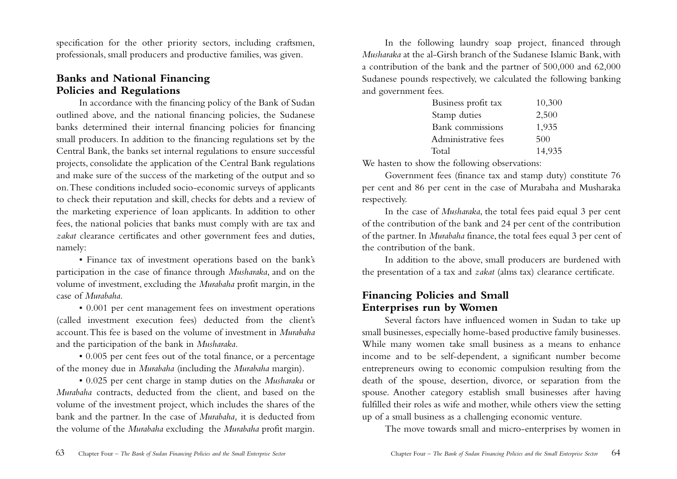specification for the other priority sectors, including craftsmen, professionals, small producers and productive families, was given.

## **Banks and National Financing Policies and Regulations**

In accordance with the financing policy of the Bank of Sudan outlined above, and the national financing policies, the Sudanese banks determined their internal financing policies for financing small producers. In addition to the financing regulations set by the Central Bank, the banks set internal regulations to ensure successful projects, consolidate the application of the Central Bank regulations and make sure of the success of the marketing of the output and so on.These conditions included socio-economic surveys of applicants to check their reputation and skill, checks for debts and a review of the marketing experience of loan applicants. In addition to other fees, the national policies that banks must comply with are tax and *zakat* clearance certificates and other government fees and duties, namely:

• Finance tax of investment operations based on the bank's participation in the case of finance through *Musharaka*, and on the volume of investment, excluding the *Murabaha* profit margin, in the case of *Murabaha*.

• 0.001 per cent management fees on investment operations (called investment execution fees) deducted from the client's account.This fee is based on the volume of investment in *Murabaha* and the participation of the bank in *Musharaka*.

• 0.005 per cent fees out of the total finance, or a percentage of the money due in *Murabaha* (including the *Murabaha* margin).

• 0.025 per cent charge in stamp duties on the *Musharaka* or *Murabaha* contracts, deducted from the client, and based on the volume of the investment project, which includes the shares of the bank and the partner. In the case of *Murabaha,* it is deducted from the volume of the *Murabaha* excluding the *Murabaha* profit margin.

In the following laundry soap project, financed through *Musharaka* at the al-Girsh branch of the Sudanese Islamic Bank, with a contribution of the bank and the partner of 500,000 and 62,000 Sudanese pounds respectively, we calculated the following banking and government fees.

| Business profit tax | 10,300 |
|---------------------|--------|
| Stamp duties        | 2,500  |
| Bank commissions    | 1,935  |
| Administrative fees | 500    |
| Total               | 14,935 |

We hasten to show the following observations:

Government fees (finance tax and stamp duty) constitute 76 per cent and 86 per cent in the case of Murabaha and Musharaka respectively.

In the case of *Musharaka*, the total fees paid equal 3 per cent of the contribution of the bank and 24 per cent of the contribution of the partner. In *Murabaha* finance, the total fees equal 3 per cent of the contribution of the bank.

In addition to the above, small producers are burdened with the presentation of a tax and *zakat* (alms tax) clearance certificate.

## **Financing Policies and Small Enterprises run by Women**

Several factors have influenced women in Sudan to take up small businesses, especially home-based productive family businesses. While many women take small business as a means to enhance income and to be self-dependent, a significant number become entrepreneurs owing to economic compulsion resulting from the death of the spouse, desertion, divorce, or separation from the spouse. Another category establish small businesses after having fulfilled their roles as wife and mother, while others view the setting up of a small business as a challenging economic venture.

The move towards small and micro-enterprises by women in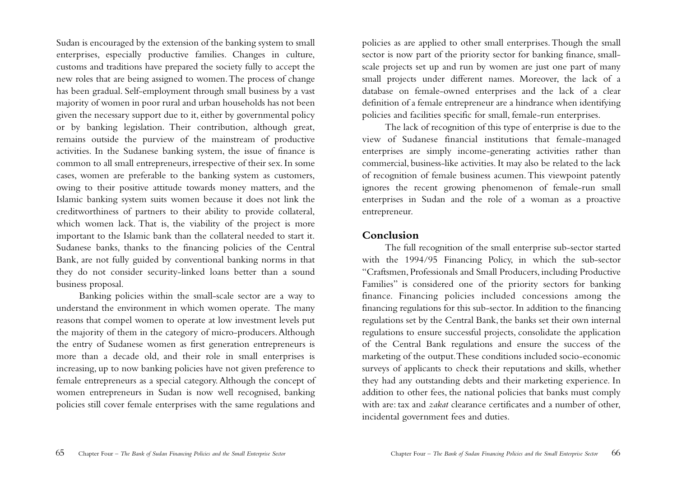Sudan is encouraged by the extension of the banking system to small enterprises, especially productive families. Changes in culture, customs and traditions have prepared the society fully to accept the new roles that are being assigned to women.The process of change has been gradual. Self-employment through small business by a vast majority of women in poor rural and urban households has not been given the necessary support due to it, either by governmental policy or by banking legislation. Their contribution, although great, remains outside the purview of the mainstream of productive activities. In the Sudanese banking system, the issue of finance is common to all small entrepreneurs, irrespective of their sex. In some cases, women are preferable to the banking system as customers, owing to their positive attitude towards money matters, and the Islamic banking system suits women because it does not link the creditworthiness of partners to their ability to provide collateral, which women lack. That is, the viability of the project is more important to the Islamic bank than the collateral needed to start it. Sudanese banks, thanks to the financing policies of the Central Bank, are not fully guided by conventional banking norms in that they do not consider security-linked loans better than a sound business proposal.

Banking policies within the small-scale sector are a way to understand the environment in which women operate. The many reasons that compel women to operate at low investment levels put the majority of them in the category of micro-producers.Although the entry of Sudanese women as first generation entrepreneurs is more than a decade old, and their role in small enterprises is increasing, up to now banking policies have not given preference to female entrepreneurs as a special category. Although the concept of women entrepreneurs in Sudan is now well recognised, banking policies still cover female enterprises with the same regulations and

policies as are applied to other small enterprises.Though the small sector is now part of the priority sector for banking finance, smallscale projects set up and run by women are just one part of many small projects under different names. Moreover, the lack of a database on female-owned enterprises and the lack of a clear definition of a female entrepreneur are a hindrance when identifying policies and facilities specific for small, female-run enterprises.

The lack of recognition of this type of enterprise is due to the view of Sudanese financial institutions that female-managed enterprises are simply income-generating activities rather than commercial, business-like activities. It may also be related to the lack of recognition of female business acumen. This viewpoint patently ignores the recent growing phenomenon of female-run small enterprises in Sudan and the role of a woman as a proactive entrepreneur.

#### **Conclusion**

The full recognition of the small enterprise sub-sector started with the 1994/95 Financing Policy, in which the sub-sector "Craftsmen, Professionals and Small Producers, including Productive Families" is considered one of the priority sectors for banking finance. Financing policies included concessions among the financing regulations for this sub-sector. In addition to the financing regulations set by the Central Bank, the banks set their own internal regulations to ensure successful projects, consolidate the application of the Central Bank regulations and ensure the success of the marketing of the output.These conditions included socio-economic surveys of applicants to check their reputations and skills, whether they had any outstanding debts and their marketing experience. In addition to other fees, the national policies that banks must comply with are: tax and *zakat* clearance certificates and a number of other, incidental government fees and duties.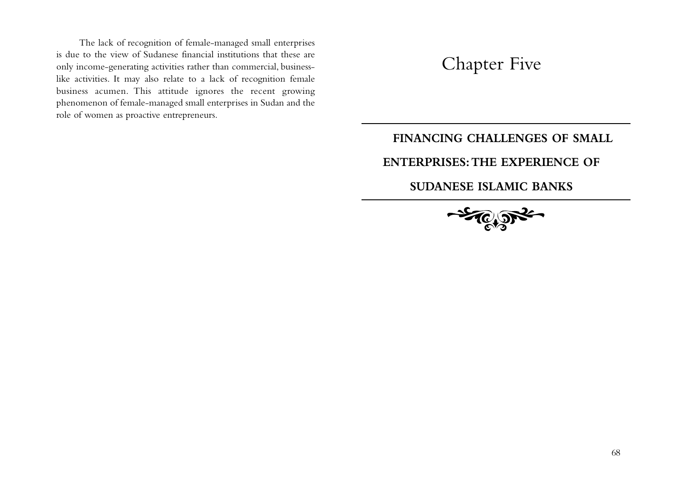The lack of recognition of female-managed small enterprises is due to the view of Sudanese financial institutions that these are only income-generating activities rather than commercial, businesslike activities. It may also relate to a lack of recognition female business acumen. This attitude ignores the recent growing phenomenon of female-managed small enterprises in Sudan and the role of women as proactive entrepreneurs.

# Chapter Five

## **FINANCING CHALLENGES OF SMALL**

## **ENTERPRISES:THE EXPERIENCE OF**

## **SUDANESE ISLAMIC BANKS**

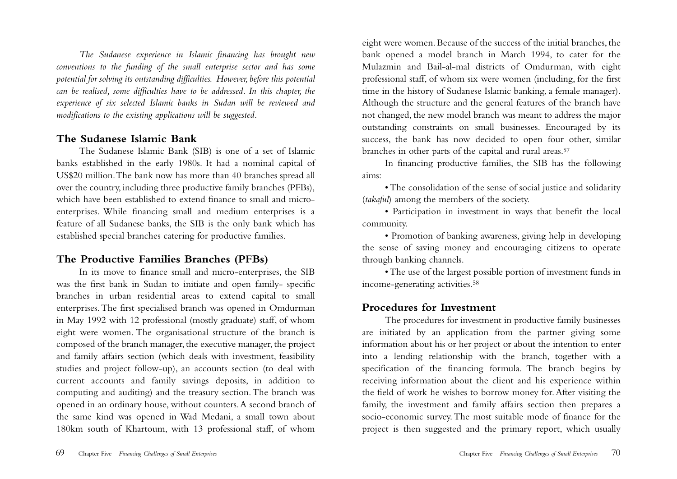*The Sudanese experience in Islamic financing has brought new conventions to the funding of the small enterprise sector and has some potential for solving its outstanding difficulties. However, before this potential can be realised, some difficulties have to be addressed. In this chapter, the experience of six selected Islamic banks in Sudan will be reviewed and modifications to the existing applications will be suggested.*

#### **The Sudanese Islamic Bank**

The Sudanese Islamic Bank (SIB) is one of a set of Islamic banks established in the early 1980s. It had a nominal capital of US\$20 million.The bank now has more than 40 branches spread all over the country, including three productive family branches (PFBs), which have been established to extend finance to small and microenterprises. While financing small and medium enterprises is a feature of all Sudanese banks, the SIB is the only bank which has established special branches catering for productive families.

## **The Productive Families Branches (PFBs)**

In its move to finance small and micro-enterprises, the SIB was the first bank in Sudan to initiate and open family- specific branches in urban residential areas to extend capital to small enterprises.The first specialised branch was opened in Omdurman in May 1992 with 12 professional (mostly graduate) staff, of whom eight were women. The organisational structure of the branch is composed of the branch manager, the executive manager, the project and family affairs section (which deals with investment, feasibility studies and project follow-up), an accounts section (to deal with current accounts and family savings deposits, in addition to computing and auditing) and the treasury section.The branch was opened in an ordinary house, without counters.A second branch of the same kind was opened in Wad Medani, a small town about 180km south of Khartoum, with 13 professional staff, of whom

eight were women. Because of the success of the initial branches, the bank opened a model branch in March 1994, to cater for the Mulazmin and Bail-al-mal districts of Omdurman, with eight professional staff, of whom six were women (including, for the first time in the history of Sudanese Islamic banking, a female manager). Although the structure and the general features of the branch have not changed, the new model branch was meant to address the major outstanding constraints on small businesses. Encouraged by its success, the bank has now decided to open four other, similar branches in other parts of the capital and rural areas.57

In financing productive families, the SIB has the following aims:

• The consolidation of the sense of social justice and solidarity (*takaful*) among the members of the society.

• Participation in investment in ways that benefit the local community.

• Promotion of banking awareness, giving help in developing the sense of saving money and encouraging citizens to operate through banking channels.

• The use of the largest possible portion of investment funds in income-generating activities.58

## **Procedures for Investment**

The procedures for investment in productive family businesses are initiated by an application from the partner giving some information about his or her project or about the intention to enter into a lending relationship with the branch, together with a specification of the financing formula. The branch begins by receiving information about the client and his experience within the field of work he wishes to borrow money for.After visiting the family, the investment and family affairs section then prepares a socio-economic survey. The most suitable mode of finance for the project is then suggested and the primary report, which usually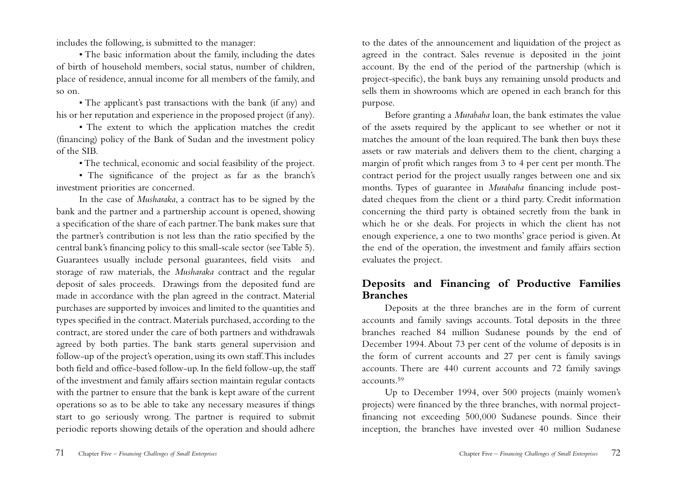includes the following, is submitted to the manager:

• The basic information about the family, including the dates of birth of household members, social status, number of children, place of residence, annual income for all members of the family, and so on.

• The applicant's past transactions with the bank (if any) and his or her reputation and experience in the proposed project (if any).

• The extent to which the application matches the credit (financing) policy of the Bank of Sudan and the investment policy of the SIB.

• The technical, economic and social feasibility of the project.

• The significance of the project as far as the branch's investment priorities are concerned.

In the case of *Musharaka*, a contract has to be signed by the bank and the partner and a partnership account is opened, showing a specification of the share of each partner.The bank makes sure that the partner's contribution is not less than the ratio specified by the central bank's financing policy to this small-scale sector (see Table 5). Guarantees usually include personal guarantees, field visits and storage of raw materials, the *Musharaka* contract and the regular deposit of sales proceeds. Drawings from the deposited fund are made in accordance with the plan agreed in the contract. Material purchases are supported by invoices and limited to the quantities and types specified in the contract. Materials purchased, according to the contract, are stored under the care of both partners and withdrawals agreed by both parties. The bank starts general supervision and follow-up of the project's operation, using its own staff.This includes both field and office-based follow-up. In the field follow-up, the staff of the investment and family affairs section maintain regular contacts with the partner to ensure that the bank is kept aware of the current operations so as to be able to take any necessary measures if things start to go seriously wrong. The partner is required to submit periodic reports showing details of the operation and should adhere

to the dates of the announcement and liquidation of the project as agreed in the contract. Sales revenue is deposited in the joint account. By the end of the period of the partnership (which is project-specific), the bank buys any remaining unsold products and sells them in showrooms which are opened in each branch for this purpose.

Before granting a *Murabaha* loan, the bank estimates the value of the assets required by the applicant to see whether or not it matches the amount of the loan required.The bank then buys these assets or raw materials and delivers them to the client, charging a margin of profit which ranges from 3 to 4 per cent per month.The contract period for the project usually ranges between one and six months. Types of guarantee in *Murabaha* financing include postdated cheques from the client or a third party. Credit information concerning the third party is obtained secretly from the bank in which he or she deals. For projects in which the client has not enough experience, a one to two months' grace period is given. At the end of the operation, the investment and family affairs section evaluates the project.

## **Deposits and Financing of Productive Families Branches**

Deposits at the three branches are in the form of current accounts and family savings accounts. Total deposits in the three branches reached 84 million Sudanese pounds by the end of December 1994. About 73 per cent of the volume of deposits is in the form of current accounts and 27 per cent is family savings accounts. There are 440 current accounts and 72 family savings accounts.59

Up to December 1994, over 500 projects (mainly women's projects) were financed by the three branches, with normal projectfinancing not exceeding 500,000 Sudanese pounds. Since their inception, the branches have invested over 40 million Sudanese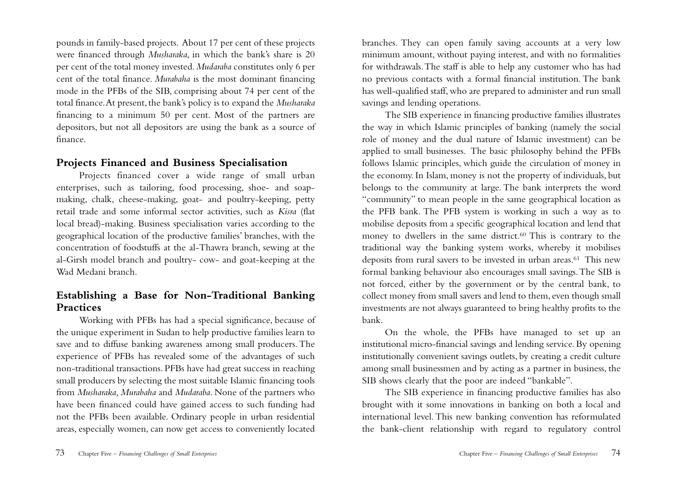pounds in family-based projects. About 17 per cent of these projects were financed through *Musharaka*, in which the bank's share is 20 per cent of the total money invested. *Mudaraba* constitutes only 6 per cent of the total finance. *Murabaha* is the most dominant financing mode in the PFBs of the SIB, comprising about 74 per cent of the total finance.At present, the bank's policy is to expand the *Musharaka* financing to a minimum 50 per cent. Most of the partners are depositors, but not all depositors are using the bank as a source of finance.

#### **Projects Financed and Business Specialisation**

Projects financed cover a wide range of small urban enterprises, such as tailoring, food processing, shoe- and soapmaking, chalk, cheese-making, goat- and poultry-keeping, petty retail trade and some informal sector activities, such as *Kisra* (flat local bread)-making. Business specialisation varies according to the geographical location of the productive families' branches, with the concentration of foodstuffs at the al-Thawra branch, sewing at the al-Girsh model branch and poultry- cow- and goat-keeping at the Wad Medani branch.

## **Establishing a Base for Non-Traditional Banking Practices**

Working with PFBs has had a special significance, because of the unique experiment in Sudan to help productive families learn to save and to diffuse banking awareness among small producers.The experience of PFBs has revealed some of the advantages of such non-traditional transactions. PFBs have had great success in reaching small producers by selecting the most suitable Islamic financing tools from *Musharaka, Murabaha* and *Mudaraba*. None of the partners who have been financed could have gained access to such funding had not the PFBs been available. Ordinary people in urban residential areas, especially women, can now get access to conveniently located

branches. They can open family saving accounts at a very low minimum amount, without paying interest, and with no formalities for withdrawals.The staff is able to help any customer who has had no previous contacts with a formal financial institution. The bank has well-qualified staff, who are prepared to administer and run small savings and lending operations.

The SIB experience in financing productive families illustrates the way in which Islamic principles of banking (namely the social role of money and the dual nature of Islamic investment) can be applied to small businesses. The basic philosophy behind the PFBs follows Islamic principles, which guide the circulation of money in the economy. In Islam, money is not the property of individuals, but belongs to the community at large. The bank interprets the word "community" to mean people in the same geographical location as the PFB bank. The PFB system is working in such a way as to mobilise deposits from a specific geographical location and lend that money to dwellers in the same district.60 This is contrary to the traditional way the banking system works, whereby it mobilises deposits from rural savers to be invested in urban areas.<sup>61</sup> This new formal banking behaviour also encourages small savings.The SIB is not forced, either by the government or by the central bank, to collect money from small savers and lend to them, even though small investments are not always guaranteed to bring healthy profits to the bank.

On the whole, the PFBs have managed to set up an institutional micro-financial savings and lending service. By opening institutionally convenient savings outlets, by creating a credit culture among small businessmen and by acting as a partner in business, the SIB shows clearly that the poor are indeed "bankable".

The SIB experience in financing productive families has also brought with it some innovations in banking on both a local and international level. This new banking convention has reformulated the bank-client relationship with regard to regulatory control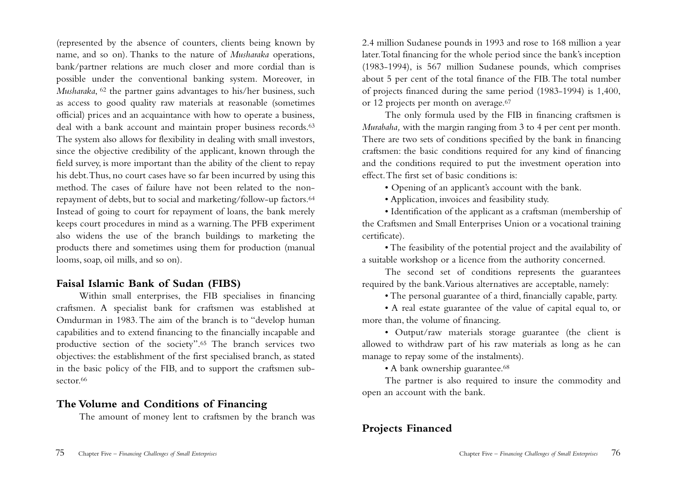(represented by the absence of counters, clients being known by name, and so on). Thanks to the nature of *Musharaka* operations, bank/partner relations are much closer and more cordial than is possible under the conventional banking system. Moreover, in *Musharaka*, <sup>62</sup> the partner gains advantages to his/her business, such as access to good quality raw materials at reasonable (sometimes official) prices and an acquaintance with how to operate a business, deal with a bank account and maintain proper business records.<sup>63</sup> The system also allows for flexibility in dealing with small investors, since the objective credibility of the applicant, known through the field survey, is more important than the ability of the client to repay his debt.Thus, no court cases have so far been incurred by using this method. The cases of failure have not been related to the nonrepayment of debts, but to social and marketing/follow-up factors.64 Instead of going to court for repayment of loans, the bank merely keeps court procedures in mind as a warning.The PFB experiment also widens the use of the branch buildings to marketing the products there and sometimes using them for production (manual looms, soap, oil mills, and so on).

## **Faisal Islamic Bank of Sudan (FIBS)**

Within small enterprises, the FIB specialises in financing craftsmen. A specialist bank for craftsmen was established at Omdurman in 1983.The aim of the branch is to "develop human capabilities and to extend financing to the financially incapable and productive section of the society".65 The branch services two objectives: the establishment of the first specialised branch, as stated in the basic policy of the FIB, and to support the craftsmen subsector.<sup>66</sup>

#### **The Volume and Conditions of Financing**

The amount of money lent to craftsmen by the branch was

2.4 million Sudanese pounds in 1993 and rose to 168 million a year later.Total financing for the whole period since the bank's inception (1983-1994), is 567 million Sudanese pounds, which comprises about 5 per cent of the total finance of the FIB.The total number of projects financed during the same period (1983-1994) is 1,400, or 12 projects per month on average.67

The only formula used by the FIB in financing craftsmen is *Murabaha,* with the margin ranging from 3 to 4 per cent per month. There are two sets of conditions specified by the bank in financing craftsmen: the basic conditions required for any kind of financing and the conditions required to put the investment operation into effect.The first set of basic conditions is:

• Opening of an applicant's account with the bank.

• Application, invoices and feasibility study.

• Identification of the applicant as a craftsman (membership of the Craftsmen and Small Enterprises Union or a vocational training certificate).

• The feasibility of the potential project and the availability of a suitable workshop or a licence from the authority concerned.

The second set of conditions represents the guarantees required by the bank.Various alternatives are acceptable, namely:

• The personal guarantee of a third, financially capable, party.

• A real estate guarantee of the value of capital equal to, or more than, the volume of financing.

• Output/raw materials storage guarantee (the client is allowed to withdraw part of his raw materials as long as he can manage to repay some of the instalments).

• A bank ownership guarantee.<sup>68</sup>

The partner is also required to insure the commodity and open an account with the bank.

## **Projects Financed**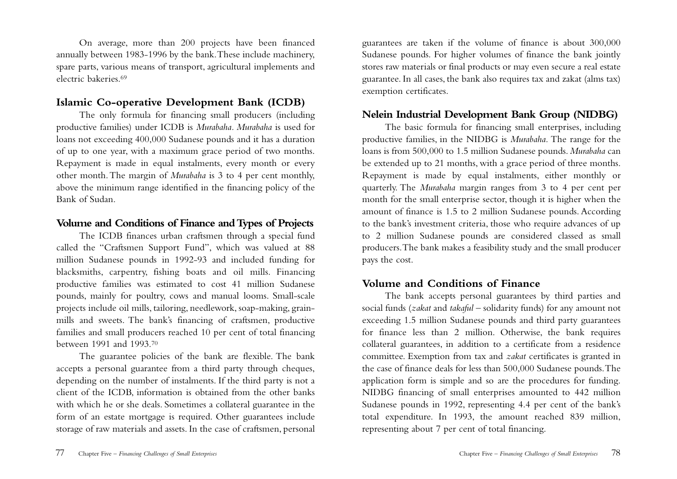On average, more than 200 projects have been financed annually between 1983-1996 by the bank.These include machinery, spare parts, various means of transport, agricultural implements and electric bakeries.69

## **Islamic Co-operative Development Bank (ICDB)**

The only formula for financing small producers (including productive families) under ICDB is *Murabaha. Murabaha* is used for loans not exceeding 400,000 Sudanese pounds and it has a duration of up to one year, with a maximum grace period of two months. Repayment is made in equal instalments, every month or every other month.The margin of *Murabaha* is 3 to 4 per cent monthly, above the minimum range identified in the financing policy of the Bank of Sudan.

## **Volume and Conditions of Finance and Types of Projects**

The ICDB finances urban craftsmen through a special fund called the "Craftsmen Support Fund", which was valued at 88 million Sudanese pounds in 1992-93 and included funding for blacksmiths, carpentry, fishing boats and oil mills. Financing productive families was estimated to cost 41 million Sudanese pounds, mainly for poultry, cows and manual looms. Small-scale projects include oil mills, tailoring, needlework, soap-making, grainmills and sweets. The bank's financing of craftsmen, productive families and small producers reached 10 per cent of total financing between 1991 and 1993.70

The guarantee policies of the bank are flexible. The bank accepts a personal guarantee from a third party through cheques, depending on the number of instalments. If the third party is not a client of the ICDB, information is obtained from the other banks with which he or she deals. Sometimes a collateral guarantee in the form of an estate mortgage is required. Other guarantees include storage of raw materials and assets. In the case of craftsmen, personal

guarantees are taken if the volume of finance is about 300,000 Sudanese pounds. For higher volumes of finance the bank jointly stores raw materials or final products or may even secure a real estate guarantee. In all cases, the bank also requires tax and zakat (alms tax) exemption certificates.

## **Nelein Industrial Development Bank Group (NIDBG)**

The basic formula for financing small enterprises, including productive families, in the NIDBG is *Murabaha.* The range for the loans is from 500,000 to 1.5 million Sudanese pounds. *Murabaha* can be extended up to 21 months, with a grace period of three months. Repayment is made by equal instalments, either monthly or quarterly. The *Murabaha* margin ranges from 3 to 4 per cent per month for the small enterprise sector, though it is higher when the amount of finance is 1.5 to 2 million Sudanese pounds. According to the bank's investment criteria, those who require advances of up to 2 million Sudanese pounds are considered classed as small producers.The bank makes a feasibility study and the small producer pays the cost.

## **Volume and Conditions of Finance**

The bank accepts personal guarantees by third parties and social funds (*zakat* and *takaful* – solidarity funds) for any amount not exceeding 1.5 million Sudanese pounds and third party guarantees for finance less than 2 million. Otherwise, the bank requires collateral guarantees, in addition to a certificate from a residence committee. Exemption from tax and *zakat* certificates is granted in the case of finance deals for less than 500,000 Sudanese pounds.The application form is simple and so are the procedures for funding. NIDBG financing of small enterprises amounted to 442 million Sudanese pounds in 1992, representing 4.4 per cent of the bank's total expenditure. In 1993, the amount reached 839 million, representing about 7 per cent of total financing.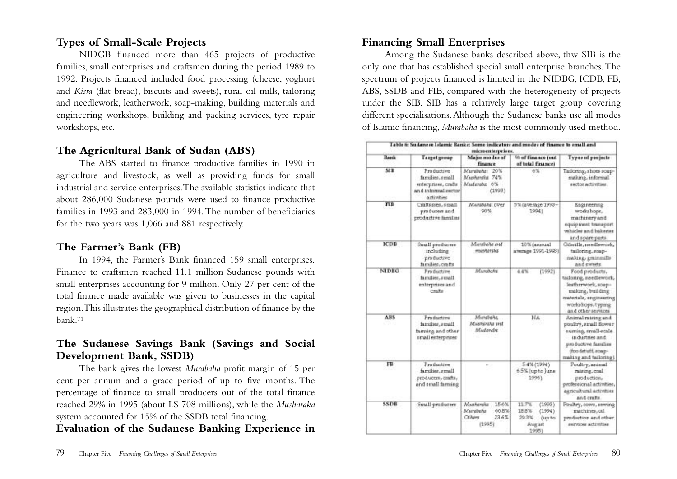## **Types of Small-Scale Projects**

NIDGB financed more than 465 projects of productive families, small enterprises and craftsmen during the period 1989 to 1992. Projects financed included food processing (cheese, yoghurt and *Kisra* (flat bread), biscuits and sweets), rural oil mills, tailoring and needlework, leatherwork, soap-making, building materials and engineering workshops, building and packing services, tyre repair workshops, etc.

## **The Agricultural Bank of Sudan (ABS)**

The ABS started to finance productive families in 1990 in agriculture and livestock, as well as providing funds for small industrial and service enterprises.The available statistics indicate that about 286,000 Sudanese pounds were used to finance productive families in 1993 and 283,000 in 1994.The number of beneficiaries for the two years was 1,066 and 881 respectively.

## **The Farmer's Bank (FB)**

In 1994, the Farmer's Bank financed 159 small enterprises. Finance to craftsmen reached 11.1 million Sudanese pounds with small enterprises accounting for 9 million. Only 27 per cent of the total finance made available was given to businesses in the capital region.This illustrates the geographical distribution of finance by the bank.71

## **The Sudanese Savings Bank (Savings and Social Development Bank, SSDB)**

The bank gives the lowest *Murabaha* profit margin of 15 per cent per annum and a grace period of up to five months. The percentage of finance to small producers out of the total finance reached 29% in 1995 (about LS 708 millions), while the *Musharaka* system accounted for 15% of the SSDB total financing.

**Evaluation of the Sudanese Banking Experience in**

## **Financing Small Enterprises**

Among the Sudanese banks described above, thw SIB is the only one that has established special small enterprise branches.The spectrum of projects financed is limited in the NIDBG, ICDB, FB, ABS, SSDB and FIB, compared with the heterogeneity of projects under the SIB. SIB has a relatively large target group covering different specialisations.Although the Sudanese banks use all modes of Islamic financing, *Murabaha* is the most commonly used method.

|              |                                                                                           | microenterprises.                                                       |                                                                          |                                                                                                                                                            |
|--------------|-------------------------------------------------------------------------------------------|-------------------------------------------------------------------------|--------------------------------------------------------------------------|------------------------------------------------------------------------------------------------------------------------------------------------------------|
| <b>Bank</b>  | <b>Target group</b>                                                                       | Major modes of<br><b>Fisherice</b>                                      | 90 of finance jout<br>of bital finance)                                  | Types of projects                                                                                                                                          |
| SHI.         | Productive<br>families, small<br>enterprises, crafts<br>and informal sector<br>artivities | Muralisher<br>20%<br>Musharaka 74%<br>Mutangha 6%<br>(1999)             | 6%                                                                       | Tailoring, shoes soap-<br>making, informal<br>sector activities.                                                                                           |
| <b>HB</b>    | Crafts syen, s syall<br>producers and<br>productive familias                              | Manuhalia: over<br>90%                                                  | 5% (average 1998 -<br>1994)                                              | Engineering<br>workshops,<br>machinery and<br>equipment transport<br>whicles and bakenes<br>and spare parts                                                |
| <b>ICDB</b>  | Small producers<br>including<br>productive<br>families, orafts                            | Mursboha and<br>musharaka                                               | 10% (annual<br>awangs 1991-1993)                                         | Othmills, newdlework,<br>tailoring, roap-<br>making, geninesills<br>and sweets                                                                             |
| <b>NIDRO</b> | Productive<br>familier, small<br>enterprises and<br>crafts                                | Manshake                                                                | 44%<br>(1992)                                                            | Food products,<br>tailonng, needlework,<br>leatherwork, soap-<br>making, building<br>materials, engineering<br>workshops, typing<br>and other services     |
| ABS          | Productive<br>familier, rmall<br>familing and other<br>small enterprises                  | Mundena<br>Mashexika and<br>Mudardu                                     | NA                                                                       | Animal ratring and<br>poultry, small flower<br>numing, small-scale<br>industries and<br>productive families<br>(foo detuff, soap-<br>making and tailoring) |
| FB           | Production<br>familier, rmall<br>producers, crafts,<br>and small farming                  |                                                                         | 5.4% (1994)<br>6.5% (up to ) una<br>1996).                               | Poultry, animal<br>rateting, coal.<br>production.<br>professional activities,<br>agricultural activities<br>and crafts                                     |
| <b>SSDB</b>  | Small producers                                                                           | 15.6%<br>Maahanaha<br>Murebeha<br>40.8%<br>Others<br>$23.6\%$<br>(1995) | 11.7%<br>(1993)<br>18.8%<br>(1994)<br>29.3%<br>(up to<br>August<br>10951 | Poultry, cows, sewing<br>machines, oil.<br>production and other<br><b>INFASOR ACUTIUS</b>                                                                  |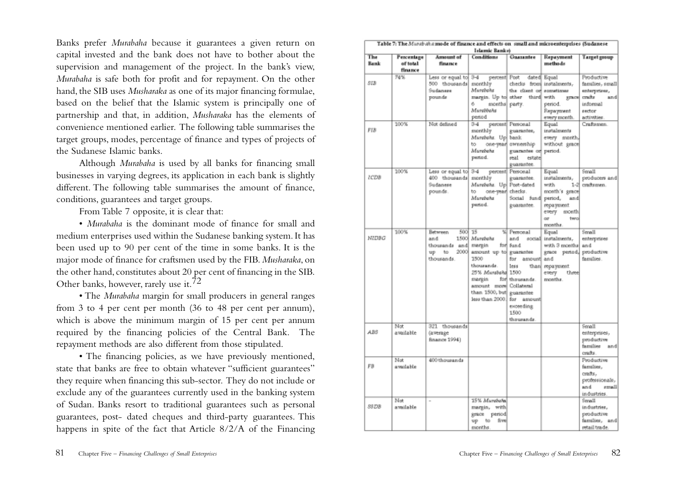Banks prefer *Murabaha* because it guarantees a given return on capital invested and the bank does not have to bother about the supervision and management of the project. In the bank's view, *Murabaha* is safe both for profit and for repayment. On the other hand, the SIB uses *Musharaka* as one of its major financing formulae, based on the belief that the Islamic system is principally one of partnership and that, in addition, *Musharaka* has the elements of convenience mentioned earlier. The following table summarises the target groups, modes, percentage of finance and types of projects of the Sudanese Islamic banks.

Although *Murabaha* is used by all banks for financing small businesses in varying degrees, its application in each bank is slightly different. The following table summarises the amount of finance, conditions, guarantees and target groups.

From Table 7 opposite, it is clear that:

• *Murabaha* is the dominant mode of finance for small and medium enterprises used within the Sudanese banking system. It has been used up to 90 per cent of the time in some banks. It is the major mode of finance for craftsmen used by the FIB. *Musharaka*, on the other hand, constitutes about 20 per cent of financing in the SIB. Other banks, however, rarely use it.72

• The *Murabaha* margin for small producers in general ranges from 3 to 4 per cent per month (36 to 48 per cent per annum), which is above the minimum margin of 15 per cent per annum required by the financing policies of the Central Bank. The repayment methods are also different from those stipulated.

• The financing policies, as we have previously mentioned, state that banks are free to obtain whatever "sufficient guarantees" they require when financing this sub-sector. They do not include or exclude any of the guarantees currently used in the banking system of Sudan. Banks resort to traditional guarantees such as personal guarantees, post- dated cheques and third-party guarantees. This happens in spite of the fact that Article 8/2/A of the Financing

| Table 7: The Marsbahs mode of finance and effects on small and microenterprises (Sudanese<br>Islamic Banks) |                                   |                                                                      |                                                                                                                                                                                                |                                                                                                                       |                                                                                                                           |                                                                                                     |
|-------------------------------------------------------------------------------------------------------------|-----------------------------------|----------------------------------------------------------------------|------------------------------------------------------------------------------------------------------------------------------------------------------------------------------------------------|-----------------------------------------------------------------------------------------------------------------------|---------------------------------------------------------------------------------------------------------------------------|-----------------------------------------------------------------------------------------------------|
| The<br>Bank                                                                                                 | Percentage<br>of total<br>finance | Amount of<br>finance                                                 | Conditions                                                                                                                                                                                     | Guazantee                                                                                                             | Repayment<br>methods                                                                                                      | <b>Target group</b>                                                                                 |
| SIB                                                                                                         | 74%                               | Less or equal to<br>500 thousands<br>Sudanese<br>pounds              | $3 - 4$<br>percent  Post<br>monthly<br>Минголы<br>margin. Up to other third with<br>e.<br>months party.<br>Murebbehs<br>period                                                                 | the client of sometimes                                                                                               | dated Equal<br>checks from instalments,<br>373.00<br>period.<br>Repayment<br>every month.                                 | Productive<br>families, small<br>enterprises,<br>craftz<br>and<br>informal<br>rector<br>activities. |
| FIB                                                                                                         | 100%                              | Not defined                                                          | $3 - 4$<br>monthly<br>Murebohs. Up<br>to.<br>Murebeha<br>period.                                                                                                                               | percent Personal<br>guarantee,<br>bank.<br>one-year ownership<br>guarantee or period.<br>real<br>estate<br>guarantee. | Equal<br>instalments<br>every month,<br>without grace                                                                     | Craftsmen.                                                                                          |
| <b>ICDB</b>                                                                                                 | 100%                              | Less or equal to 3-4<br>400 thousands monthly<br>Sudanese<br>pounds. | Murabaha. Up Post-dated<br>one-year checks.<br>to.<br>Murebeha<br>period.                                                                                                                      | percent Personal<br>guarantee.<br>Social fund period,<br>guarantee.                                                   | Equal<br>instalments,<br>with<br>$1 - 3$<br>month's grace<br>and<br>repayment<br>every<br>month.<br>two<br>œ<br>months.   | Small<br>producers and<br>craftsmen.                                                                |
| NIDBG                                                                                                       | 100%                              | Between<br>and<br>thousands and margin<br>up to<br>thousands.        | 500 15<br>1500 Murebeha<br>2000 amount up to guarantee<br>1500<br>thousands.<br>25% Mandyha 1500<br>margin<br>amount more Collateral<br>than 1500, but guarantee<br>less than 2000. for amount | % Personal<br>and<br>for fund<br>amount and<br>for.<br>less<br>for thousands.<br>exceeding<br>1500<br>thousands.      | Equal<br>social instalments,<br>with 3 months<br>grace period, productive<br>than  repayment<br>every<br>three<br>months. | Small<br>enterprirer<br>and<br>families.                                                            |
| ABS                                                                                                         | Not<br>available                  | 321 thousands<br>(average<br>finance 1994)                           |                                                                                                                                                                                                |                                                                                                                       |                                                                                                                           | Small<br>esterprises,<br>productive<br>familier and<br>ceafts.                                      |
| FB                                                                                                          | Not<br>available                  | 400 thousands                                                        |                                                                                                                                                                                                |                                                                                                                       |                                                                                                                           | Productive<br>families,<br>crafts.<br>professionals,<br>and<br>small<br>industries.                 |
| <b>SSDB</b>                                                                                                 | Nat<br>available                  |                                                                      | 15% Murebahn<br>margin, with<br>grace period<br>up to five<br>manths.                                                                                                                          |                                                                                                                       |                                                                                                                           | Small<br>industries,<br>productive<br>families, and<br>retail trade.                                |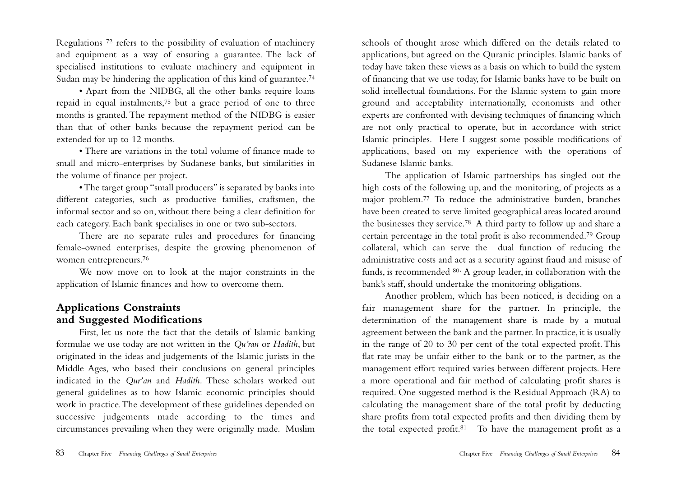Regulations 72 refers to the possibility of evaluation of machinery and equipment as a way of ensuring a guarantee. The lack of specialised institutions to evaluate machinery and equipment in Sudan may be hindering the application of this kind of guarantee.<sup>74</sup>

• Apart from the NIDBG, all the other banks require loans repaid in equal instalments,75 but a grace period of one to three months is granted.The repayment method of the NIDBG is easier than that of other banks because the repayment period can be extended for up to 12 months.

• There are variations in the total volume of finance made to small and micro-enterprises by Sudanese banks, but similarities in the volume of finance per project.

• The target group "small producers" is separated by banks into different categories, such as productive families, craftsmen, the informal sector and so on, without there being a clear definition for each category. Each bank specialises in one or two sub-sectors.

There are no separate rules and procedures for financing female-owned enterprises, despite the growing phenomenon of women entrepreneurs.76

We now move on to look at the major constraints in the application of Islamic finances and how to overcome them.

#### **Applications Constraints and Suggested Modifications**

First, let us note the fact that the details of Islamic banking formulae we use today are not written in the *Qu'ran* or *Hadith*, but originated in the ideas and judgements of the Islamic jurists in the Middle Ages, who based their conclusions on general principles indicated in the *Qur'an* and *Hadith.* These scholars worked out general guidelines as to how Islamic economic principles should work in practice.The development of these guidelines depended on successive judgements made according to the times and circumstances prevailing when they were originally made. Muslim

schools of thought arose which differed on the details related to applications, but agreed on the Quranic principles. Islamic banks of today have taken these views as a basis on which to build the system of financing that we use today, for Islamic banks have to be built on solid intellectual foundations. For the Islamic system to gain more ground and acceptability internationally, economists and other experts are confronted with devising techniques of financing which are not only practical to operate, but in accordance with strict Islamic principles. Here I suggest some possible modifications of applications, based on my experience with the operations of Sudanese Islamic banks.

The application of Islamic partnerships has singled out the high costs of the following up, and the monitoring, of projects as a major problem.77 To reduce the administrative burden, branches have been created to serve limited geographical areas located around the businesses they service.78 A third party to follow up and share a certain percentage in the total profit is also recommended.79 Group collateral, which can serve the dual function of reducing the administrative costs and act as a security against fraud and misuse of funds, is recommended 80. A group leader, in collaboration with the bank's staff, should undertake the monitoring obligations.

Another problem, which has been noticed, is deciding on a fair management share for the partner. In principle, the determination of the management share is made by a mutual agreement between the bank and the partner. In practice, it is usually in the range of 20 to 30 per cent of the total expected profit.This flat rate may be unfair either to the bank or to the partner, as the management effort required varies between different projects. Here a more operational and fair method of calculating profit shares is required. One suggested method is the Residual Approach (RA) to calculating the management share of the total profit by deducting share profits from total expected profits and then dividing them by the total expected profit.<sup>81</sup> To have the management profit as a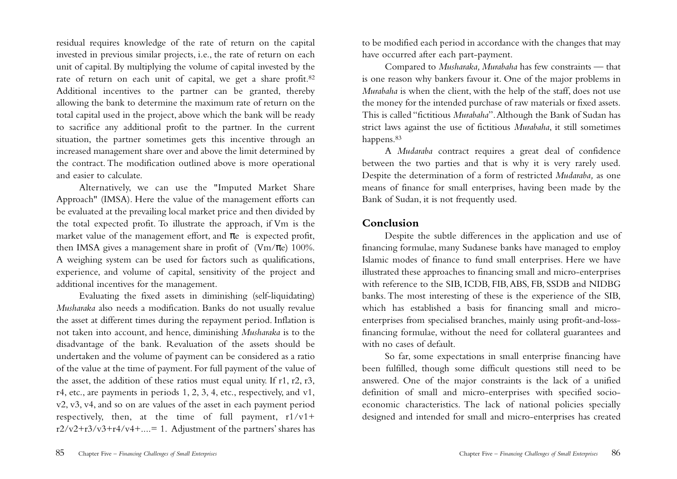residual requires knowledge of the rate of return on the capital invested in previous similar projects, i.e., the rate of return on each unit of capital. By multiplying the volume of capital invested by the rate of return on each unit of capital, we get a share profit.82 Additional incentives to the partner can be granted, thereby allowing the bank to determine the maximum rate of return on the total capital used in the project, above which the bank will be ready to sacrifice any additional profit to the partner. In the current situation, the partner sometimes gets this incentive through an increased management share over and above the limit determined by the contract. The modification outlined above is more operational and easier to calculate.

Alternatively, we can use the "Imputed Market Share Approach" (IMSA). Here the value of the management efforts can be evaluated at the prevailing local market price and then divided by the total expected profit. To illustrate the approach, if Vm is the market value of the management effort, and  $\pi$ e is expected profit, then IMSA gives a management share in profit of  $(Vm/\pi e)$  100%. A weighing system can be used for factors such as qualifications, experience, and volume of capital, sensitivity of the project and additional incentives for the management.

Evaluating the fixed assets in diminishing (self-liquidating) *Musharaka* also needs a modification. Banks do not usually revalue the asset at different times during the repayment period. Inflation is not taken into account, and hence, diminishing *Musharaka* is to the disadvantage of the bank. Revaluation of the assets should be undertaken and the volume of payment can be considered as a ratio of the value at the time of payment. For full payment of the value of the asset, the addition of these ratios must equal unity. If r1, r2, r3, r4, etc., are payments in periods 1, 2, 3, 4, etc., respectively, and v1, v2, v3, v4, and so on are values of the asset in each payment period respectively, then, at the time of full payment,  $r1/v1+$  $r2/v2+r3/v3+r4/v4+...=1$ . Adjustment of the partners' shares has

to be modified each period in accordance with the changes that may have occurred after each part-payment.

Compared to *Musharaka, Murabaha* has few constraints — that is one reason why bankers favour it. One of the major problems in *Murabaha* is when the client, with the help of the staff, does not use the money for the intended purchase of raw materials or fixed assets. This is called "fictitious *Murabaha*".Although the Bank of Sudan has strict laws against the use of fictitious *Murabaha*, it still sometimes happens.83

A *Mudaraba* contract requires a great deal of confidence between the two parties and that is why it is very rarely used. Despite the determination of a form of restricted *Mudaraba,* as one means of finance for small enterprises, having been made by the Bank of Sudan, it is not frequently used.

## **Conclusion**

Despite the subtle differences in the application and use of financing formulae, many Sudanese banks have managed to employ Islamic modes of finance to fund small enterprises. Here we have illustrated these approaches to financing small and micro-enterprises with reference to the SIB, ICDB, FIB,ABS, FB, SSDB and NIDBG banks. The most interesting of these is the experience of the SIB, which has established a basis for financing small and microenterprises from specialised branches, mainly using profit-and-lossfinancing formulae, without the need for collateral guarantees and with no cases of default.

So far, some expectations in small enterprise financing have been fulfilled, though some difficult questions still need to be answered. One of the major constraints is the lack of a unified definition of small and micro-enterprises with specified socioeconomic characteristics. The lack of national policies specially designed and intended for small and micro-enterprises has created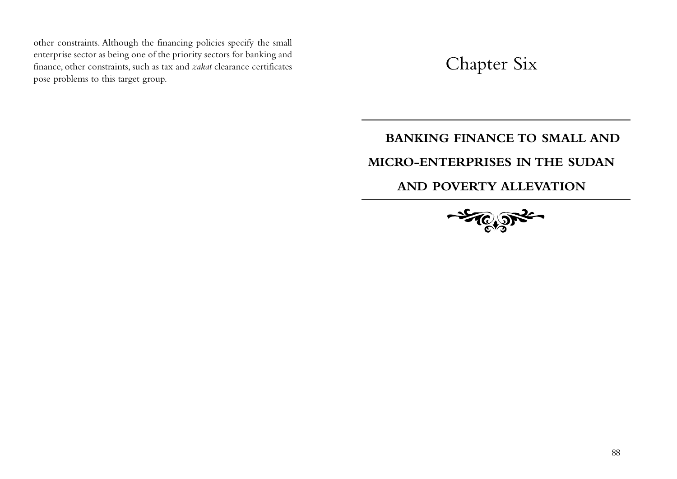other constraints. Although the financing policies specify the small enterprise sector as being one of the priority sectors for banking and finance, other constraints, such as tax and *zakat* clearance certificates pose problems to this target group.

Chapter Six

## **BANKING FINANCE TO SMALL AND**

## **MICRO-ENTERPRISES IN THE SUDAN**

## **AND POVERTY ALLEVATION**

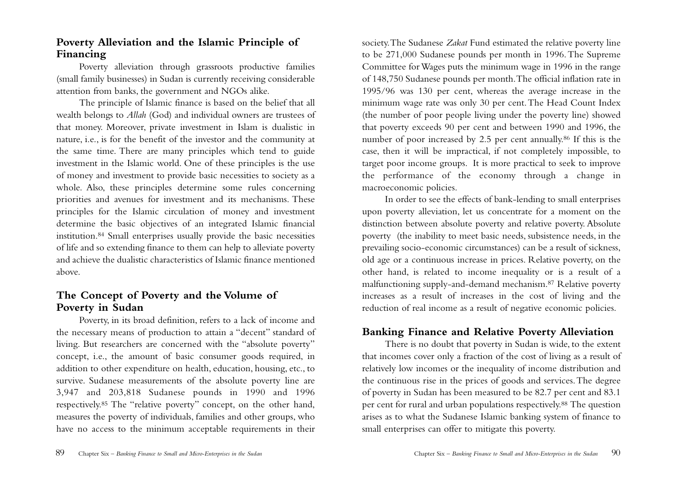## **Poverty Alleviation and the Islamic Principle of Financing**

Poverty alleviation through grassroots productive families (small family businesses) in Sudan is currently receiving considerable attention from banks, the government and NGOs alike.

The principle of Islamic finance is based on the belief that all wealth belongs to *Allah* (God) and individual owners are trustees of that money. Moreover, private investment in Islam is dualistic in nature, i.e., is for the benefit of the investor and the community at the same time. There are many principles which tend to guide investment in the Islamic world. One of these principles is the use of money and investment to provide basic necessities to society as a whole. Also, these principles determine some rules concerning priorities and avenues for investment and its mechanisms. These principles for the Islamic circulation of money and investment determine the basic objectives of an integrated Islamic financial institution.84 Small enterprises usually provide the basic necessities of life and so extending finance to them can help to alleviate poverty and achieve the dualistic characteristics of Islamic finance mentioned above.

## **The Concept of Poverty and the Volume of Poverty in Sudan**

Poverty, in its broad definition, refers to a lack of income and the necessary means of production to attain a "decent" standard of living. But researchers are concerned with the "absolute poverty" concept, i.e., the amount of basic consumer goods required, in addition to other expenditure on health, education, housing, etc., to survive. Sudanese measurements of the absolute poverty line are 3,947 and 203,818 Sudanese pounds in 1990 and 1996 respectively.85 The "relative poverty" concept, on the other hand, measures the poverty of individuals, families and other groups, who have no access to the minimum acceptable requirements in their

society.The Sudanese *Zakat* Fund estimated the relative poverty line to be 271,000 Sudanese pounds per month in 1996.The Supreme Committee for Wages puts the minimum wage in 1996 in the range of 148,750 Sudanese pounds per month.The official inflation rate in 1995/96 was 130 per cent, whereas the average increase in the minimum wage rate was only 30 per cent.The Head Count Index (the number of poor people living under the poverty line) showed that poverty exceeds 90 per cent and between 1990 and 1996, the number of poor increased by 2.5 per cent annually.86 If this is the case, then it will be impractical, if not completely impossible, to target poor income groups. It is more practical to seek to improve the performance of the economy through a change in macroeconomic policies.

In order to see the effects of bank-lending to small enterprises upon poverty alleviation, let us concentrate for a moment on the distinction between absolute poverty and relative poverty. Absolute poverty (the inability to meet basic needs, subsistence needs, in the prevailing socio-economic circumstances) can be a result of sickness, old age or a continuous increase in prices. Relative poverty, on the other hand, is related to income inequality or is a result of a malfunctioning supply-and-demand mechanism.87 Relative poverty increases as a result of increases in the cost of living and the reduction of real income as a result of negative economic policies.

## **Banking Finance and Relative Poverty Alleviation**

There is no doubt that poverty in Sudan is wide, to the extent that incomes cover only a fraction of the cost of living as a result of relatively low incomes or the inequality of income distribution and the continuous rise in the prices of goods and services.The degree of poverty in Sudan has been measured to be 82.7 per cent and 83.1 per cent for rural and urban populations respectively.88 The question arises as to what the Sudanese Islamic banking system of finance to small enterprises can offer to mitigate this poverty.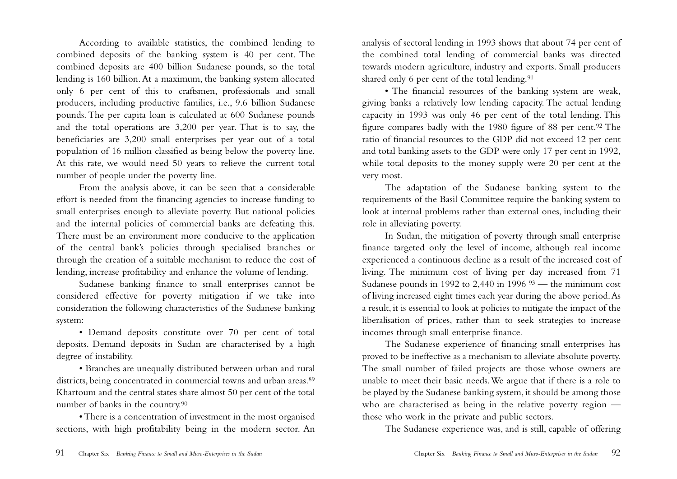According to available statistics, the combined lending to combined deposits of the banking system is 40 per cent. The combined deposits are 400 billion Sudanese pounds, so the total lending is 160 billion.At a maximum, the banking system allocated only 6 per cent of this to craftsmen, professionals and small producers, including productive families, i.e., 9.6 billion Sudanese pounds. The per capita loan is calculated at 600 Sudanese pounds and the total operations are 3,200 per year. That is to say, the beneficiaries are 3,200 small enterprises per year out of a total population of 16 million classified as being below the poverty line. At this rate, we would need 50 years to relieve the current total number of people under the poverty line.

From the analysis above, it can be seen that a considerable effort is needed from the financing agencies to increase funding to small enterprises enough to alleviate poverty. But national policies and the internal policies of commercial banks are defeating this. There must be an environment more conducive to the application of the central bank's policies through specialised branches or through the creation of a suitable mechanism to reduce the cost of lending, increase profitability and enhance the volume of lending.

Sudanese banking finance to small enterprises cannot be considered effective for poverty mitigation if we take into consideration the following characteristics of the Sudanese banking system:

• Demand deposits constitute over 70 per cent of total deposits. Demand deposits in Sudan are characterised by a high degree of instability.

• Branches are unequally distributed between urban and rural districts, being concentrated in commercial towns and urban areas.<sup>89</sup> Khartoum and the central states share almost 50 per cent of the total number of banks in the country.90

• There is a concentration of investment in the most organised sections, with high profitability being in the modern sector. An analysis of sectoral lending in 1993 shows that about 74 per cent of the combined total lending of commercial banks was directed towards modern agriculture, industry and exports. Small producers shared only 6 per cent of the total lending.<sup>91</sup>

• The financial resources of the banking system are weak, giving banks a relatively low lending capacity. The actual lending capacity in 1993 was only 46 per cent of the total lending. This figure compares badly with the 1980 figure of 88 per cent.92 The ratio of financial resources to the GDP did not exceed 12 per cent and total banking assets to the GDP were only 17 per cent in 1992, while total deposits to the money supply were 20 per cent at the very most.

The adaptation of the Sudanese banking system to the requirements of the Basil Committee require the banking system to look at internal problems rather than external ones, including their role in alleviating poverty.

In Sudan, the mitigation of poverty through small enterprise finance targeted only the level of income, although real income experienced a continuous decline as a result of the increased cost of living. The minimum cost of living per day increased from 71 Sudanese pounds in 1992 to  $2,440$  in 1996  $93$  — the minimum cost of living increased eight times each year during the above period.As a result, it is essential to look at policies to mitigate the impact of the liberalisation of prices, rather than to seek strategies to increase incomes through small enterprise finance.

The Sudanese experience of financing small enterprises has proved to be ineffective as a mechanism to alleviate absolute poverty. The small number of failed projects are those whose owners are unable to meet their basic needs.We argue that if there is a role to be played by the Sudanese banking system, it should be among those who are characterised as being in the relative poverty region those who work in the private and public sectors.

The Sudanese experience was, and is still, capable of offering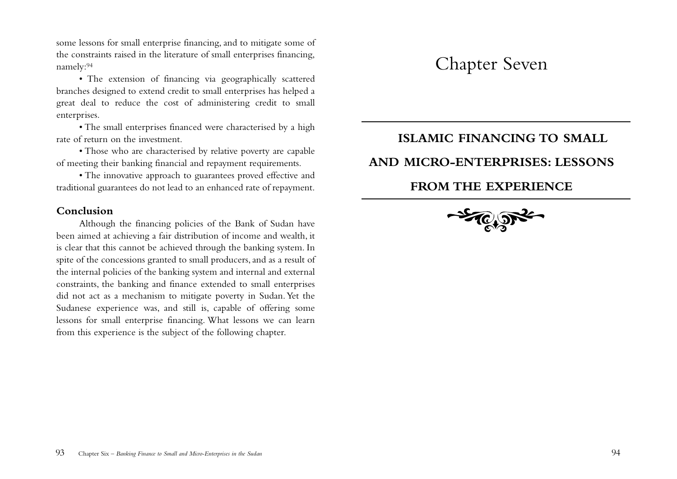some lessons for small enterprise financing, and to mitigate some of the constraints raised in the literature of small enterprises financing, namely:94

• The extension of financing via geographically scattered branches designed to extend credit to small enterprises has helped a great deal to reduce the cost of administering credit to small enterprises.

• The small enterprises financed were characterised by a high rate of return on the investment.

• Those who are characterised by relative poverty are capable of meeting their banking financial and repayment requirements.

• The innovative approach to guarantees proved effective and traditional guarantees do not lead to an enhanced rate of repayment.

#### **Conclusion**

Although the financing policies of the Bank of Sudan have been aimed at achieving a fair distribution of income and wealth, it is clear that this cannot be achieved through the banking system. In spite of the concessions granted to small producers, and as a result of the internal policies of the banking system and internal and external constraints, the banking and finance extended to small enterprises did not act as a mechanism to mitigate poverty in Sudan.Yet the Sudanese experience was, and still is, capable of offering some lessons for small enterprise financing. What lessons we can learn from this experience is the subject of the following chapter.

## Chapter Seven

## **ISLAMIC FINANCING TO SMALL**

## **AND MICRO-ENTERPRISES: LESSONS**

## **FROM THE EXPERIENCE**

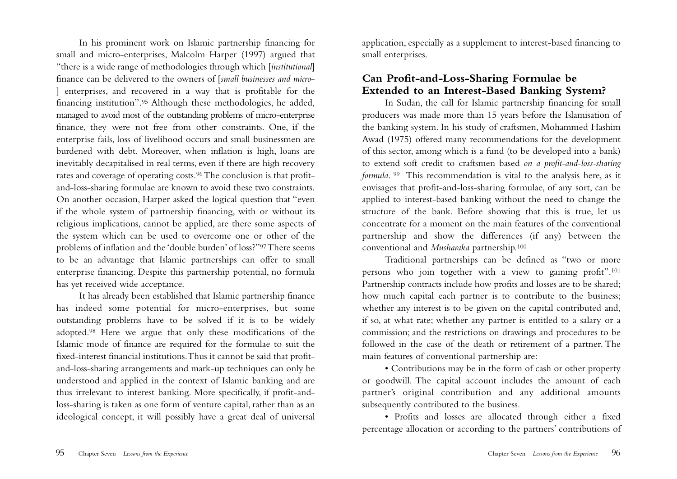In his prominent work on Islamic partnership financing for small and micro-enterprises, Malcolm Harper (1997) argued that "there is a wide range of methodologies through which [*institutional*] finance can be delivered to the owners of [*small businesses and micro*- ] enterprises, and recovered in a way that is profitable for the financing institution".95 Although these methodologies, he added, managed to avoid most of the outstanding problems of micro-enterprise finance, they were not free from other constraints. One, if the enterprise fails, loss of livelihood occurs and small businessmen are burdened with debt. Moreover, when inflation is high, loans are inevitably decapitalised in real terms, even if there are high recovery rates and coverage of operating costs.96The conclusion is that profitand-loss-sharing formulae are known to avoid these two constraints. On another occasion, Harper asked the logical question that "even if the whole system of partnership financing, with or without its religious implications, cannot be applied, are there some aspects of the system which can be used to overcome one or other of the problems of inflation and the 'double burden' of loss?"97 There seems to be an advantage that Islamic partnerships can offer to small enterprise financing. Despite this partnership potential, no formula has yet received wide acceptance.

It has already been established that Islamic partnership finance has indeed some potential for micro-enterprises, but some outstanding problems have to be solved if it is to be widely adopted.98 Here we argue that only these modifications of the Islamic mode of finance are required for the formulae to suit the fixed-interest financial institutions.Thus it cannot be said that profitand-loss-sharing arrangements and mark-up techniques can only be understood and applied in the context of Islamic banking and are thus irrelevant to interest banking. More specifically, if profit-andloss-sharing is taken as one form of venture capital, rather than as an ideological concept, it will possibly have a great deal of universal

application, especially as a supplement to interest-based financing to small enterprises.

## **Can Profit-and-Loss-Sharing Formulae be Extended to an Interest-Based Banking System?**

In Sudan, the call for Islamic partnership financing for small producers was made more than 15 years before the Islamisation of the banking system. In his study of craftsmen, Mohammed Hashim Awad (1975) offered many recommendations for the development of this sector, among which is a fund (to be developed into a bank) to extend soft credit to craftsmen based *on a profit-and-loss-sharing formula*. 99 This recommendation is vital to the analysis here, as it envisages that profit-and-loss-sharing formulae, of any sort, can be applied to interest-based banking without the need to change the structure of the bank. Before showing that this is true, let us concentrate for a moment on the main features of the conventional partnership and show the differences (if any) between the conventional and *Musharaka* partnership.100

Traditional partnerships can be defined as "two or more persons who join together with a view to gaining profit".101 Partnership contracts include how profits and losses are to be shared; how much capital each partner is to contribute to the business; whether any interest is to be given on the capital contributed and, if so, at what rate; whether any partner is entitled to a salary or a commission; and the restrictions on drawings and procedures to be followed in the case of the death or retirement of a partner. The main features of conventional partnership are:

• Contributions may be in the form of cash or other property or goodwill. The capital account includes the amount of each partner's original contribution and any additional amounts subsequently contributed to the business.

• Profits and losses are allocated through either a fixed percentage allocation or according to the partners' contributions of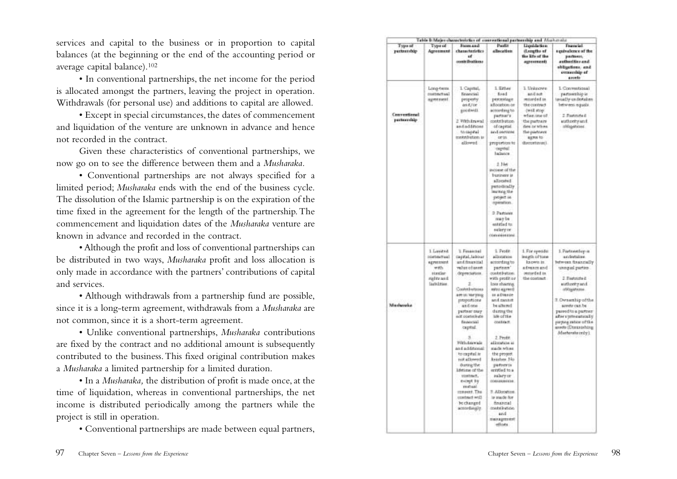services and capital to the business or in proportion to capital balances (at the beginning or the end of the accounting period or average capital balance).102

• In conventional partnerships, the net income for the period is allocated amongst the partners, leaving the project in operation. Withdrawals (for personal use) and additions to capital are allowed.

• Except in special circumstances, the dates of commencement and liquidation of the venture are unknown in advance and hence not recorded in the contract.

Given these characteristics of conventional partnerships, we now go on to see the difference between them and a *Musharaka.*

• Conventional partnerships are not always specified for a limited period; *Musharaka* ends with the end of the business cycle. The dissolution of the Islamic partnership is on the expiration of the time fixed in the agreement for the length of the partnership.The commencement and liquidation dates of the *Musharaka* venture are known in advance and recorded in the contract.

• Although the profit and loss of conventional partnerships can be distributed in two ways, *Musharaka* profit and loss allocation is only made in accordance with the partners' contributions of capital and services.

• Although withdrawals from a partnership fund are possible, since it is a long-term agreement, withdrawals from a *Musharaka* are not common, since it is a short-term agreement.

• Unlike conventional partnerships, *Musharaka* contributions are fixed by the contract and no additional amount is subsequently contributed to the business.This fixed original contribution makes a *Musharaka* a limited partnership for a limited duration.

• In a *Musharaka,* the distribution of profit is made once, at the time of liquidation, whereas in conventional partnerships, the net income is distributed periodically among the partners while the project is still in operation.

• Conventional partnerships are made between equal partners,

|                              |                                                                                                     | Table & Major characteristics of conventional partnership and Muster-size                                                                                                                                                                                                                                                                                                                                      |                                                                                                                                                                                                                                                                                                                                                                                                                                          |                                                                                                                                                                     |                                                                                                                                                                                                                                                                                             |
|------------------------------|-----------------------------------------------------------------------------------------------------|----------------------------------------------------------------------------------------------------------------------------------------------------------------------------------------------------------------------------------------------------------------------------------------------------------------------------------------------------------------------------------------------------------------|------------------------------------------------------------------------------------------------------------------------------------------------------------------------------------------------------------------------------------------------------------------------------------------------------------------------------------------------------------------------------------------------------------------------------------------|---------------------------------------------------------------------------------------------------------------------------------------------------------------------|---------------------------------------------------------------------------------------------------------------------------------------------------------------------------------------------------------------------------------------------------------------------------------------------|
| Type of<br>partnership       | Type of<br>Agreement                                                                                | Fores and<br>chassiteristics<br>uť<br>contributions                                                                                                                                                                                                                                                                                                                                                            | Paulin<br>allocation                                                                                                                                                                                                                                                                                                                                                                                                                     | Liquida tion<br>iLengths of<br>the kits of the<br>agreements                                                                                                        | Francist<br>a gate alette e of the<br>parliers,<br>authorities and<br>obligations, and<br>esserible af<br>anvete                                                                                                                                                                            |
| Conventional<br>partnerslidp | Long-term<br><b>DISTRATIVE</b><br>agentment                                                         | 1. Capital,<br><b>Brasnia</b> )<br>peoperty<br>an E/or<br>good widt<br>2 With trawal<br>andaddasan<br>to capital<br>torichetion in<br>dlowed                                                                                                                                                                                                                                                                   | 1. Either<br>fixed<br>perceillage<br>a Rocelson or<br>according to<br>partnar's<br>contribution<br>of capital<br>and overages<br>orin<br>proportion to<br>capital<br>balance<br>2.346<br>avenue of the<br>business is<br>allocated<br>putplically<br>navirag the<br>peopot is.<br>spiration.<br>2. Partners<br>marbe<br>entriled to<br>salary or<br>convisioning                                                                         | 1 Unknown<br>and act<br>recorded to<br>the contract<br>-(WER stop)<br>when one of<br>the partners<br>date or when<br>the partners<br><b>KEPIN 10</b><br>ducentures) | I. Conventional<br>partsarzhip is<br>tercally undertaken<br>between equals.<br>2. Fleatmate di<br>and hority and<br>ablasticat.                                                                                                                                                             |
| Mississaka                   | 1 Lankted<br><b>International</b><br>agreement.<br>with<br>Himtler<br>nights as it.<br>laubilities. | T. Fenancial<br>dapital, labour<br>and financial<br>vehit of anni.<br>depreciation.<br>Contributions<br>art in writing<br>proportions<br>and one<br>partner may<br>sat consistent<br>fasterial<br>captud.<br>Witstaweal<br>and additional<br>to capital.in<br>rick allowed<br>during the<br>lifetime of the<br>costnut.<br>except by<br>restual<br>respect. The<br>contract will<br>be changed<br>actordingly. | 1. Profit<br>alisoates<br>according to<br>partners'<br>contribution.<br>with protition<br>lors sharing<br>miss agreed<br>in a Dience<br>and cannot<br>be altered<br>during the<br>iste of the<br>contract.<br>2. Froth<br>allocation is<br>stade when<br>the project<br><b>Arashes</b> No.<br>padner in<br>entitled to a<br>aslary or<br>004949084338.<br>T. Allocation<br>is made for<br>financial<br>medalivation<br>and<br>meragerent | 1. For specific<br>ineath of time<br>ka own in<br>bits massive<br>recorded in<br>the contract                                                                       | 1. Partnerstop is<br>andertakes.<br>between financially<br>unnqual parties<br>2. Restatate di<br>hony:thorkey<br>offized tens<br>3. Ownership of the<br>aretty can be<br>passed to a partner<br>after a tyste matically<br>paying ratios of the<br>assets (Diministra)<br>Monherwite only). |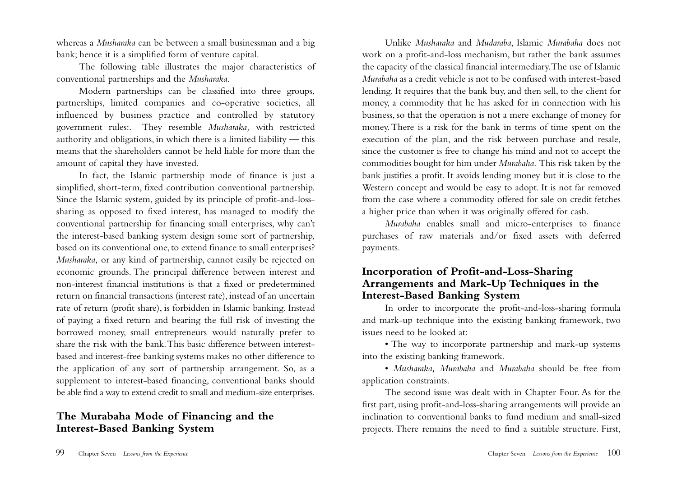whereas a *Musharaka* can be between a small businessman and a big bank; hence it is a simplified form of venture capital.

The following table illustrates the major characteristics of conventional partnerships and the *Musharaka*.

Modern partnerships can be classified into three groups, partnerships, limited companies and co-operative societies, all influenced by business practice and controlled by statutory government rules:. They resemble *Musharaka,* with restricted authority and obligations, in which there is a limited liability — this means that the shareholders cannot be held liable for more than the amount of capital they have invested.

In fact, the Islamic partnership mode of finance is just a simplified, short-term, fixed contribution conventional partnership. Since the Islamic system, guided by its principle of profit-and-losssharing as opposed to fixed interest, has managed to modify the conventional partnership for financing small enterprises, why can't the interest-based banking system design some sort of partnership, based on its conventional one, to extend finance to small enterprises? *Musharaka,* or any kind of partnership, cannot easily be rejected on economic grounds. The principal difference between interest and non-interest financial institutions is that a fixed or predetermined return on financial transactions (interest rate), instead of an uncertain rate of return (profit share), is forbidden in Islamic banking. Instead of paying a fixed return and bearing the full risk of investing the borrowed money, small entrepreneurs would naturally prefer to share the risk with the bank.This basic difference between interestbased and interest-free banking systems makes no other difference to the application of any sort of partnership arrangement. So, as a supplement to interest-based financing, conventional banks should be able find a way to extend credit to small and medium-size enterprises.

## **The Murabaha Mode of Financing and the Interest-Based Banking System**

Unlike *Musharaka* and *Mudaraba*, Islamic *Murabaha* does not work on a profit-and-loss mechanism, but rather the bank assumes the capacity of the classical financial intermediary.The use of Islamic *Murabaha* as a credit vehicle is not to be confused with interest-based lending. It requires that the bank buy, and then sell, to the client for money, a commodity that he has asked for in connection with his business, so that the operation is not a mere exchange of money for money. There is a risk for the bank in terms of time spent on the execution of the plan, and the risk between purchase and resale, since the customer is free to change his mind and not to accept the commodities bought for him under *Murabaha*. This risk taken by the bank justifies a profit. It avoids lending money but it is close to the Western concept and would be easy to adopt. It is not far removed from the case where a commodity offered for sale on credit fetches a higher price than when it was originally offered for cash.

*Murabaha* enables small and micro-enterprises to finance purchases of raw materials and/or fixed assets with deferred payments.

## **Incorporation of Profit-and-Loss-Sharing Arrangements and Mark-Up Techniques in the Interest-Based Banking System**

In order to incorporate the profit-and-loss-sharing formula and mark-up technique into the existing banking framework, two issues need to be looked at:

• The way to incorporate partnership and mark-up systems into the existing banking framework.

• *Musharaka, Murabaha* and *Murabaha* should be free from application constraints.

The second issue was dealt with in Chapter Four. As for the first part, using profit-and-loss-sharing arrangements will provide an inclination to conventional banks to fund medium and small-sized projects. There remains the need to find a suitable structure. First,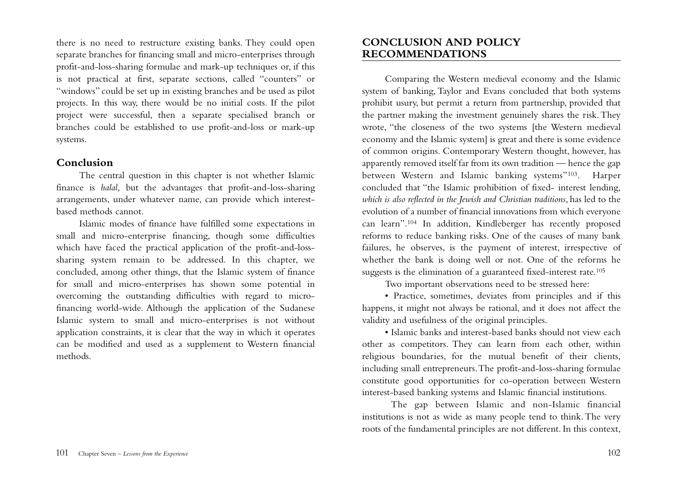there is no need to restructure existing banks. They could open separate branches for financing small and micro-enterprises through profit-and-loss-sharing formulae and mark-up techniques or, if this is not practical at first, separate sections, called "counters" or "windows" could be set up in existing branches and be used as pilot projects. In this way, there would be no initial costs. If the pilot project were successful, then a separate specialised branch or branches could be established to use profit-and-loss or mark-up systems.

#### **Conclusion**

The central question in this chapter is not whether Islamic finance is *halal,* but the advantages that profit-and-loss-sharing arrangements, under whatever name, can provide which interestbased methods cannot.

Islamic modes of finance have fulfilled some expectations in small and micro-enterprise financing, though some difficulties which have faced the practical application of the profit-and-losssharing system remain to be addressed. In this chapter, we concluded, among other things, that the Islamic system of finance for small and micro-enterprises has shown some potential in overcoming the outstanding difficulties with regard to microfinancing world-wide. Although the application of the Sudanese Islamic system to small and micro-enterprises is not without application constraints, it is clear that the way in which it operates can be modified and used as a supplement to Western financial methods.

## **CONCLUSION AND POLICY RECOMMENDATIONS**

Comparing the Western medieval economy and the Islamic system of banking, Taylor and Evans concluded that both systems prohibit usury, but permit a return from partnership, provided that the partner making the investment genuinely shares the risk. They wrote, "the closeness of the two systems [the Western medieval economy and the Islamic system] is great and there is some evidence of common origins. Contemporary Western thought, however, has apparently removed itself far from its own tradition — hence the gap between Western and Islamic banking systems"103. Harper concluded that "the Islamic prohibition of fixed- interest lending, *which is also reflected in the Jewish and Christian traditions*, has led to the evolution of a number of financial innovations from which everyone can learn".104 In addition, Kindleberger has recently proposed reforms to reduce banking risks. One of the causes of many bank failures, he observes, is the payment of interest, irrespective of whether the bank is doing well or not. One of the reforms he suggests is the elimination of a guaranteed fixed-interest rate.105

Two important observations need to be stressed here:

• Practice, sometimes, deviates from principles and if this happens, it might not always be rational, and it does not affect the validity and usefulness of the original principles.

• Islamic banks and interest-based banks should not view each other as competitors. They can learn from each other, within religious boundaries, for the mutual benefit of their clients, including small entrepreneurs.The profit-and-loss-sharing formulae constitute good opportunities for co-operation between Western interest-based banking systems and Islamic financial institutions.

The gap between Islamic and non-Islamic financial institutions is not as wide as many people tend to think.The very roots of the fundamental principles are not different. In this context,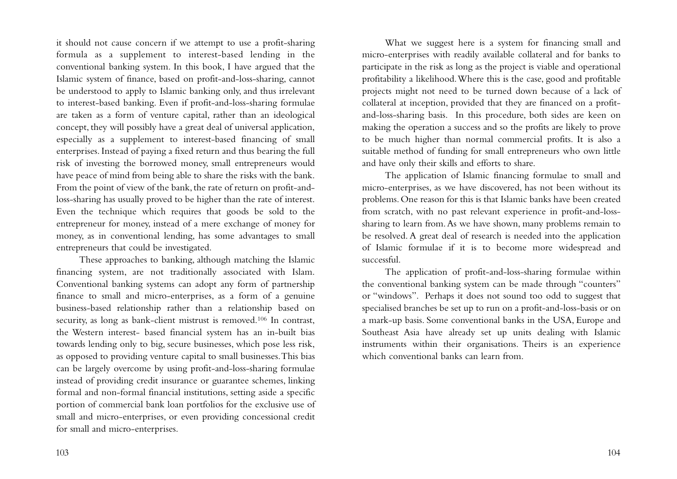it should not cause concern if we attempt to use a profit-sharing formula as a supplement to interest-based lending in the conventional banking system. In this book, I have argued that the Islamic system of finance, based on profit-and-loss-sharing, cannot be understood to apply to Islamic banking only, and thus irrelevant to interest-based banking. Even if profit-and-loss-sharing formulae are taken as a form of venture capital, rather than an ideological concept, they will possibly have a great deal of universal application, especially as a supplement to interest-based financing of small enterprises. Instead of paying a fixed return and thus bearing the full risk of investing the borrowed money, small entrepreneurs would have peace of mind from being able to share the risks with the bank. From the point of view of the bank, the rate of return on profit-andloss-sharing has usually proved to be higher than the rate of interest. Even the technique which requires that goods be sold to the entrepreneur for money, instead of a mere exchange of money for money, as in conventional lending, has some advantages to small entrepreneurs that could be investigated.

These approaches to banking, although matching the Islamic financing system, are not traditionally associated with Islam. Conventional banking systems can adopt any form of partnership finance to small and micro-enterprises, as a form of a genuine business-based relationship rather than a relationship based on security, as long as bank-client mistrust is removed.106 In contrast, the Western interest- based financial system has an in-built bias towards lending only to big, secure businesses, which pose less risk, as opposed to providing venture capital to small businesses.This bias can be largely overcome by using profit-and-loss-sharing formulae instead of providing credit insurance or guarantee schemes, linking formal and non-formal financial institutions, setting aside a specific portion of commercial bank loan portfolios for the exclusive use of small and micro-enterprises, or even providing concessional credit for small and micro-enterprises.

What we suggest here is a system for financing small and micro-enterprises with readily available collateral and for banks to participate in the risk as long as the project is viable and operational profitability a likelihood.Where this is the case, good and profitable projects might not need to be turned down because of a lack of collateral at inception, provided that they are financed on a profitand-loss-sharing basis. In this procedure, both sides are keen on making the operation a success and so the profits are likely to prove to be much higher than normal commercial profits. It is also a suitable method of funding for small entrepreneurs who own little and have only their skills and efforts to share.

The application of Islamic financing formulae to small and micro-enterprises, as we have discovered, has not been without its problems. One reason for this is that Islamic banks have been created from scratch, with no past relevant experience in profit-and-losssharing to learn from.As we have shown, many problems remain to be resolved. A great deal of research is needed into the application of Islamic formulae if it is to become more widespread and successful.

The application of profit-and-loss-sharing formulae within the conventional banking system can be made through "counters" or "windows". Perhaps it does not sound too odd to suggest that specialised branches be set up to run on a profit-and-loss-basis or on a mark-up basis. Some conventional banks in the USA, Europe and Southeast Asia have already set up units dealing with Islamic instruments within their organisations. Theirs is an experience which conventional banks can learn from.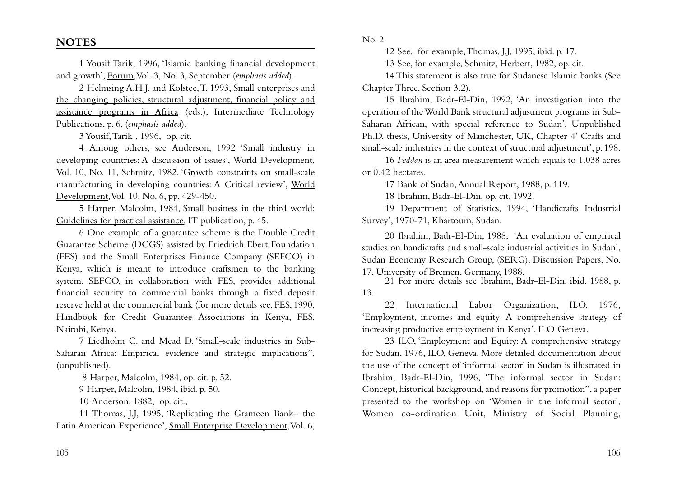1 Yousif Tarik, 1996, 'Islamic banking financial development and growth', Forum,Vol. 3, No. 3, September (*emphasis added*).

2 Helmsing A.H.J. and Kolstee,T. 1993, Small enterprises and the changing policies, structural adjustment, financial policy and assistance programs in Africa (eds.), Intermediate Technology Publications, p. 6, (*emphasis added*).

3 Yousif,Tarik , 1996, op. cit.

4 Among others, see Anderson, 1992 'Small industry in developing countries: A discussion of issues', World Development, Vol. 10, No. 11, Schmitz, 1982, 'Growth constraints on small-scale manufacturing in developing countries: A Critical review', World Development,Vol. 10, No. 6, pp. 429-450.

5 Harper, Malcolm, 1984, Small business in the third world: Guidelines for practical assistance, IT publication, p. 45.

6 One example of a guarantee scheme is the Double Credit Guarantee Scheme (DCGS) assisted by Friedrich Ebert Foundation (FES) and the Small Enterprises Finance Company (SEFCO) in Kenya, which is meant to introduce craftsmen to the banking system. SEFCO, in collaboration with FES, provides additional financial security to commercial banks through a fixed deposit reserve held at the commercial bank (for more details see, FES, 1990, Handbook for Credit Guarantee Associations in Kenya, FES, Nairobi, Kenya.

7 Liedholm C. and Mead D. 'Small-scale industries in Sub-Saharan Africa: Empirical evidence and strategic implications", (unpublished).

8 Harper, Malcolm, 1984, op. cit. p. 52.

9 Harper, Malcolm, 1984, ibid. p. 50.

10 Anderson, 1882, op. cit.,

11 Thomas, J.J, 1995, 'Replicating the Grameen Bank– the Latin American Experience', Small Enterprise Development, Vol. 6, No. 2.

12 See, for example,Thomas, J.J, 1995, ibid. p. 17.

13 See, for example, Schmitz, Herbert, 1982, op. cit.

14 This statement is also true for Sudanese Islamic banks (See Chapter Three, Section 3.2).

15 Ibrahim, Badr-El-Din, 1992, 'An investigation into the operation of the World Bank structural adjustment programs in Sub-Saharan African, with special reference to Sudan', Unpublished Ph.D. thesis, University of Manchester, UK, Chapter 4' Crafts and small-scale industries in the context of structural adjustment', p. 198.

16 *Feddan* is an area measurement which equals to 1.038 acres or 0.42 hectares.

17 Bank of Sudan,Annual Report, 1988, p. 119.

18 Ibrahim, Badr-El-Din, op. cit. 1992.

19 Department of Statistics, 1994, 'Handicrafts Industrial Survey', 1970-71, Khartoum, Sudan.

20 Ibrahim, Badr-El-Din, 1988, 'An evaluation of empirical studies on handicrafts and small-scale industrial activities in Sudan', Sudan Economy Research Group, (SERG), Discussion Papers, No. 17, University of Bremen, Germany, 1988.

21 For more details see Ibrahim, Badr-El-Din, ibid. 1988, p. 13.

22 International Labor Organization, ILO, 1976, 'Employment, incomes and equity: A comprehensive strategy of increasing productive employment in Kenya', ILO Geneva.

23 ILO, 'Employment and Equity: A comprehensive strategy for Sudan, 1976, ILO, Geneva. More detailed documentation about the use of the concept of 'informal sector' in Sudan is illustrated in Ibrahim, Badr-El-Din, 1996, 'The informal sector in Sudan: Concept, historical background, and reasons for promotion", a paper presented to the workshop on 'Women in the informal sector', Women co-ordination Unit, Ministry of Social Planning,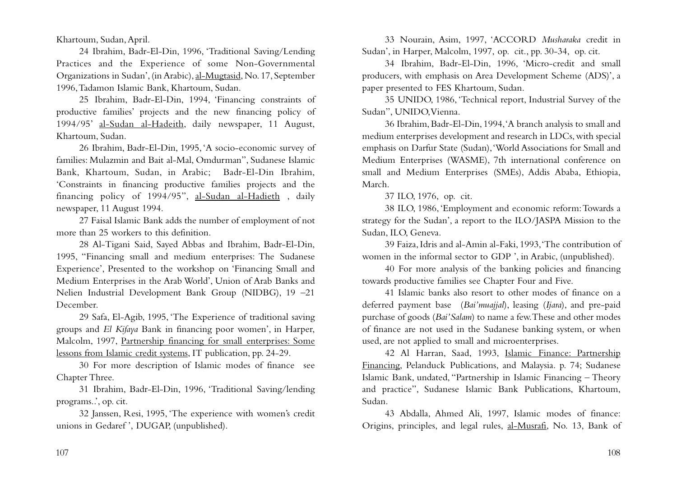Khartoum, Sudan,April.

24 Ibrahim, Badr-El-Din, 1996, 'Traditional Saving/Lending Practices and the Experience of some Non-Governmental Organizations in Sudan', (in Arabic), al-Mugtasid, No. 17, September 1996,Tadamon Islamic Bank, Khartoum, Sudan.

25 Ibrahim, Badr-El-Din, 1994, 'Financing constraints of productive families' projects and the new financing policy of 1994/95' al-Sudan al-Hadeith, daily newspaper, 11 August, Khartoum, Sudan.

26 Ibrahim, Badr-El-Din, 1995,'A socio-economic survey of families: Mulazmin and Bait al-Mal, Omdurman", Sudanese Islamic Bank, Khartoum, Sudan, in Arabic; Badr-El-Din Ibrahim, 'Constraints in financing productive families projects and the financing policy of 1994/95", al-Sudan al-Hadieth , daily newspaper, 11 August 1994.

27 Faisal Islamic Bank adds the number of employment of not more than 25 workers to this definition.

28 Al-Tigani Said, Sayed Abbas and Ibrahim, Badr-El-Din, 1995, "Financing small and medium enterprises: The Sudanese Experience', Presented to the workshop on 'Financing Small and Medium Enterprises in the Arab World', Union of Arab Banks and Nelien Industrial Development Bank Group (NIDBG), 19 –21 December.

29 Safa, El-Agib, 1995, 'The Experience of traditional saving groups and *El Kifaya* Bank in financing poor women', in Harper, Malcolm, 1997, Partnership financing for small enterprises: Some lessons from Islamic credit systems, IT publication, pp. 24-29.

30 For more description of Islamic modes of finance see Chapter Three.

31 Ibrahim, Badr-El-Din, 1996, 'Traditional Saving/lending programs..', op. cit.

32 Janssen, Resi, 1995, 'The experience with women's credit unions in Gedaref ', DUGAP, (unpublished).

33 Nourain, Asim, 1997, 'ACCORD *Musharaka* credit in Sudan', in Harper, Malcolm, 1997, op. cit., pp. 30-34, op. cit.

34 Ibrahim, Badr-El-Din, 1996, 'Micro-credit and small producers, with emphasis on Area Development Scheme (ADS)', a paper presented to FES Khartoum, Sudan.

35 UNIDO, 1986, 'Technical report, Industrial Survey of the Sudan", UNIDO,Vienna.

36 Ibrahim, Badr-El-Din, 1994,'A branch analysis to small and medium enterprises development and research in LDCs, with special emphasis on Darfur State (Sudan),'World Associations for Small and Medium Enterprises (WASME), 7th international conference on small and Medium Enterprises (SMEs), Addis Ababa, Ethiopia, March.

37 ILO, 1976, op. cit.

38 ILO, 1986,'Employment and economic reform:Towards a strategy for the Sudan', a report to the ILO/JASPA Mission to the Sudan, ILO, Geneva.

39 Faiza, Idris and al-Amin al-Faki, 1993,'The contribution of women in the informal sector to GDP ', in Arabic, (unpublished).

40 For more analysis of the banking policies and financing towards productive families see Chapter Four and Five.

41 Islamic banks also resort to other modes of finance on a deferred payment base (*Bai'muajjal*), leasing (*Ijara*), and pre-paid purchase of goods (*Bai'Salam*) to name a few.These and other modes of finance are not used in the Sudanese banking system, or when used, are not applied to small and microenterprises.

42 Al Harran, Saad, 1993, Islamic Finance: Partnership Financing, Pelanduck Publications, and Malaysia. p. 74; Sudanese Islamic Bank, undated, "Partnership in Islamic Financing – Theory and practice", Sudanese Islamic Bank Publications, Khartoum, Sudan.

43 Abdalla, Ahmed Ali, 1997, Islamic modes of finance: Origins, principles, and legal rules, al-Musrafi, No. 13, Bank of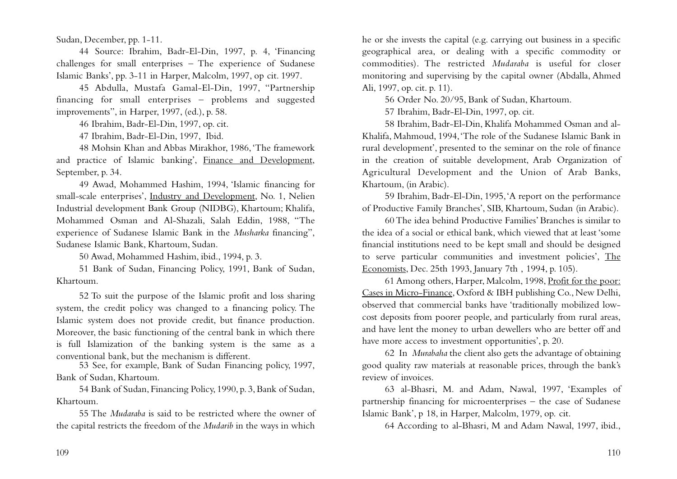Sudan, December, pp. 1-11.

44 Source: Ibrahim, Badr-El-Din, 1997, p. 4, 'Financing challenges for small enterprises – The experience of Sudanese Islamic Banks', pp. 3-11 in Harper, Malcolm, 1997, op cit. 1997.

45 Abdulla, Mustafa Gamal-El-Din, 1997, "Partnership financing for small enterprises – problems and suggested improvements", in Harper, 1997, (ed.), p. 58.

46 Ibrahim, Badr-El-Din, 1997, op. cit.

47 Ibrahim, Badr-El-Din, 1997, Ibid.

48 Mohsin Khan and Abbas Mirakhor, 1986,'The framework and practice of Islamic banking', Finance and Development, September, p. 34.

49 Awad, Mohammed Hashim, 1994, 'Islamic financing for small-scale enterprises', Industry and Development, No. 1, Nelien Industrial development Bank Group (NIDBG), Khartoum; Khalifa, Mohammed Osman and Al-Shazali, Salah Eddin, 1988, "The experience of Sudanese Islamic Bank in the *Musharka* financing", Sudanese Islamic Bank, Khartoum, Sudan.

50 Awad, Mohammed Hashim, ibid., 1994, p. 3.

51 Bank of Sudan, Financing Policy, 1991, Bank of Sudan, Khartoum.

52 To suit the purpose of the Islamic profit and loss sharing system, the credit policy was changed to a financing policy. The Islamic system does not provide credit, but finance production. Moreover, the basic functioning of the central bank in which there is full Islamization of the banking system is the same as a conventional bank, but the mechanism is different.

53 See, for example, Bank of Sudan Financing policy, 1997, Bank of Sudan, Khartoum.

54 Bank of Sudan, Financing Policy, 1990, p. 3, Bank of Sudan, Khartoum.

55 The *Mudaraba* is said to be restricted where the owner of the capital restricts the freedom of the *Mudarib* in the ways in which

he or she invests the capital (e.g. carrying out business in a specific geographical area, or dealing with a specific commodity or commodities). The restricted *Mudaraba* is useful for closer monitoring and supervising by the capital owner (Abdalla, Ahmed Ali, 1997, op. cit. p. 11).

56 Order No. 20/95, Bank of Sudan, Khartoum.

57 Ibrahim, Badr-El-Din, 1997, op. cit.

58 Ibrahim, Badr-El-Din, Khalifa Mohammed Osman and al-Khalifa, Mahmoud, 1994,'The role of the Sudanese Islamic Bank in rural development', presented to the seminar on the role of finance in the creation of suitable development, Arab Organization of Agricultural Development and the Union of Arab Banks, Khartoum, (in Arabic).

59 Ibrahim, Badr-El-Din, 1995,'A report on the performance of Productive Family Branches', SIB, Khartoum, Sudan (in Arabic).

60 The idea behind Productive Families' Branches is similar to the idea of a social or ethical bank, which viewed that at least 'some financial institutions need to be kept small and should be designed to serve particular communities and investment policies', The Economists, Dec. 25th 1993, January 7th , 1994, p. 105).

61 Among others, Harper, Malcolm, 1998, Profit for the poor: Cases in Micro-Finance, Oxford & IBH publishing Co., New Delhi, observed that commercial banks have 'traditionally mobilized lowcost deposits from poorer people, and particularly from rural areas, and have lent the money to urban dewellers who are better off and have more access to investment opportunities', p. 20.

62 In *Murabaha* the client also gets the advantage of obtaining good quality raw materials at reasonable prices, through the bank's review of invoices.

63 al-Bhasri, M. and Adam, Nawal, 1997, 'Examples of partnership financing for microenterprises – the case of Sudanese Islamic Bank', p 18, in Harper, Malcolm, 1979, op. cit.

64 According to al-Bhasri, M and Adam Nawal, 1997, ibid.,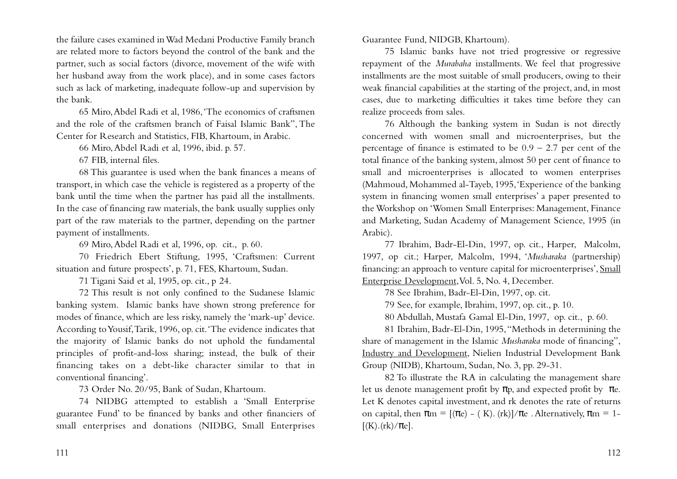the failure cases examined in Wad Medani Productive Family branch are related more to factors beyond the control of the bank and the partner, such as social factors (divorce, movement of the wife with her husband away from the work place), and in some cases factors such as lack of marketing, inadequate follow-up and supervision by the bank.

65 Miro,Abdel Radi et al, 1986,'The economics of craftsmen and the role of the craftsmen branch of Faisal Islamic Bank", The Center for Research and Statistics, FIB, Khartoum, in Arabic.

66 Miro,Abdel Radi et al, 1996, ibid. p. 57.

67 FIB, internal files.

68 This guarantee is used when the bank finances a means of transport, in which case the vehicle is registered as a property of the bank until the time when the partner has paid all the installments. In the case of financing raw materials, the bank usually supplies only part of the raw materials to the partner, depending on the partner payment of installments.

69 Miro,Abdel Radi et al, 1996, op. cit., p. 60.

70 Friedrich Ebert Stiftung, 1995, 'Craftsmen: Current situation and future prospects', p. 71, FES, Khartoum, Sudan.

71 Tigani Said et al, 1995, op. cit., p 24.

72 This result is not only confined to the Sudanese Islamic banking system. Islamic banks have shown strong preference for modes of finance, which are less risky, namely the 'mark-up' device. According to Yousif,Tarik, 1996, op. cit.'The evidence indicates that the majority of Islamic banks do not uphold the fundamental principles of profit-and-loss sharing; instead, the bulk of their financing takes on a debt-like character similar to that in conventional financing'.

73 Order No. 20/95, Bank of Sudan, Khartoum.

74 NIDBG attempted to establish a 'Small Enterprise guarantee Fund' to be financed by banks and other financiers of small enterprises and donations (NIDBG, Small Enterprises

Guarantee Fund, NIDGB, Khartoum).

75 Islamic banks have not tried progressive or regressive repayment of the *Murabaha* installments. We feel that progressive installments are the most suitable of small producers, owing to their weak financial capabilities at the starting of the project, and, in most cases, due to marketing difficulties it takes time before they can realize proceeds from sales.

76 Although the banking system in Sudan is not directly concerned with women small and microenterprises, but the percentage of finance is estimated to be  $0.9 - 2.7$  per cent of the total finance of the banking system, almost 50 per cent of finance to small and microenterprises is allocated to women enterprises (Mahmoud, Mohammed al-Tayeb, 1995,'Experience of the banking system in financing women small enterprises' a paper presented to the Workshop on 'Women Small Enterprises: Management, Finance and Marketing, Sudan Academy of Management Science, 1995 (in Arabic).

77 Ibrahim, Badr-El-Din, 1997, op. cit., Harper, Malcolm, 1997, op cit.; Harper, Malcolm, 1994, '*Musharaka* (partnership) financing: an approach to venture capital for microenterprises', Small Enterprise Development, Vol. 5, No. 4, December.

78 See Ibrahim, Badr-El-Din, 1997, op. cit.

79 See, for example, Ibrahim, 1997, op. cit., p. 10.

80 Abdullah, Mustafa Gamal El-Din, 1997, op. cit., p. 60.

81 Ibrahim, Badr-El-Din, 1995,"Methods in determining the share of management in the Islamic *Musharaka* mode of financing", Industry and Development, Nielien Industrial Development Bank Group (NIDB), Khartoum, Sudan, No. 3, pp. 29-31.

82 To illustrate the RA in calculating the management share let us denote management profit by  $\pi p$ , and expected profit by  $\pi e$ . Let K denotes capital investment, and rk denotes the rate of returns on capital, then  $\pi m = [(\pi e) - (K) \cdot (rk)] / \pi e$ . Alternatively,  $\pi m = 1$ - $[(K).(rk)/\pi e].$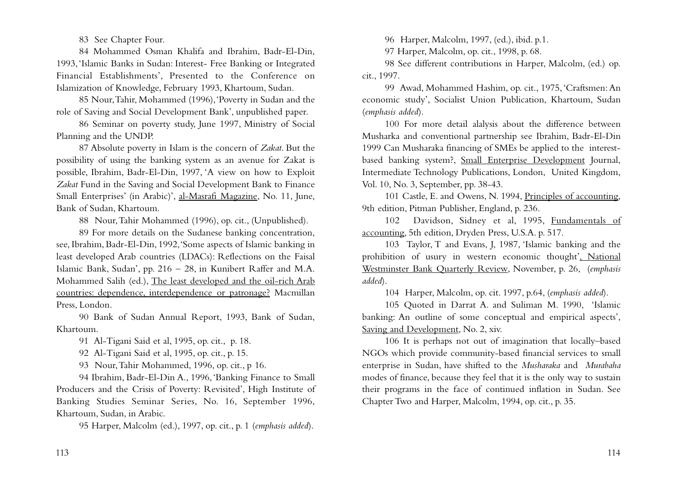83 See Chapter Four.

84 Mohammed Osman Khalifa and Ibrahim, Badr-El-Din, 1993,'Islamic Banks in Sudan: Interest- Free Banking or Integrated Financial Establishments', Presented to the Conference on Islamization of Knowledge, February 1993, Khartoum, Sudan.

85 Nour,Tahir, Mohammed (1996),'Poverty in Sudan and the role of Saving and Social Development Bank', unpublished paper.

86 Seminar on poverty study, June 1997, Ministry of Social Planning and the UNDP.

87 Absolute poverty in Islam is the concern of *Zakat*. But the possibility of using the banking system as an avenue for Zakat is possible, Ibrahim, Badr-El-Din, 1997, 'A view on how to Exploit *Zakat* Fund in the Saving and Social Development Bank to Finance Small Enterprises' (in Arabic)', al-Masrafi Magazine, No. 11, June, Bank of Sudan, Khartoum.

88 Nour,Tahir Mohammed (1996), op. cit., (Unpublished).

89 For more details on the Sudanese banking concentration, see, Ibrahim, Badr-El-Din, 1992,'Some aspects of Islamic banking in least developed Arab countries (LDACs): Reflections on the Faisal Islamic Bank, Sudan', pp. 216 – 28, in Kunibert Raffer and M.A. Mohammed Salih (ed.), The least developed and the oil-rich Arab countries: dependence, interdependence or patronage? Macmillan Press, London.

90 Bank of Sudan Annual Report, 1993, Bank of Sudan, Khartoum.

91 Al-Tigani Said et al, 1995, op. cit., p. 18.

92 Al-Tigani Said et al, 1995, op. cit., p. 15.

93 Nour,Tahir Mohammed, 1996, op. cit., p 16.

94 Ibrahim, Badr-El-Din A., 1996,'Banking Finance to Small Producers and the Crisis of Poverty: Revisited', High Institute of Banking Studies Seminar Series, No. 16, September 1996, Khartoum, Sudan, in Arabic.

95 Harper, Malcolm (ed.), 1997, op. cit., p. 1 (*emphasis added*).

96 Harper, Malcolm, 1997, (ed.), ibid. p.1.

97 Harper, Malcolm, op. cit., 1998, p. 68.

98 See different contributions in Harper, Malcolm, (ed.) op. cit., 1997.

99 Awad, Mohammed Hashim, op. cit., 1975,'Craftsmen: An economic study', Socialist Union Publication, Khartoum, Sudan (*emphasis added*).

100 For more detail alalysis about the difference between Musharka and conventional partnership see Ibrahim, Badr-El-Din 1999 Can Musharaka financing of SMEs be applied to the interestbased banking system?, Small Enterprise Development Journal, Intermediate Technology Publications, London, United Kingdom, Vol. 10, No. 3, September, pp. 38-43.

101 Castle, E. and Owens, N. 1994, Principles of accounting, 9th edition, Pitman Publisher, England, p. 236.

102 Davidson, Sidney et al, 1995, Fundamentals of accounting, 5th edition, Dryden Press, U.S.A. p. 517.

103 Taylor, T and Evans, J, 1987, 'Islamic banking and the prohibition of usury in western economic thought', National Westminster Bank Quarterly Review, November, p. 26, (*emphasis added*).

104 Harper, Malcolm, op. cit. 1997, p.64, (*emphasis added*).

105 Quoted in Darrat A. and Suliman M. 1990, 'Islamic banking: An outline of some conceptual and empirical aspects', Saving and Development, No. 2, xiv.

106 It is perhaps not out of imagination that locally–based NGOs which provide community-based financial services to small enterprise in Sudan, have shifted to the *Musharaka* and *Murabaha* modes of finance, because they feel that it is the only way to sustain their programs in the face of continued inflation in Sudan. See Chapter Two and Harper, Malcolm, 1994, op. cit., p. 35.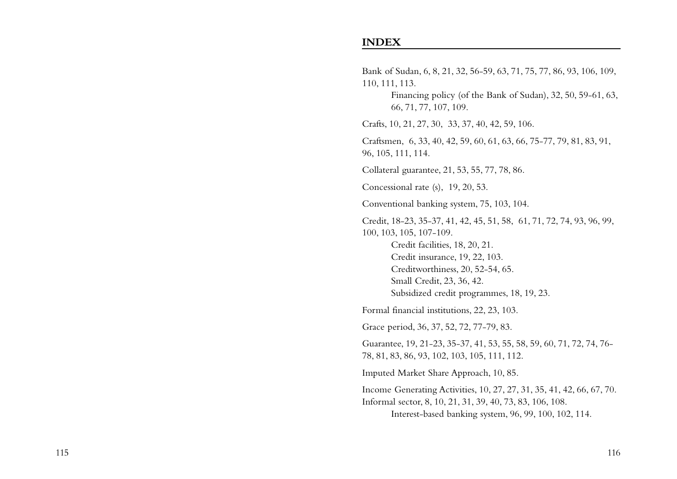#### **INDEX**

Bank of Sudan, 6, 8, 21, 32, 56-59, 63, 71, 75, 77, 86, 93, 106, 109, 110, 111, 113. Financing policy (of the Bank of Sudan), 32, 50, 59-61, 63, 66, 71, 77, 107, 109. Crafts, 10, 21, 27, 30, 33, 37, 40, 42, 59, 106. Craftsmen, 6, 33, 40, 42, 59, 60, 61, 63, 66, 75-77, 79, 81, 83, 91, 96, 105, 111, 114. Collateral guarantee, 21, 53, 55, 77, 78, 86. Concessional rate (s), 19, 20, 53. Conventional banking system, 75, 103, 104. Credit, 18-23, 35-37, 41, 42, 45, 51, 58, 61, 71, 72, 74, 93, 96, 99, 100, 103, 105, 107-109. Credit facilities, 18, 20, 21. Credit insurance, 19, 22, 103. Creditworthiness, 20, 52-54, 65. Small Credit, 23, 36, 42. Subsidized credit programmes, 18, 19, 23. Formal financial institutions, 22, 23, 103. Grace period, 36, 37, 52, 72, 77-79, 83. Guarantee, 19, 21-23, 35-37, 41, 53, 55, 58, 59, 60, 71, 72, 74, 76- 78, 81, 83, 86, 93, 102, 103, 105, 111, 112. Imputed Market Share Approach, 10, 85. Income Generating Activities, 10, 27, 27, 31, 35, 41, 42, 66, 67, 70. Informal sector, 8, 10, 21, 31, 39, 40, 73, 83, 106, 108. Interest-based banking system, 96, 99, 100, 102, 114.